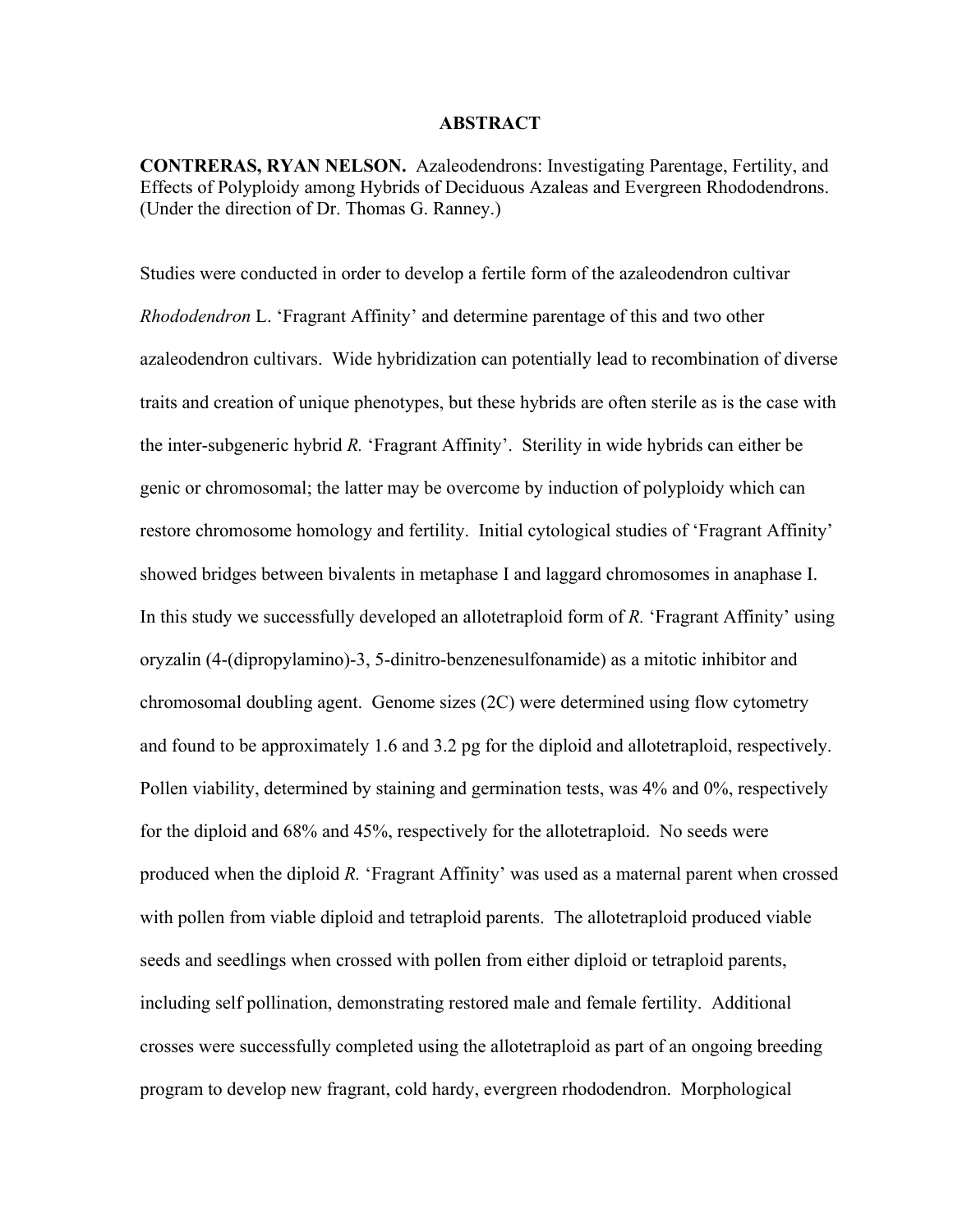#### **ABSTRACT**

**CONTRERAS, RYAN NELSON.** Azaleodendrons: Investigating Parentage, Fertility, and Effects of Polyploidy among Hybrids of Deciduous Azaleas and Evergreen Rhododendrons. (Under the direction of Dr. Thomas G. Ranney.)

Studies were conducted in order to develop a fertile form of the azaleodendron cultivar *Rhododendron* L. 'Fragrant Affinity' and determine parentage of this and two other azaleodendron cultivars. Wide hybridization can potentially lead to recombination of diverse traits and creation of unique phenotypes, but these hybrids are often sterile as is the case with the inter-subgeneric hybrid *R.* 'Fragrant Affinity'. Sterility in wide hybrids can either be genic or chromosomal; the latter may be overcome by induction of polyploidy which can restore chromosome homology and fertility. Initial cytological studies of 'Fragrant Affinity' showed bridges between bivalents in metaphase I and laggard chromosomes in anaphase I. In this study we successfully developed an allotetraploid form of *R.* 'Fragrant Affinity' using oryzalin (4-(dipropylamino)-3, 5-dinitro-benzenesulfonamide) as a mitotic inhibitor and chromosomal doubling agent. Genome sizes (2C) were determined using flow cytometry and found to be approximately 1.6 and 3.2 pg for the diploid and allotetraploid, respectively. Pollen viability, determined by staining and germination tests, was 4% and 0%, respectively for the diploid and 68% and 45%, respectively for the allotetraploid. No seeds were produced when the diploid *R.* 'Fragrant Affinity' was used as a maternal parent when crossed with pollen from viable diploid and tetraploid parents. The allotetraploid produced viable seeds and seedlings when crossed with pollen from either diploid or tetraploid parents, including self pollination, demonstrating restored male and female fertility. Additional crosses were successfully completed using the allotetraploid as part of an ongoing breeding program to develop new fragrant, cold hardy, evergreen rhododendron. Morphological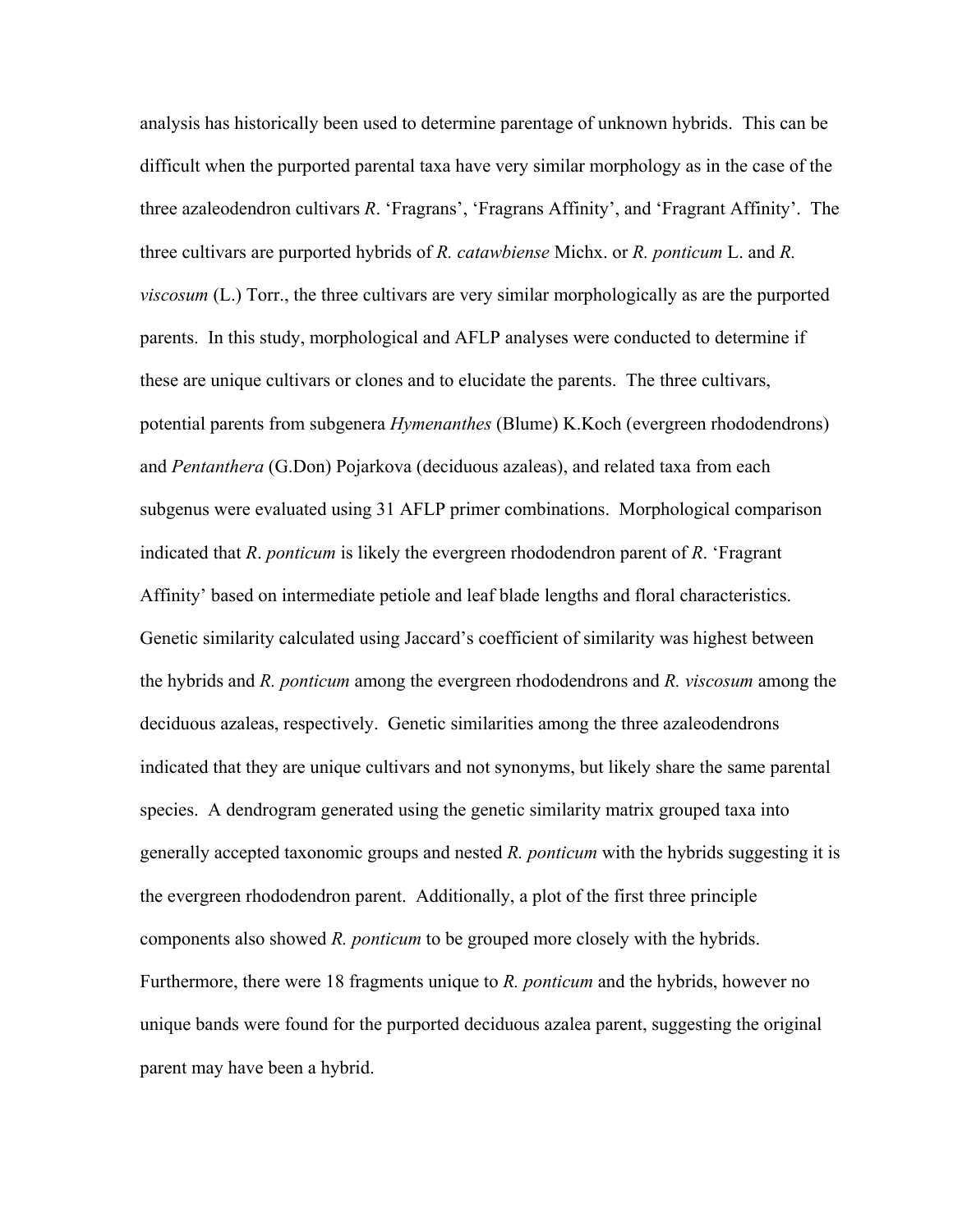analysis has historically been used to determine parentage of unknown hybrids. This can be difficult when the purported parental taxa have very similar morphology as in the case of the three azaleodendron cultivars *R*. 'Fragrans', 'Fragrans Affinity', and 'Fragrant Affinity'. The three cultivars are purported hybrids of *R. catawbiense* Michx. or *R. ponticum* L. and *R. viscosum* (L.) Torr., the three cultivars are very similar morphologically as are the purported parents. In this study, morphological and AFLP analyses were conducted to determine if these are unique cultivars or clones and to elucidate the parents. The three cultivars, potential parents from subgenera *Hymenanthes* (Blume) K.Koch (evergreen rhododendrons) and *Pentanthera* (G.Don) Pojarkova (deciduous azaleas), and related taxa from each subgenus were evaluated using 31 AFLP primer combinations. Morphological comparison indicated that *R*. *ponticum* is likely the evergreen rhododendron parent of *R*. 'Fragrant Affinity' based on intermediate petiole and leaf blade lengths and floral characteristics. Genetic similarity calculated using Jaccard's coefficient of similarity was highest between the hybrids and *R. ponticum* among the evergreen rhododendrons and *R. viscosum* among the deciduous azaleas, respectively. Genetic similarities among the three azaleodendrons indicated that they are unique cultivars and not synonyms, but likely share the same parental species. A dendrogram generated using the genetic similarity matrix grouped taxa into generally accepted taxonomic groups and nested *R. ponticum* with the hybrids suggesting it is the evergreen rhododendron parent. Additionally, a plot of the first three principle components also showed *R. ponticum* to be grouped more closely with the hybrids. Furthermore, there were 18 fragments unique to *R. ponticum* and the hybrids, however no unique bands were found for the purported deciduous azalea parent, suggesting the original parent may have been a hybrid.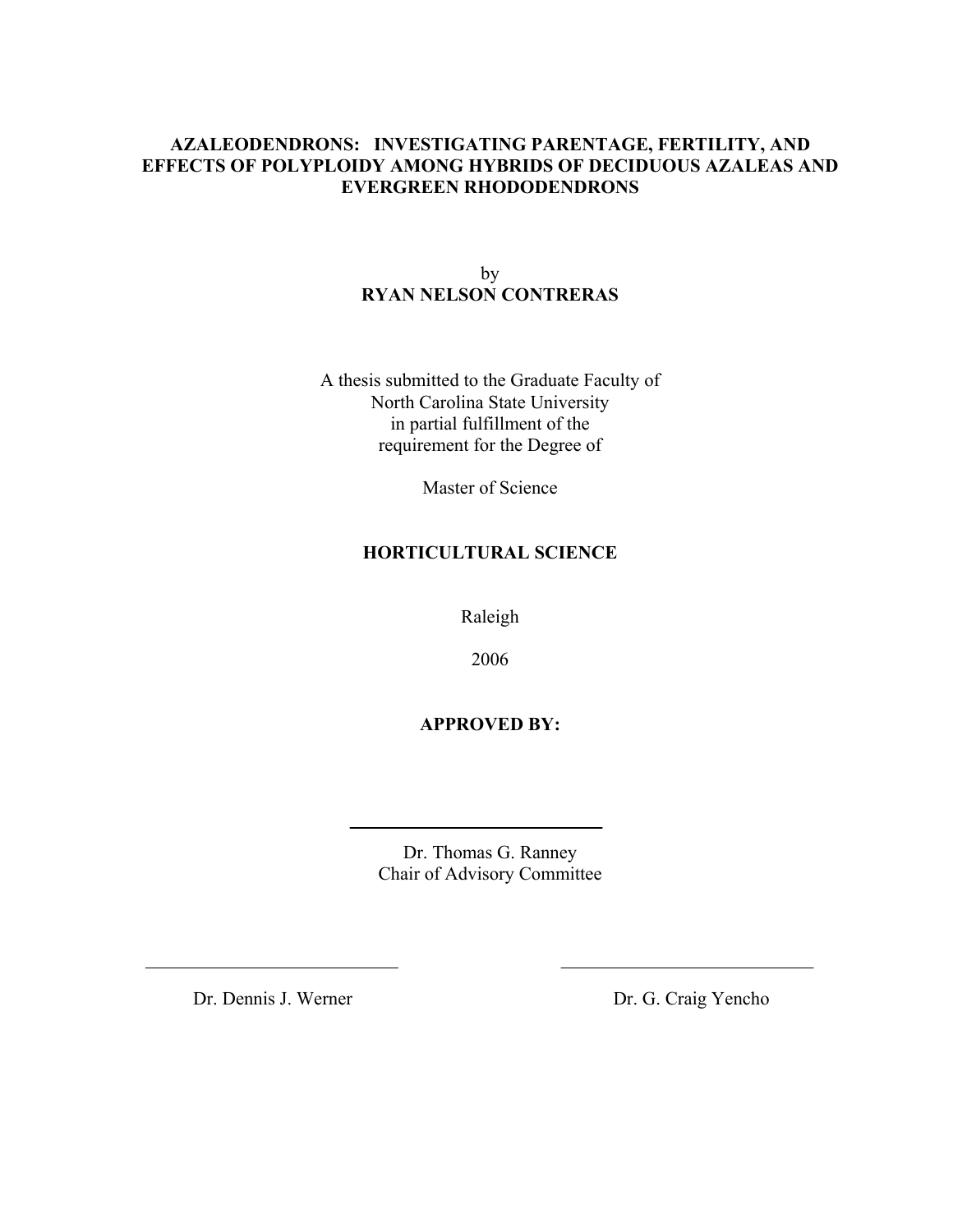### **AZALEODENDRONS: INVESTIGATING PARENTAGE, FERTILITY, AND EFFECTS OF POLYPLOIDY AMONG HYBRIDS OF DECIDUOUS AZALEAS AND EVERGREEN RHODODENDRONS**

by **RYAN NELSON CONTRERAS** 

A thesis submitted to the Graduate Faculty of North Carolina State University in partial fulfillment of the requirement for the Degree of

Master of Science

### **HORTICULTURAL SCIENCE**

Raleigh

2006

### **APPROVED BY:**

Dr. Thomas G. Ranney Chair of Advisory Committee

Dr. Dennis J. Werner Dr. G. Craig Yencho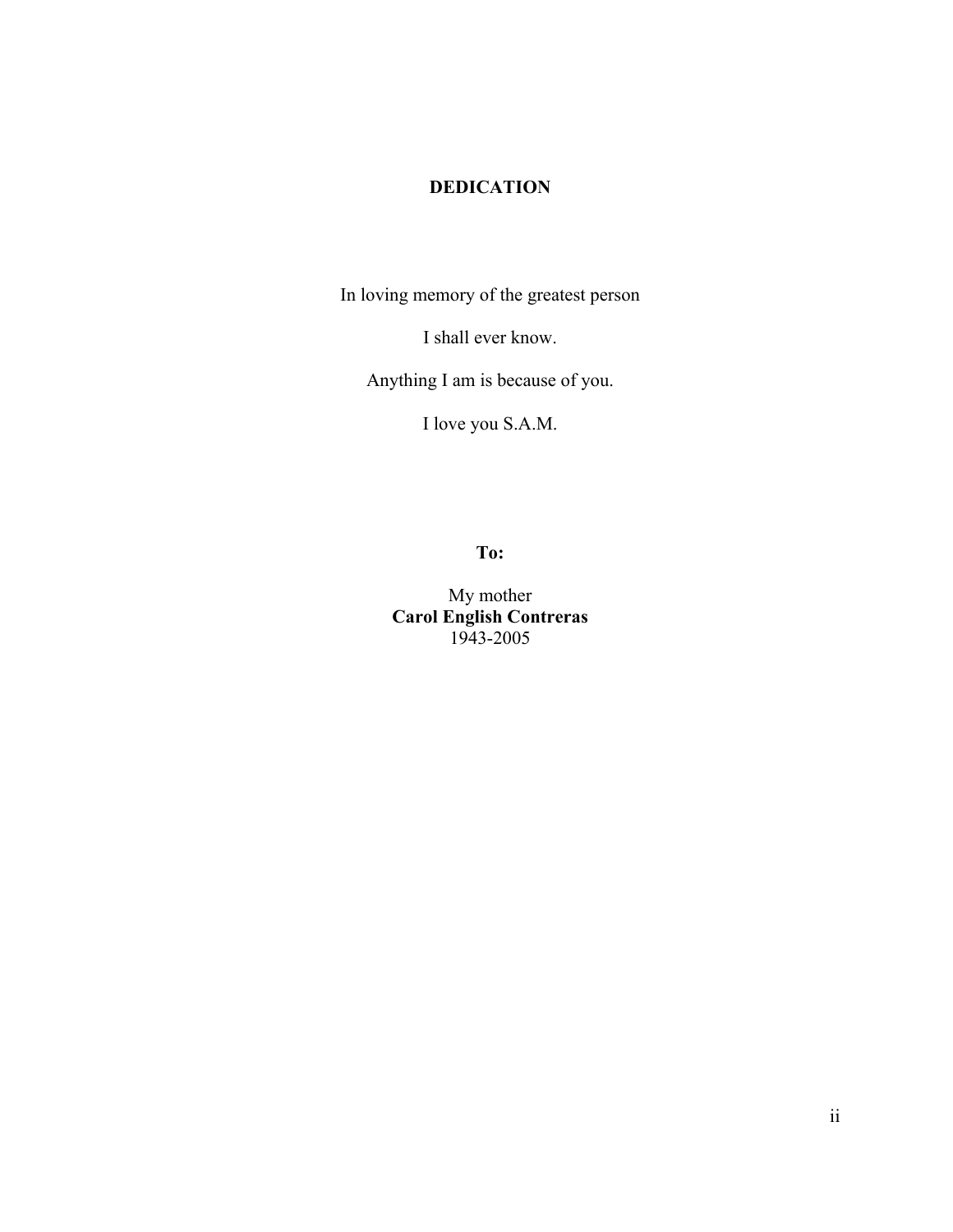## **DEDICATION**

In loving memory of the greatest person

I shall ever know.

Anything I am is because of you.

I love you S.A.M.

**To:** 

My mother **Carol English Contreras**  1943-2005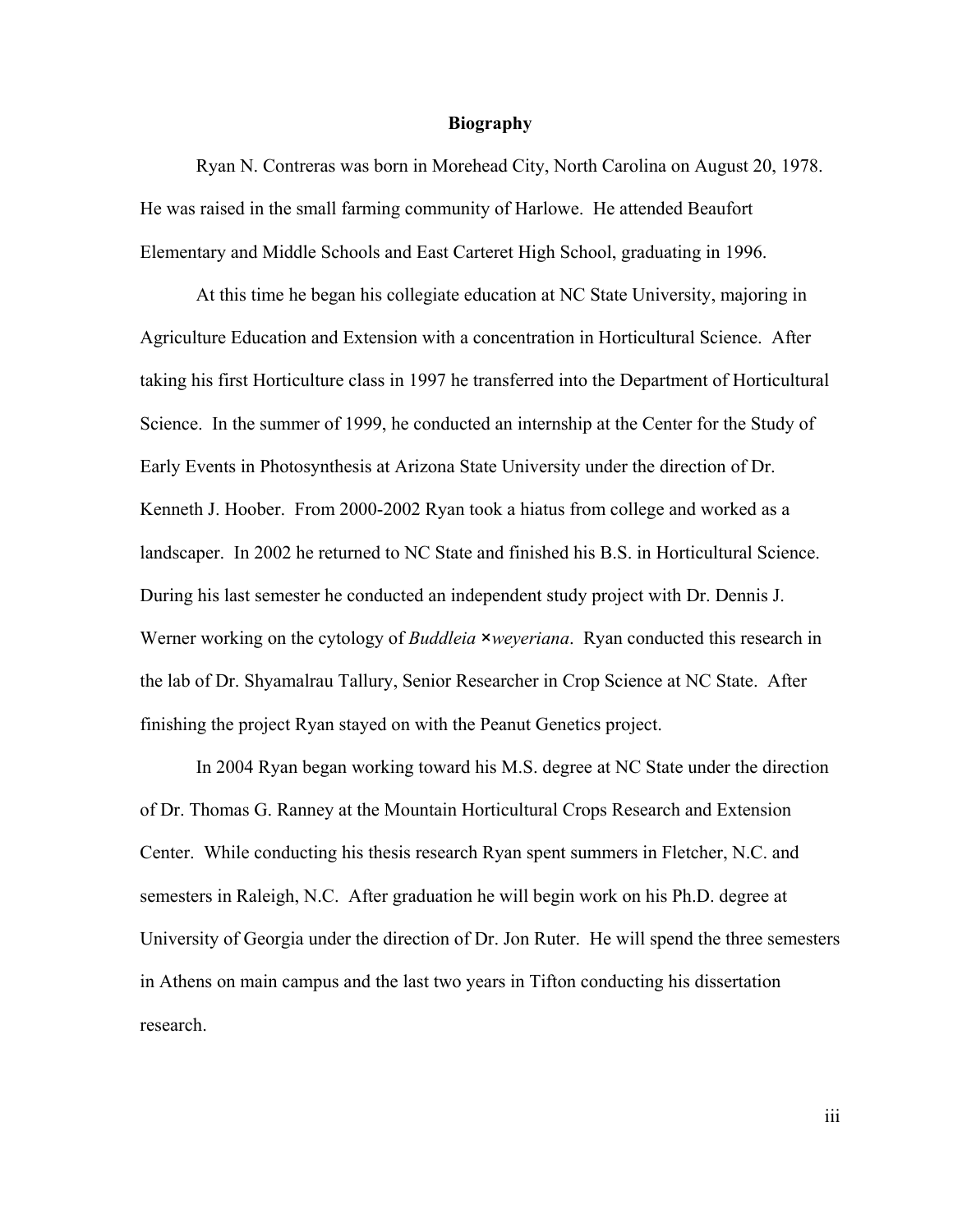#### **Biography**

Ryan N. Contreras was born in Morehead City, North Carolina on August 20, 1978. He was raised in the small farming community of Harlowe. He attended Beaufort Elementary and Middle Schools and East Carteret High School, graduating in 1996.

 At this time he began his collegiate education at NC State University, majoring in Agriculture Education and Extension with a concentration in Horticultural Science. After taking his first Horticulture class in 1997 he transferred into the Department of Horticultural Science. In the summer of 1999, he conducted an internship at the Center for the Study of Early Events in Photosynthesis at Arizona State University under the direction of Dr. Kenneth J. Hoober. From 2000-2002 Ryan took a hiatus from college and worked as a landscaper. In 2002 he returned to NC State and finished his B.S. in Horticultural Science. During his last semester he conducted an independent study project with Dr. Dennis J. Werner working on the cytology of *Buddleia* ×*weyeriana*. Ryan conducted this research in the lab of Dr. Shyamalrau Tallury, Senior Researcher in Crop Science at NC State. After finishing the project Ryan stayed on with the Peanut Genetics project.

 In 2004 Ryan began working toward his M.S. degree at NC State under the direction of Dr. Thomas G. Ranney at the Mountain Horticultural Crops Research and Extension Center. While conducting his thesis research Ryan spent summers in Fletcher, N.C. and semesters in Raleigh, N.C. After graduation he will begin work on his Ph.D. degree at University of Georgia under the direction of Dr. Jon Ruter. He will spend the three semesters in Athens on main campus and the last two years in Tifton conducting his dissertation research.

iii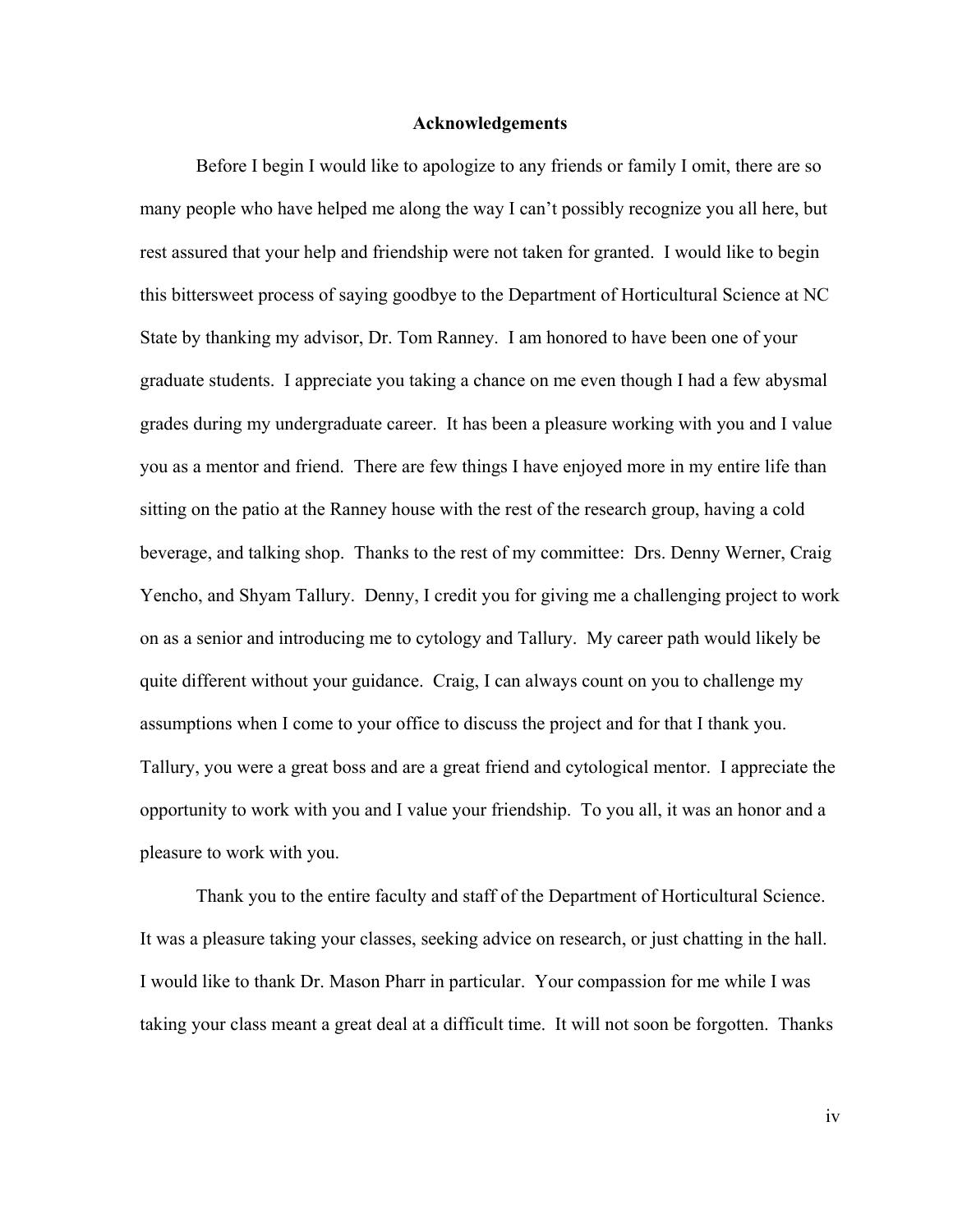#### **Acknowledgements**

 Before I begin I would like to apologize to any friends or family I omit, there are so many people who have helped me along the way I can't possibly recognize you all here, but rest assured that your help and friendship were not taken for granted. I would like to begin this bittersweet process of saying goodbye to the Department of Horticultural Science at NC State by thanking my advisor, Dr. Tom Ranney. I am honored to have been one of your graduate students. I appreciate you taking a chance on me even though I had a few abysmal grades during my undergraduate career. It has been a pleasure working with you and I value you as a mentor and friend. There are few things I have enjoyed more in my entire life than sitting on the patio at the Ranney house with the rest of the research group, having a cold beverage, and talking shop. Thanks to the rest of my committee: Drs. Denny Werner, Craig Yencho, and Shyam Tallury. Denny, I credit you for giving me a challenging project to work on as a senior and introducing me to cytology and Tallury. My career path would likely be quite different without your guidance. Craig, I can always count on you to challenge my assumptions when I come to your office to discuss the project and for that I thank you. Tallury, you were a great boss and are a great friend and cytological mentor. I appreciate the opportunity to work with you and I value your friendship. To you all, it was an honor and a pleasure to work with you.

 Thank you to the entire faculty and staff of the Department of Horticultural Science. It was a pleasure taking your classes, seeking advice on research, or just chatting in the hall. I would like to thank Dr. Mason Pharr in particular. Your compassion for me while I was taking your class meant a great deal at a difficult time. It will not soon be forgotten. Thanks

iv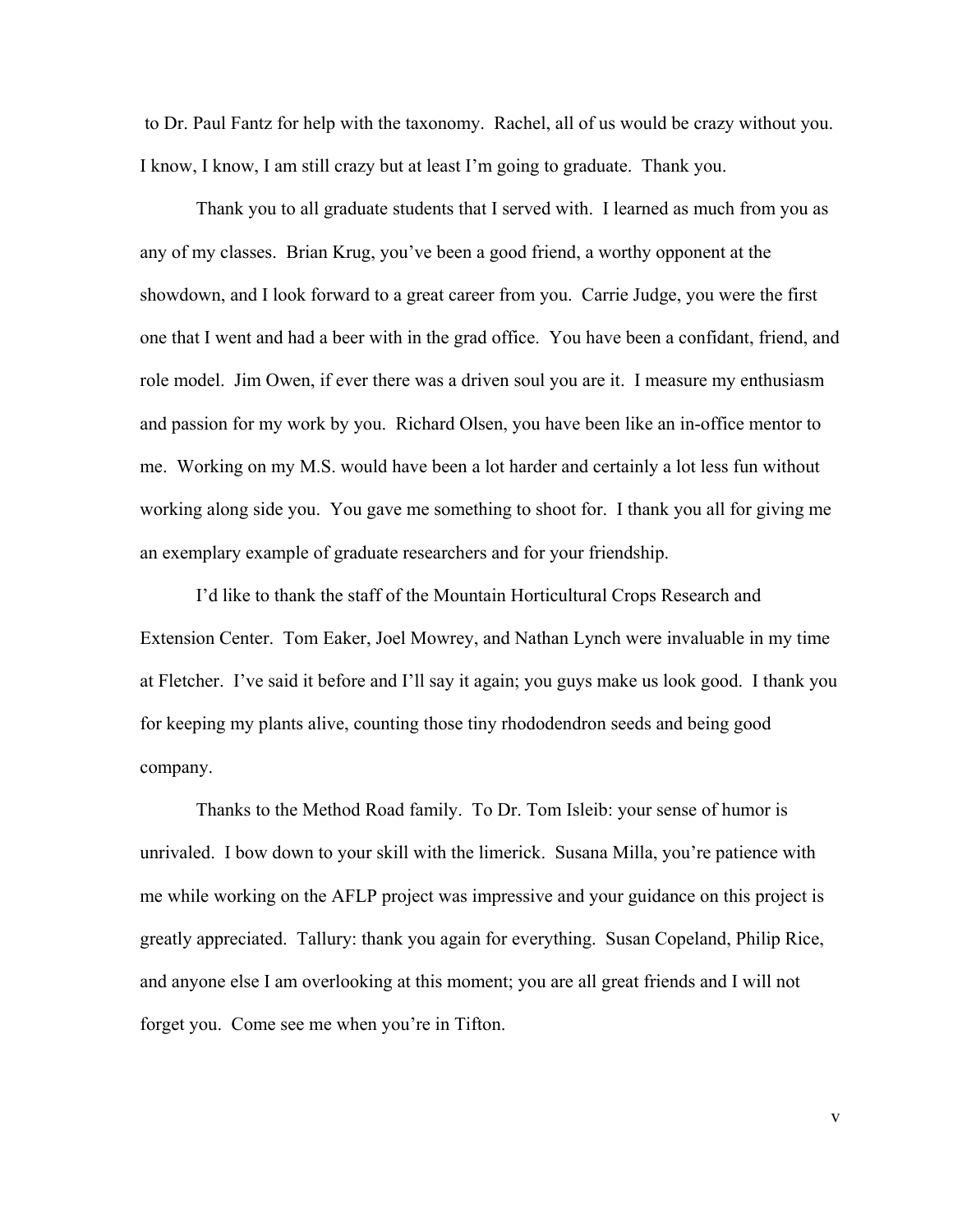to Dr. Paul Fantz for help with the taxonomy. Rachel, all of us would be crazy without you. I know, I know, I am still crazy but at least I'm going to graduate. Thank you.

 Thank you to all graduate students that I served with. I learned as much from you as any of my classes. Brian Krug, you've been a good friend, a worthy opponent at the showdown, and I look forward to a great career from you. Carrie Judge, you were the first one that I went and had a beer with in the grad office. You have been a confidant, friend, and role model. Jim Owen, if ever there was a driven soul you are it. I measure my enthusiasm and passion for my work by you. Richard Olsen, you have been like an in-office mentor to me. Working on my M.S. would have been a lot harder and certainly a lot less fun without working along side you. You gave me something to shoot for. I thank you all for giving me an exemplary example of graduate researchers and for your friendship.

 I'd like to thank the staff of the Mountain Horticultural Crops Research and Extension Center. Tom Eaker, Joel Mowrey, and Nathan Lynch were invaluable in my time at Fletcher. I've said it before and I'll say it again; you guys make us look good. I thank you for keeping my plants alive, counting those tiny rhododendron seeds and being good company.

 Thanks to the Method Road family. To Dr. Tom Isleib: your sense of humor is unrivaled. I bow down to your skill with the limerick. Susana Milla, you're patience with me while working on the AFLP project was impressive and your guidance on this project is greatly appreciated. Tallury: thank you again for everything. Susan Copeland, Philip Rice, and anyone else I am overlooking at this moment; you are all great friends and I will not forget you. Come see me when you're in Tifton.

v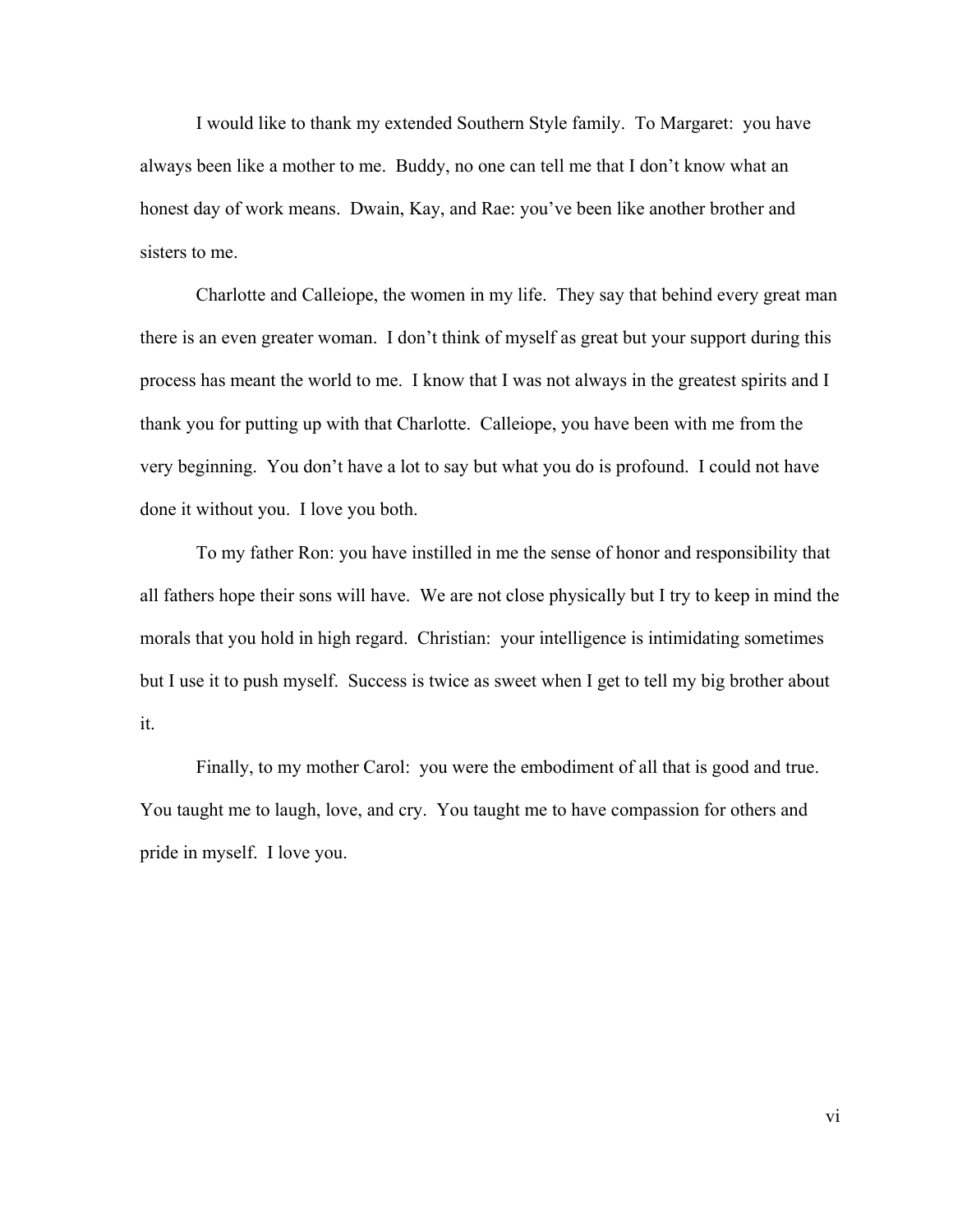I would like to thank my extended Southern Style family. To Margaret: you have always been like a mother to me. Buddy, no one can tell me that I don't know what an honest day of work means. Dwain, Kay, and Rae: you've been like another brother and sisters to me.

 Charlotte and Calleiope, the women in my life. They say that behind every great man there is an even greater woman. I don't think of myself as great but your support during this process has meant the world to me. I know that I was not always in the greatest spirits and I thank you for putting up with that Charlotte. Calleiope, you have been with me from the very beginning. You don't have a lot to say but what you do is profound. I could not have done it without you. I love you both.

 To my father Ron: you have instilled in me the sense of honor and responsibility that all fathers hope their sons will have. We are not close physically but I try to keep in mind the morals that you hold in high regard. Christian: your intelligence is intimidating sometimes but I use it to push myself. Success is twice as sweet when I get to tell my big brother about it.

 Finally, to my mother Carol: you were the embodiment of all that is good and true. You taught me to laugh, love, and cry. You taught me to have compassion for others and pride in myself. I love you.

vi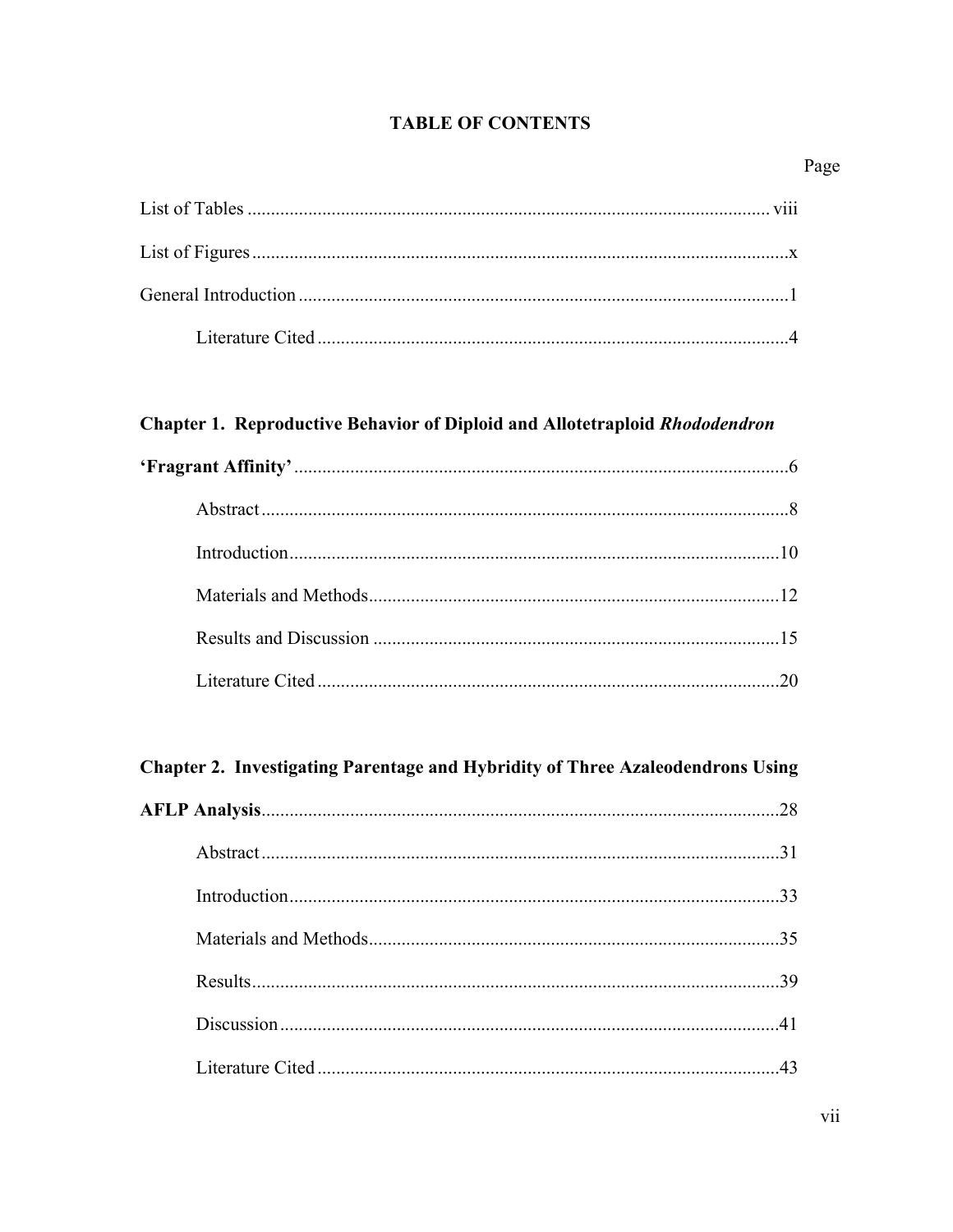## **TABLE OF CONTENTS**

## Page

# Chapter 1. Reproductive Behavior of Diploid and Allotetraploid Rhododendron

# Chapter 2. Investigating Parentage and Hybridity of Three Azaleodendrons Using

|  | 28 |
|--|----|
|  | 31 |
|  | 33 |
|  | 35 |
|  | 39 |
|  |    |
|  |    |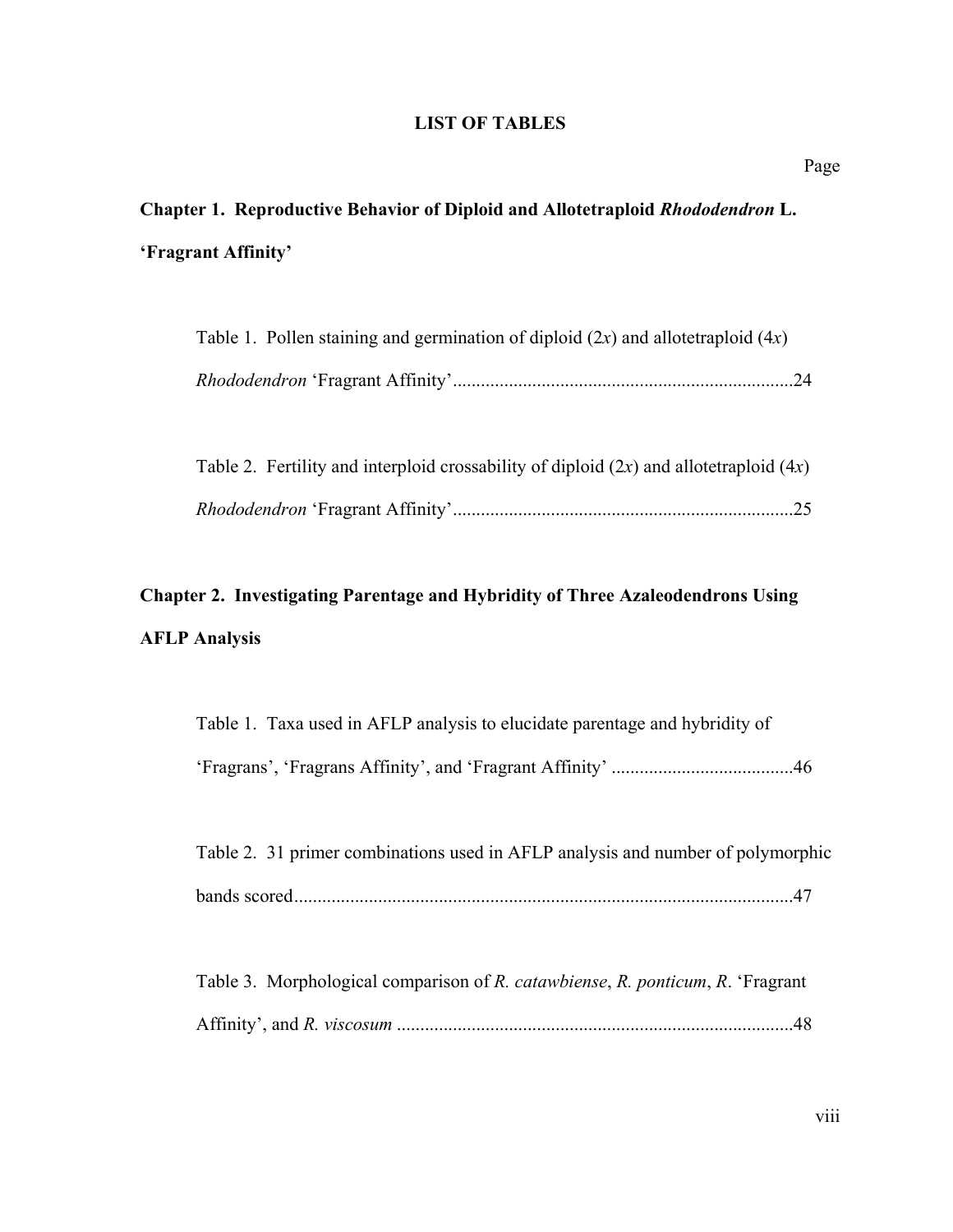### **LIST OF TABLES**

# **Chapter 1. Reproductive Behavior of Diploid and Allotetraploid** *Rhododendron* **L. 'Fragrant Affinity'**

| Table 1. Pollen staining and germination of diploid $(2x)$ and allotetraploid $(4x)$ |  |
|--------------------------------------------------------------------------------------|--|
|                                                                                      |  |

|  | Table 2. Fertility and interploid crossability of diploid $(2x)$ and allotetraploid $(4x)$ |
|--|--------------------------------------------------------------------------------------------|
|  |                                                                                            |

# **Chapter 2. Investigating Parentage and Hybridity of Three Azaleodendrons Using AFLP Analysis**

| Table 1. Taxa used in AFLP analysis to elucidate parentage and hybridity of |  |
|-----------------------------------------------------------------------------|--|
|                                                                             |  |

| Table 2. 31 primer combinations used in AFLP analysis and number of polymorphic |  |
|---------------------------------------------------------------------------------|--|
|                                                                                 |  |

| Table 3. Morphological comparison of R. catawbiense, R. ponticum, R. 'Fragrant' |  |  |
|---------------------------------------------------------------------------------|--|--|
|                                                                                 |  |  |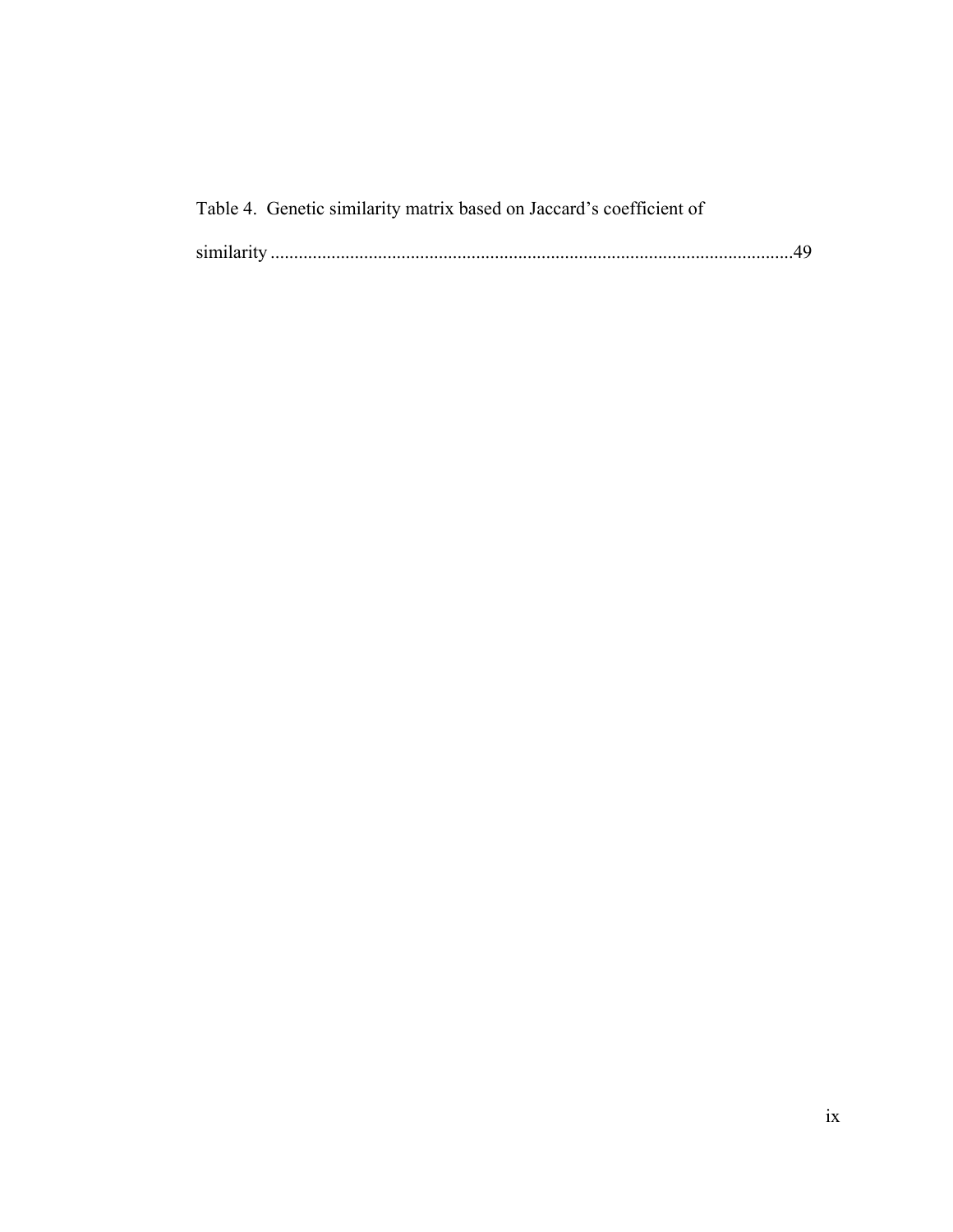|            | Table 4. Genetic similarity matrix based on Jaccard's coefficient of |  |
|------------|----------------------------------------------------------------------|--|
| similarity |                                                                      |  |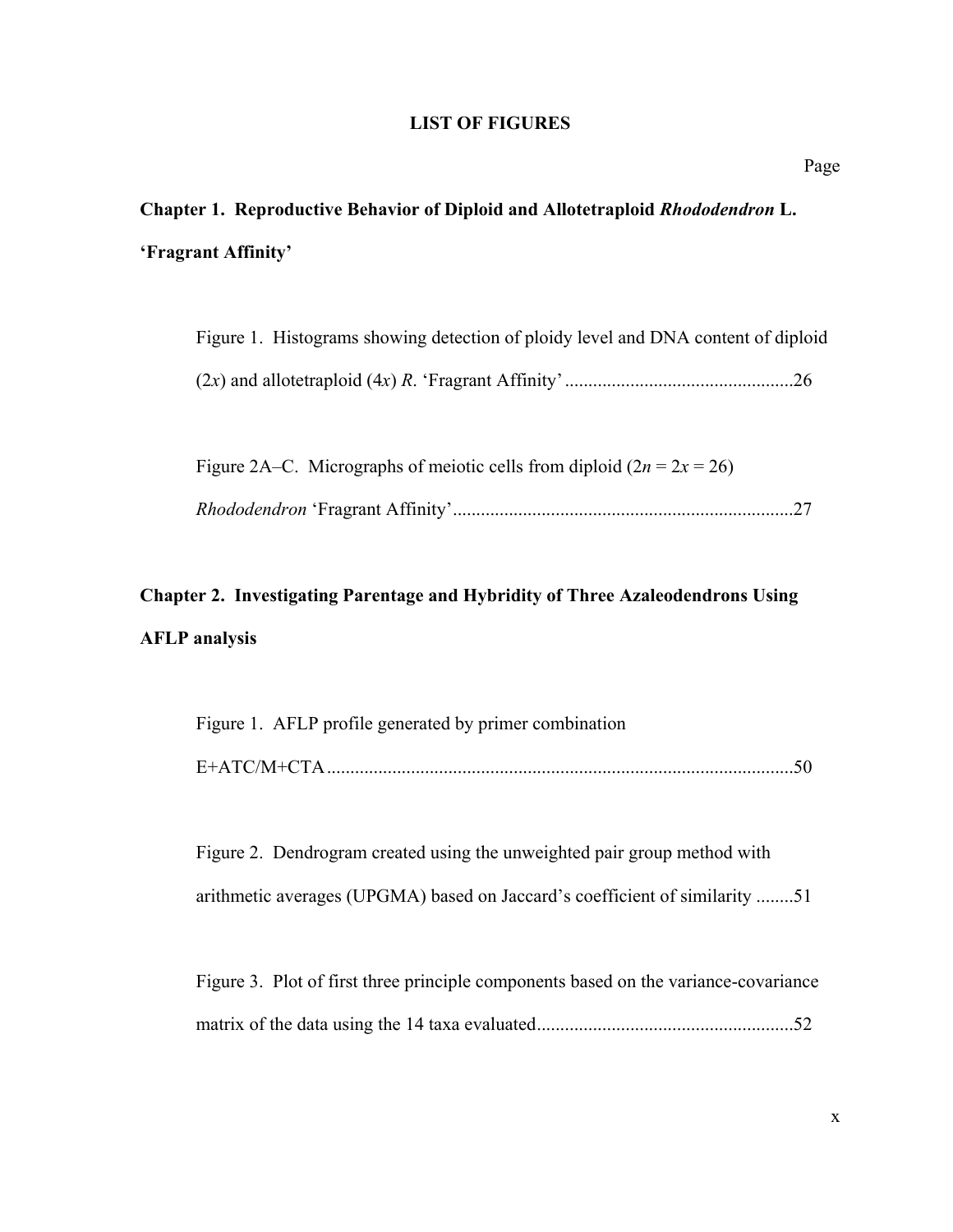#### **LIST OF FIGURES**

# **Chapter 1. Reproductive Behavior of Diploid and Allotetraploid** *Rhododendron* **L. 'Fragrant Affinity'**

|  | Figure 1. Histograms showing detection of ploidy level and DNA content of diploid |  |  |  |  |
|--|-----------------------------------------------------------------------------------|--|--|--|--|
|  |                                                                                   |  |  |  |  |

| Figure 2A–C. Micrographs of meiotic cells from diploid $(2n = 2x = 26)$ |  |
|-------------------------------------------------------------------------|--|
|                                                                         |  |

# **Chapter 2. Investigating Parentage and Hybridity of Three Azaleodendrons Using AFLP analysis**

| Figure 1. AFLP profile generated by primer combination |  |
|--------------------------------------------------------|--|
| E+ATC/M+CTA                                            |  |

 Figure 2. Dendrogram created using the unweighted pair group method with arithmetic averages (UPGMA) based on Jaccard's coefficient of similarity ........51

 Figure 3. Plot of first three principle components based on the variance-covariance matrix of the data using the 14 taxa evaluated.......................................................52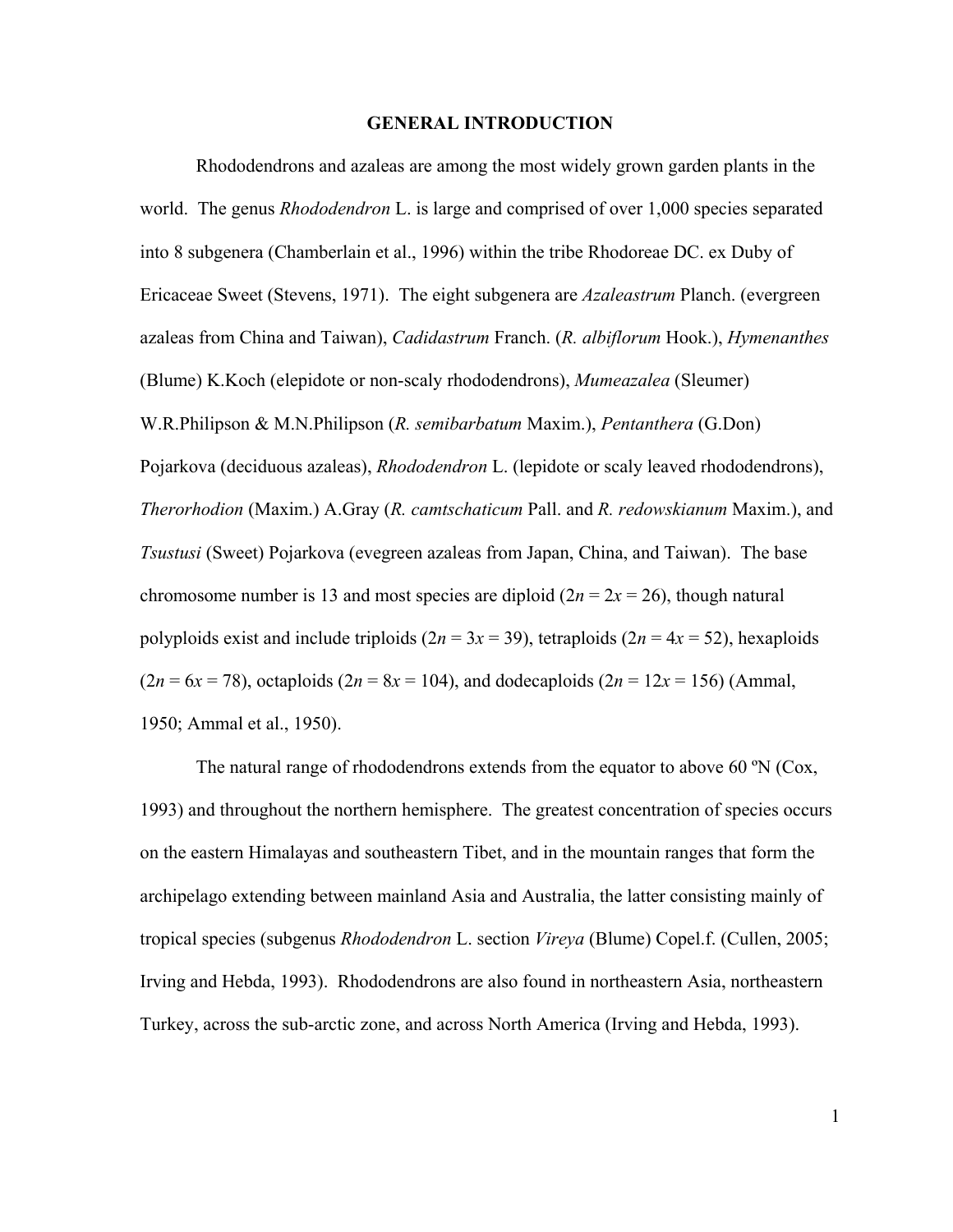#### **GENERAL INTRODUCTION**

 Rhododendrons and azaleas are among the most widely grown garden plants in the world. The genus *Rhododendron* L. is large and comprised of over 1,000 species separated into 8 subgenera (Chamberlain et al., 1996) within the tribe Rhodoreae DC. ex Duby of Ericaceae Sweet (Stevens, 1971). The eight subgenera are *Azaleastrum* Planch. (evergreen azaleas from China and Taiwan), *Cadidastrum* Franch. (*R. albiflorum* Hook.), *Hymenanthes* (Blume) K.Koch (elepidote or non-scaly rhododendrons), *Mumeazalea* (Sleumer) W.R.Philipson & M.N.Philipson (*R. semibarbatum* Maxim.), *Pentanthera* (G.Don) Pojarkova (deciduous azaleas), *Rhododendron* L. (lepidote or scaly leaved rhododendrons), *Therorhodion* (Maxim.) A.Gray (*R. camtschaticum* Pall. and *R. redowskianum* Maxim.), and *Tsustusi* (Sweet) Pojarkova (evegreen azaleas from Japan, China, and Taiwan). The base chromosome number is 13 and most species are diploid  $(2n = 2x = 26)$ , though natural polyploids exist and include triploids  $(2n = 3x = 39)$ , tetraploids  $(2n = 4x = 52)$ , hexaploids  $(2n = 6x = 78)$ , octaploids  $(2n = 8x = 104)$ , and dodecaploids  $(2n = 12x = 156)$  (Ammal, 1950; Ammal et al., 1950).

 The natural range of rhododendrons extends from the equator to above 60 ºN (Cox, 1993) and throughout the northern hemisphere. The greatest concentration of species occurs on the eastern Himalayas and southeastern Tibet, and in the mountain ranges that form the archipelago extending between mainland Asia and Australia, the latter consisting mainly of tropical species (subgenus *Rhododendron* L. section *Vireya* (Blume) Copel.f. (Cullen, 2005; Irving and Hebda, 1993). Rhododendrons are also found in northeastern Asia, northeastern Turkey, across the sub-arctic zone, and across North America (Irving and Hebda, 1993).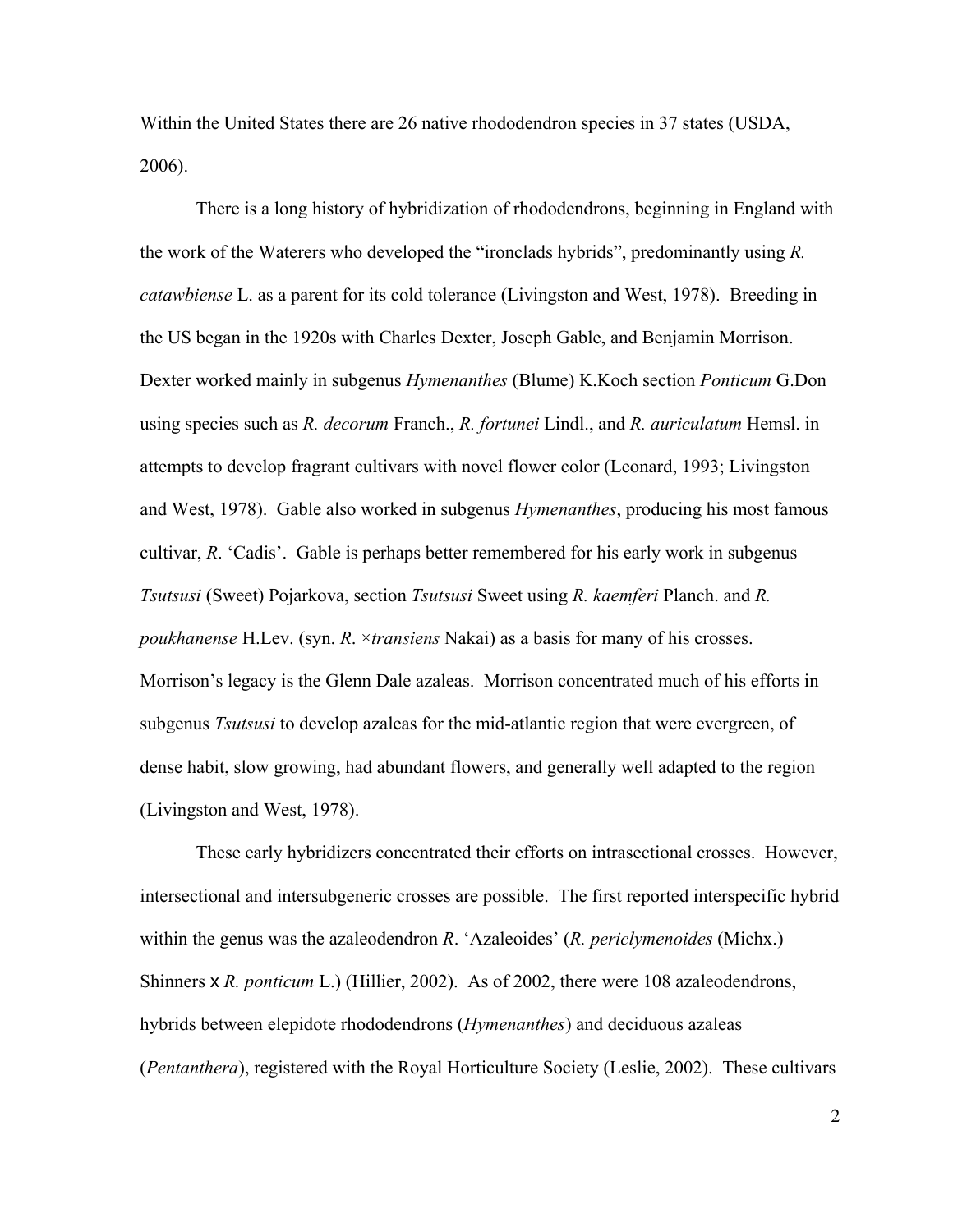Within the United States there are 26 native rhododendron species in 37 states (USDA, 2006).

 There is a long history of hybridization of rhododendrons, beginning in England with the work of the Waterers who developed the "ironclads hybrids", predominantly using *R. catawbiense* L. as a parent for its cold tolerance (Livingston and West, 1978). Breeding in the US began in the 1920s with Charles Dexter, Joseph Gable, and Benjamin Morrison. Dexter worked mainly in subgenus *Hymenanthes* (Blume) K.Koch section *Ponticum* G.Don using species such as *R. decorum* Franch., *R. fortunei* Lindl., and *R. auriculatum* Hemsl. in attempts to develop fragrant cultivars with novel flower color (Leonard, 1993; Livingston and West, 1978). Gable also worked in subgenus *Hymenanthes*, producing his most famous cultivar, *R*. 'Cadis'. Gable is perhaps better remembered for his early work in subgenus *Tsutsusi* (Sweet) Pojarkova, section *Tsutsusi* Sweet using *R. kaemferi* Planch. and *R. poukhanense* H.Lev. (syn. *R*. ×*transiens* Nakai) as a basis for many of his crosses. Morrison's legacy is the Glenn Dale azaleas. Morrison concentrated much of his efforts in subgenus *Tsutsusi* to develop azaleas for the mid-atlantic region that were evergreen, of dense habit, slow growing, had abundant flowers, and generally well adapted to the region (Livingston and West, 1978).

 These early hybridizers concentrated their efforts on intrasectional crosses. However, intersectional and intersubgeneric crosses are possible. The first reported interspecific hybrid within the genus was the azaleodendron *R*. 'Azaleoides' (*R. periclymenoides* (Michx.) Shinners x *R. ponticum* L.) (Hillier, 2002). As of 2002, there were 108 azaleodendrons, hybrids between elepidote rhododendrons (*Hymenanthes*) and deciduous azaleas (*Pentanthera*), registered with the Royal Horticulture Society (Leslie, 2002). These cultivars

 $\mathcal{L}$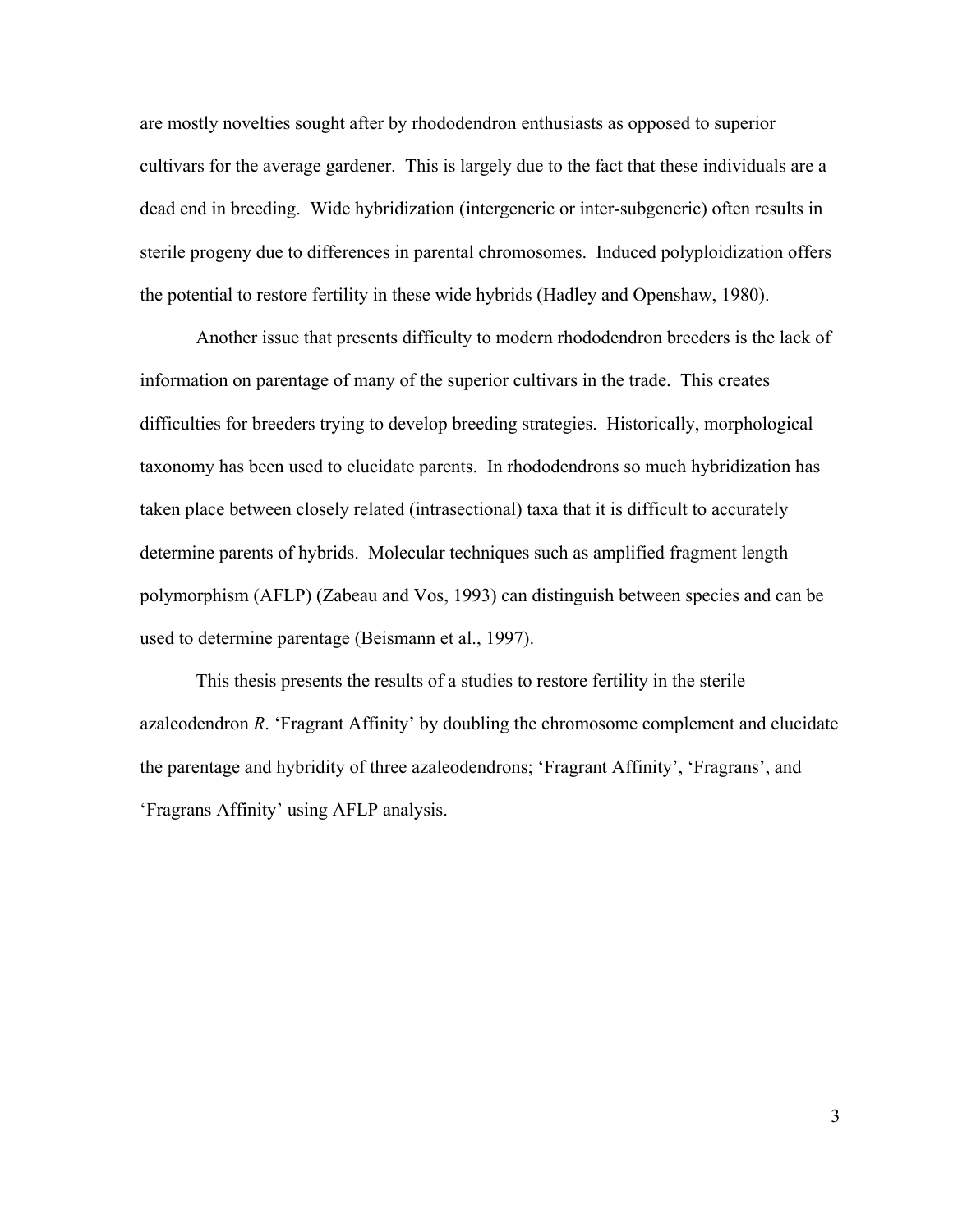are mostly novelties sought after by rhododendron enthusiasts as opposed to superior cultivars for the average gardener. This is largely due to the fact that these individuals are a dead end in breeding. Wide hybridization (intergeneric or inter-subgeneric) often results in sterile progeny due to differences in parental chromosomes. Induced polyploidization offers the potential to restore fertility in these wide hybrids (Hadley and Openshaw, 1980).

 Another issue that presents difficulty to modern rhododendron breeders is the lack of information on parentage of many of the superior cultivars in the trade. This creates difficulties for breeders trying to develop breeding strategies. Historically, morphological taxonomy has been used to elucidate parents. In rhododendrons so much hybridization has taken place between closely related (intrasectional) taxa that it is difficult to accurately determine parents of hybrids. Molecular techniques such as amplified fragment length polymorphism (AFLP) (Zabeau and Vos, 1993) can distinguish between species and can be used to determine parentage (Beismann et al., 1997).

 This thesis presents the results of a studies to restore fertility in the sterile azaleodendron *R*. 'Fragrant Affinity' by doubling the chromosome complement and elucidate the parentage and hybridity of three azaleodendrons; 'Fragrant Affinity', 'Fragrans', and 'Fragrans Affinity' using AFLP analysis.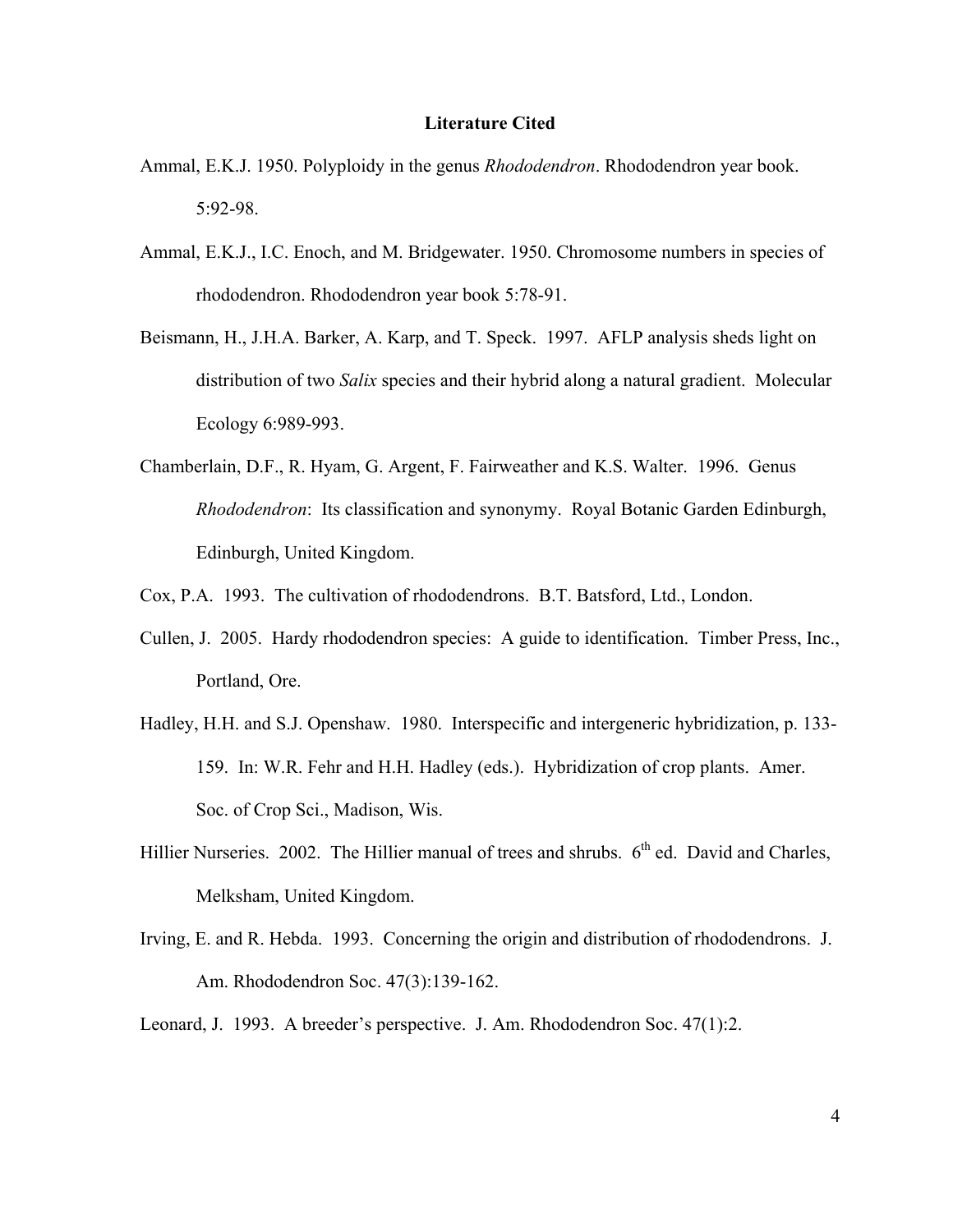#### **Literature Cited**

- Ammal, E.K.J. 1950. Polyploidy in the genus *Rhododendron*. Rhododendron year book. 5:92-98.
- Ammal, E.K.J., I.C. Enoch, and M. Bridgewater. 1950. Chromosome numbers in species of rhododendron. Rhododendron year book 5:78-91.
- Beismann, H., J.H.A. Barker, A. Karp, and T. Speck. 1997. AFLP analysis sheds light on distribution of two *Salix* species and their hybrid along a natural gradient. Molecular Ecology 6:989-993.
- Chamberlain, D.F., R. Hyam, G. Argent, F. Fairweather and K.S. Walter. 1996. Genus *Rhododendron*: Its classification and synonymy. Royal Botanic Garden Edinburgh, Edinburgh, United Kingdom.
- Cox, P.A. 1993. The cultivation of rhododendrons. B.T. Batsford, Ltd., London.
- Cullen, J. 2005. Hardy rhododendron species: A guide to identification. Timber Press, Inc., Portland, Ore.
- Hadley, H.H. and S.J. Openshaw. 1980. Interspecific and intergeneric hybridization, p. 133- 159. In: W.R. Fehr and H.H. Hadley (eds.). Hybridization of crop plants. Amer. Soc. of Crop Sci., Madison, Wis.
- Hillier Nurseries. 2002. The Hillier manual of trees and shrubs. 6<sup>th</sup> ed. David and Charles, Melksham, United Kingdom.
- Irving, E. and R. Hebda. 1993. Concerning the origin and distribution of rhododendrons. J. Am. Rhododendron Soc. 47(3):139-162.
- Leonard, J. 1993. A breeder's perspective. J. Am. Rhododendron Soc. 47(1):2.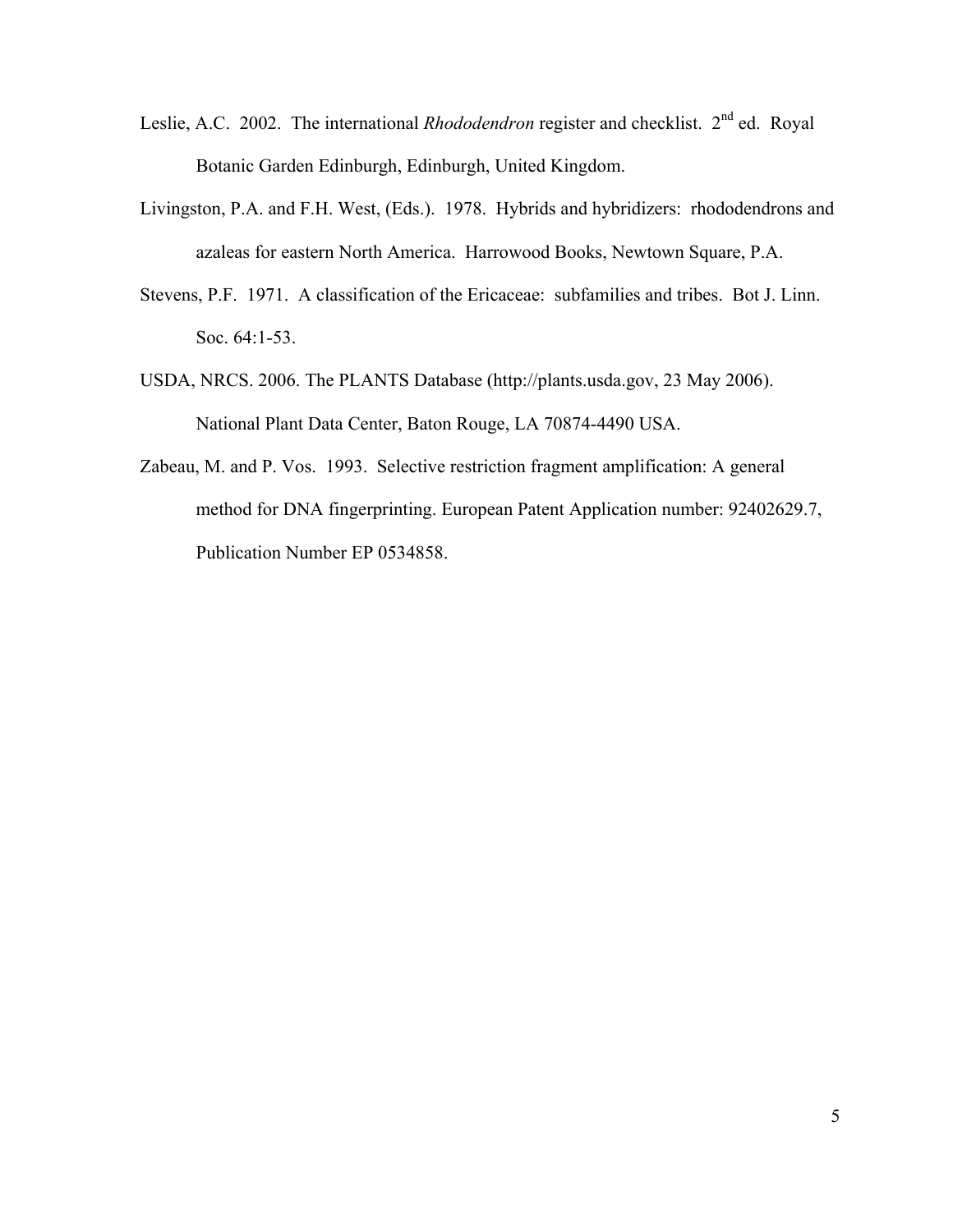- Leslie, A.C. 2002. The international *Rhododendron* register and checklist. 2<sup>nd</sup> ed. Royal Botanic Garden Edinburgh, Edinburgh, United Kingdom.
- Livingston, P.A. and F.H. West, (Eds.). 1978. Hybrids and hybridizers: rhododendrons and azaleas for eastern North America. Harrowood Books, Newtown Square, P.A.
- Stevens, P.F. 1971. A classification of the Ericaceae: subfamilies and tribes. Bot J. Linn. Soc. 64:1-53.
- USDA, NRCS. 2006. The PLANTS Database (http://plants.usda.gov, 23 May 2006). National Plant Data Center, Baton Rouge, LA 70874-4490 USA.
- Zabeau, M. and P. Vos. 1993. Selective restriction fragment amplification: A general method for DNA fingerprinting. European Patent Application number: 92402629.7, Publication Number EP 0534858.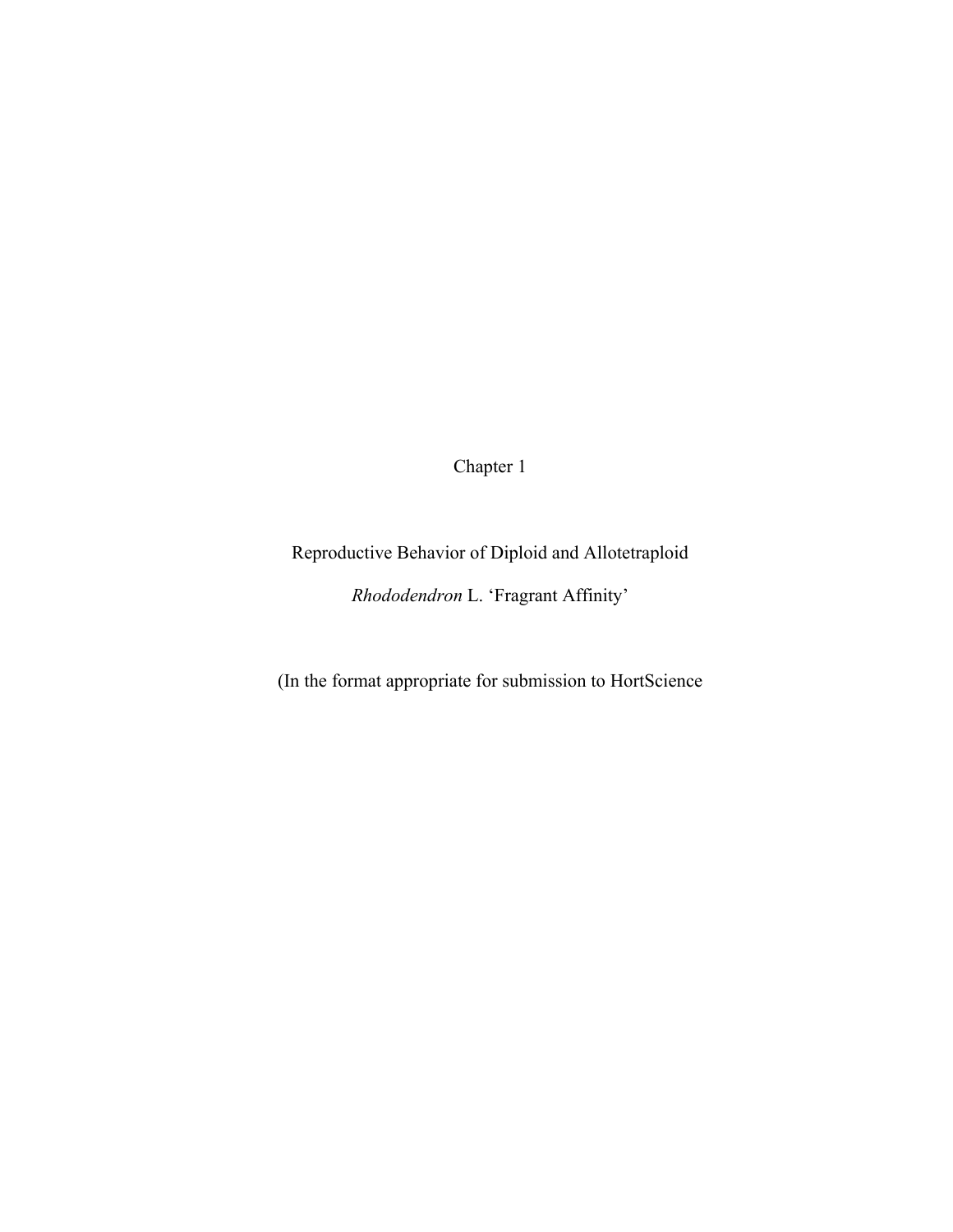Chapter 1

Reproductive Behavior of Diploid and Allotetraploid

*Rhododendron* L. 'Fragrant Affinity'

(In the format appropriate for submission to HortScience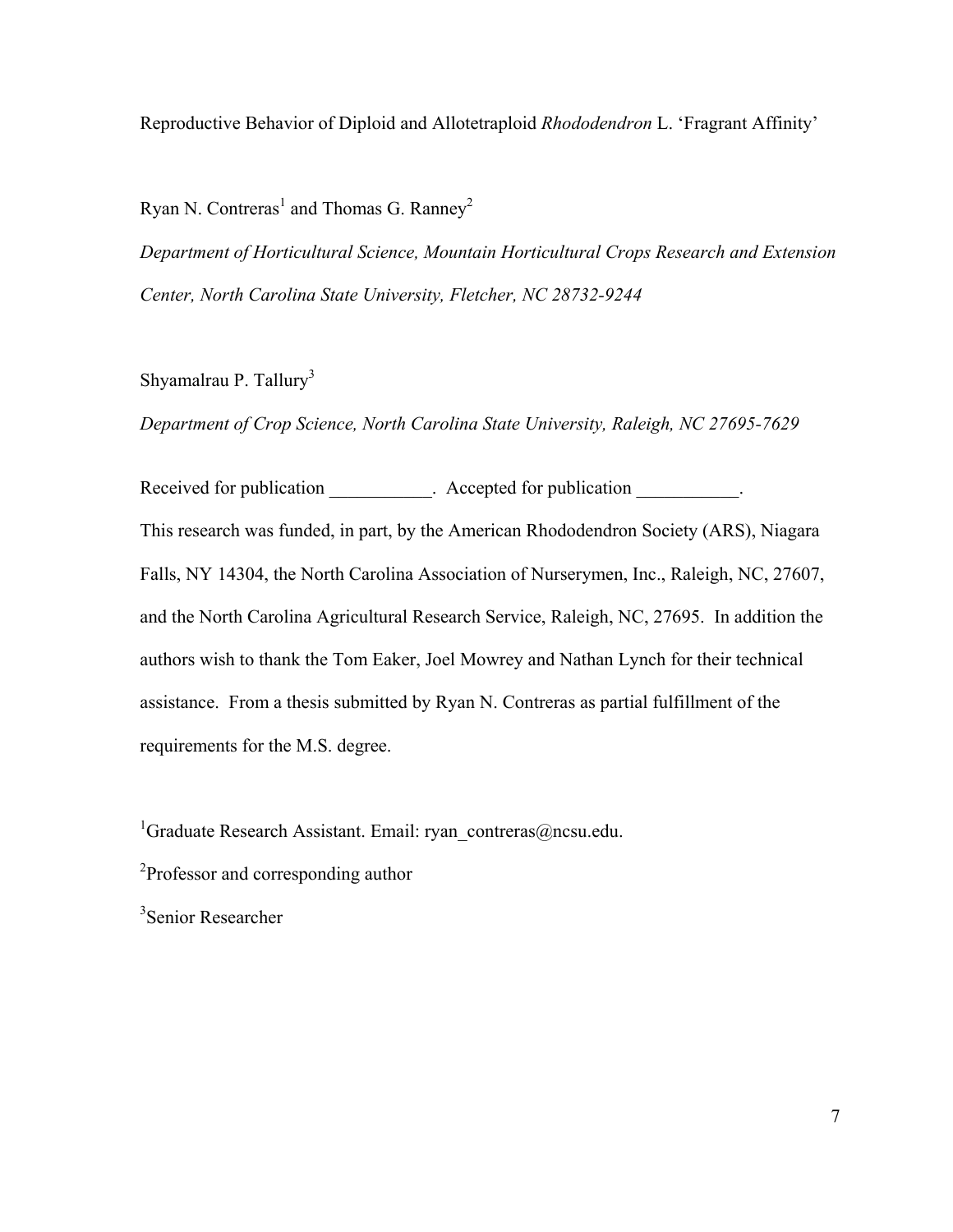Reproductive Behavior of Diploid and Allotetraploid *Rhododendron* L. 'Fragrant Affinity'

Ryan N. Contreras<sup>1</sup> and Thomas G. Ranney<sup>2</sup>

*Department of Horticultural Science, Mountain Horticultural Crops Research and Extension Center, North Carolina State University, Fletcher, NC 28732-9244* 

Shyamalrau P. Tallury<sup>3</sup>

*Department of Crop Science, North Carolina State University, Raleigh, NC 27695-7629* 

Received for publication **Received for publication Received for publication Received for publication** This research was funded, in part, by the American Rhododendron Society (ARS), Niagara Falls, NY 14304, the North Carolina Association of Nurserymen, Inc., Raleigh, NC, 27607, and the North Carolina Agricultural Research Service, Raleigh, NC, 27695. In addition the authors wish to thank the Tom Eaker, Joel Mowrey and Nathan Lynch for their technical assistance. From a thesis submitted by Ryan N. Contreras as partial fulfillment of the requirements for the M.S. degree.

<sup>1</sup>Graduate Research Assistant. Email: ryan\_contreras@ncsu.edu.

<sup>2</sup>Professor and corresponding author

3 Senior Researcher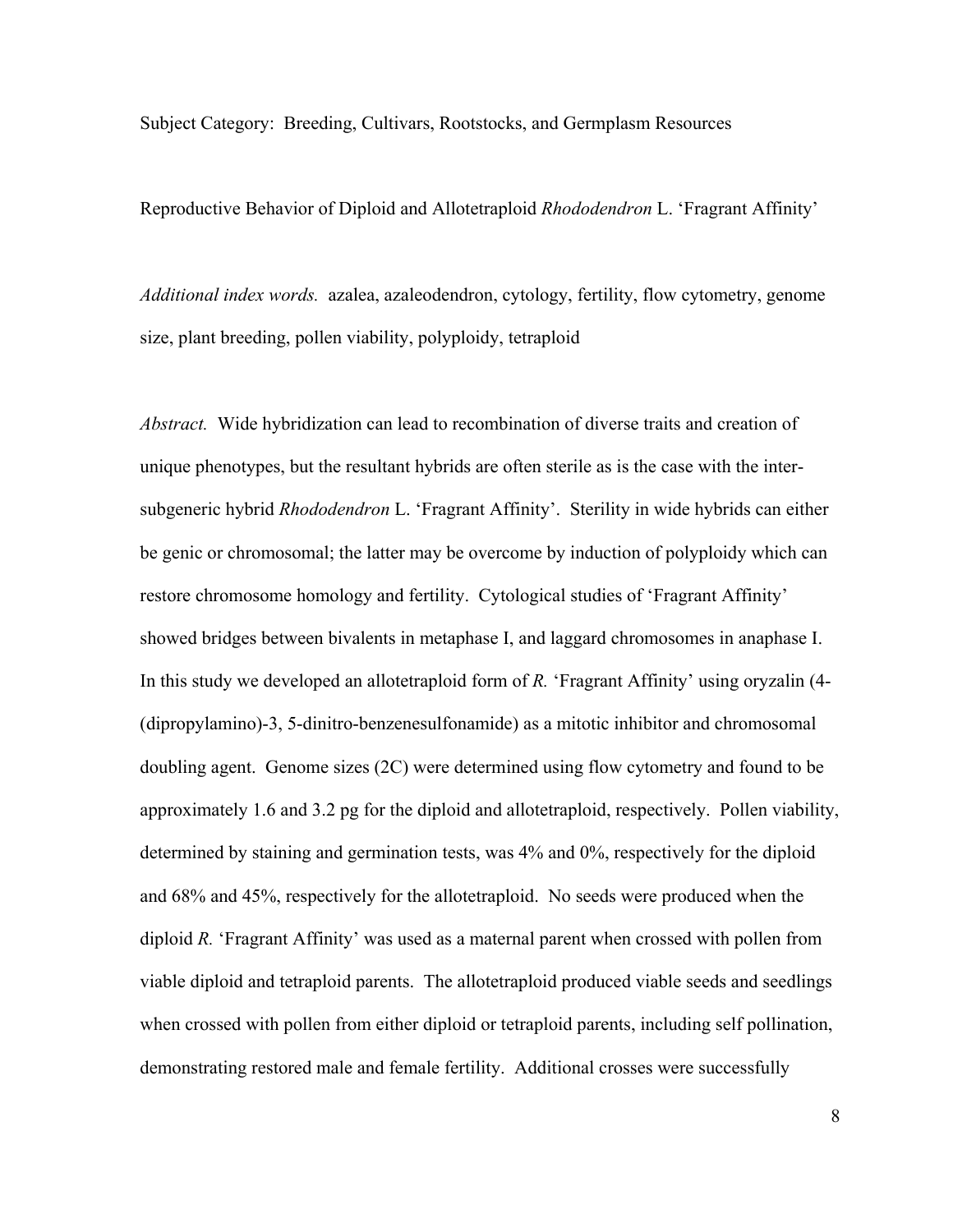Subject Category: Breeding, Cultivars, Rootstocks, and Germplasm Resources

Reproductive Behavior of Diploid and Allotetraploid *Rhododendron* L. 'Fragrant Affinity'

*Additional index words.* azalea, azaleodendron, cytology, fertility, flow cytometry, genome size, plant breeding, pollen viability, polyploidy, tetraploid

*Abstract.* Wide hybridization can lead to recombination of diverse traits and creation of unique phenotypes, but the resultant hybrids are often sterile as is the case with the intersubgeneric hybrid *Rhododendron* L. 'Fragrant Affinity'. Sterility in wide hybrids can either be genic or chromosomal; the latter may be overcome by induction of polyploidy which can restore chromosome homology and fertility. Cytological studies of 'Fragrant Affinity' showed bridges between bivalents in metaphase I, and laggard chromosomes in anaphase I. In this study we developed an allotetraploid form of *R.* 'Fragrant Affinity' using oryzalin (4- (dipropylamino)-3, 5-dinitro-benzenesulfonamide) as a mitotic inhibitor and chromosomal doubling agent. Genome sizes (2C) were determined using flow cytometry and found to be approximately 1.6 and 3.2 pg for the diploid and allotetraploid, respectively. Pollen viability, determined by staining and germination tests, was 4% and 0%, respectively for the diploid and 68% and 45%, respectively for the allotetraploid. No seeds were produced when the diploid *R.* 'Fragrant Affinity' was used as a maternal parent when crossed with pollen from viable diploid and tetraploid parents. The allotetraploid produced viable seeds and seedlings when crossed with pollen from either diploid or tetraploid parents, including self pollination, demonstrating restored male and female fertility. Additional crosses were successfully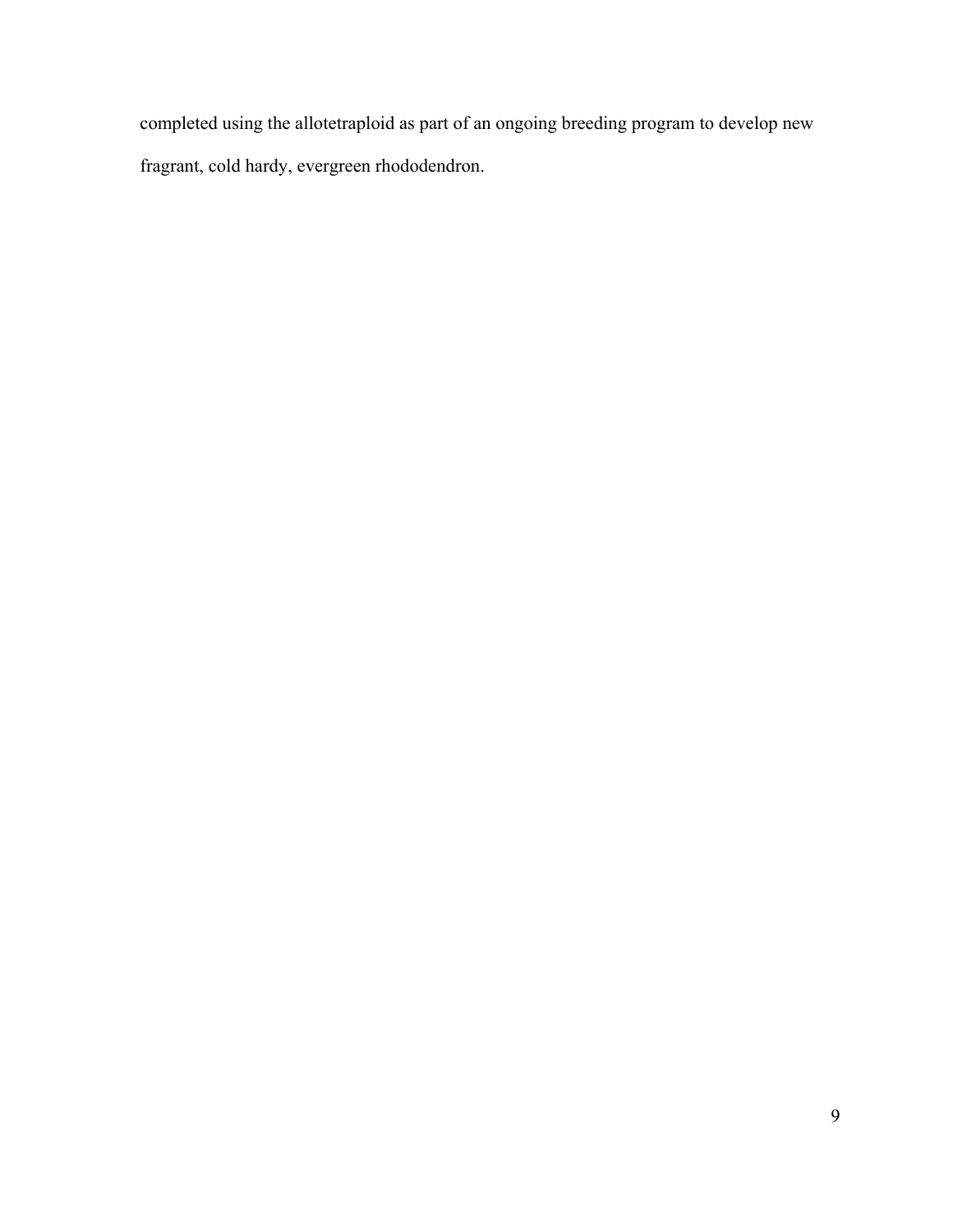completed using the allotetraploid as part of an ongoing breeding program to develop new fragrant, cold hardy, evergreen rhododendron.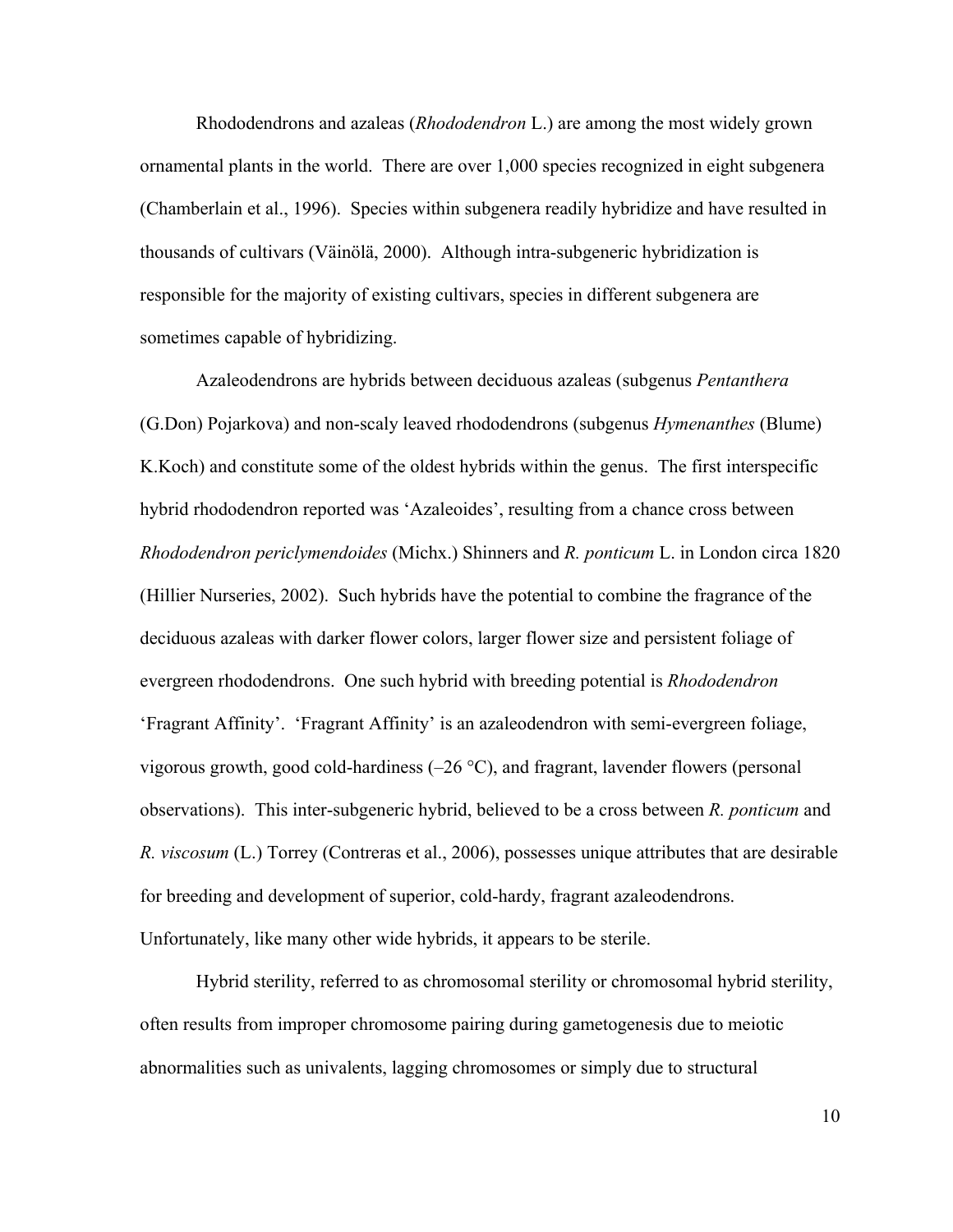Rhododendrons and azaleas (*Rhododendron* L.) are among the most widely grown ornamental plants in the world. There are over 1,000 species recognized in eight subgenera (Chamberlain et al., 1996). Species within subgenera readily hybridize and have resulted in thousands of cultivars (Väinölä, 2000). Although intra-subgeneric hybridization is responsible for the majority of existing cultivars, species in different subgenera are sometimes capable of hybridizing.

 Azaleodendrons are hybrids between deciduous azaleas (subgenus *Pentanthera* (G.Don) Pojarkova) and non-scaly leaved rhododendrons (subgenus *Hymenanthes* (Blume) K.Koch) and constitute some of the oldest hybrids within the genus. The first interspecific hybrid rhododendron reported was 'Azaleoides', resulting from a chance cross between *Rhododendron periclymendoides* (Michx.) Shinners and *R. ponticum* L. in London circa 1820 (Hillier Nurseries, 2002). Such hybrids have the potential to combine the fragrance of the deciduous azaleas with darker flower colors, larger flower size and persistent foliage of evergreen rhododendrons. One such hybrid with breeding potential is *Rhododendron* 'Fragrant Affinity'. 'Fragrant Affinity' is an azaleodendron with semi-evergreen foliage, vigorous growth, good cold-hardiness  $(-26 \degree C)$ , and fragrant, lavender flowers (personal observations). This inter-subgeneric hybrid, believed to be a cross between *R. ponticum* and *R. viscosum* (L.) Torrey (Contreras et al., 2006), possesses unique attributes that are desirable for breeding and development of superior, cold-hardy, fragrant azaleodendrons. Unfortunately, like many other wide hybrids, it appears to be sterile.

 Hybrid sterility, referred to as chromosomal sterility or chromosomal hybrid sterility, often results from improper chromosome pairing during gametogenesis due to meiotic abnormalities such as univalents, lagging chromosomes or simply due to structural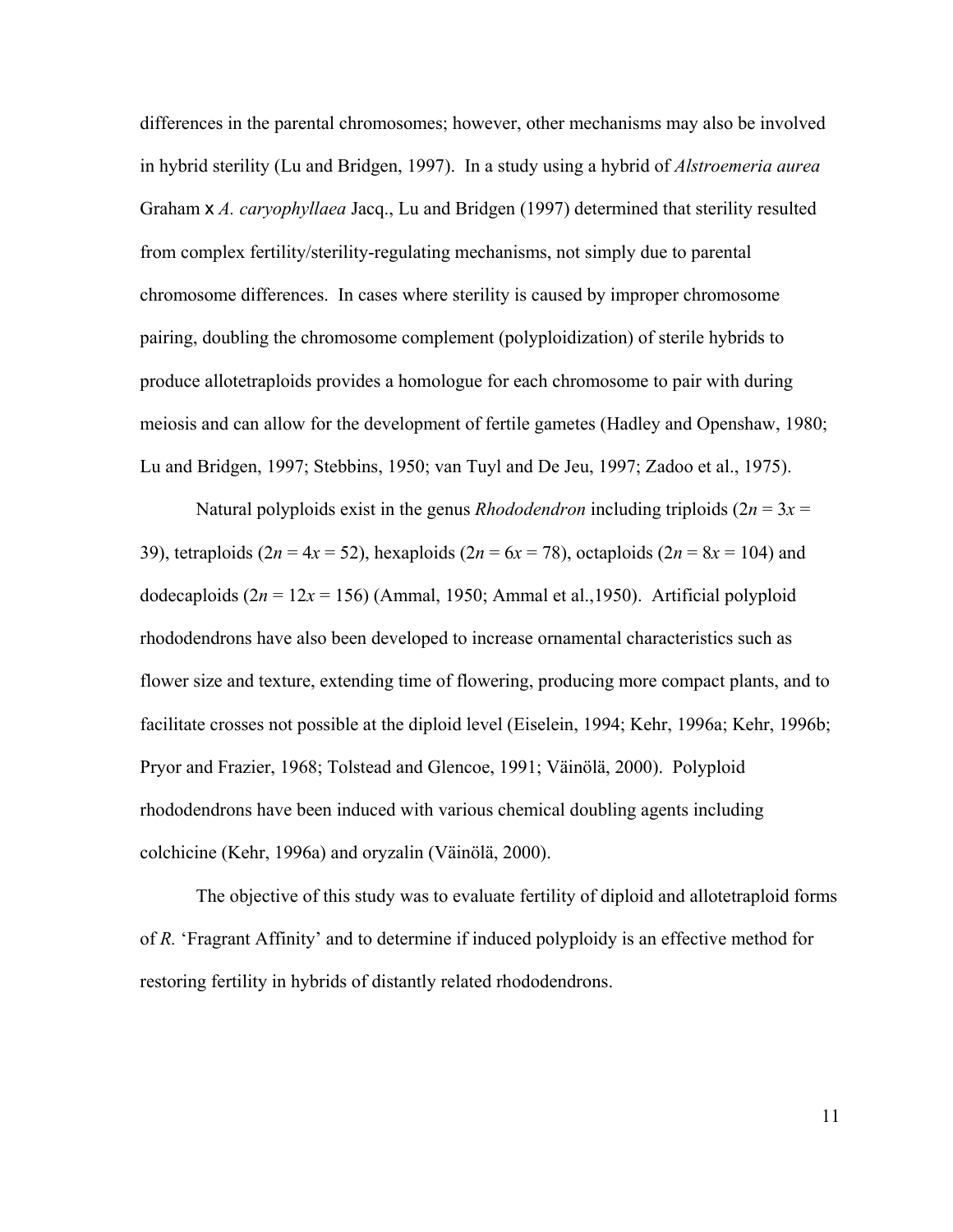differences in the parental chromosomes; however, other mechanisms may also be involved in hybrid sterility (Lu and Bridgen, 1997). In a study using a hybrid of *Alstroemeria aurea* Graham x *A. caryophyllaea* Jacq., Lu and Bridgen (1997) determined that sterility resulted from complex fertility/sterility-regulating mechanisms, not simply due to parental chromosome differences. In cases where sterility is caused by improper chromosome pairing, doubling the chromosome complement (polyploidization) of sterile hybrids to produce allotetraploids provides a homologue for each chromosome to pair with during meiosis and can allow for the development of fertile gametes (Hadley and Openshaw, 1980; Lu and Bridgen, 1997; Stebbins, 1950; van Tuyl and De Jeu, 1997; Zadoo et al., 1975).

Natural polyploids exist in the genus *Rhododendron* including triploids  $(2n = 3x =$ 39), tetraploids  $(2n = 4x = 52)$ , hexaploids  $(2n = 6x = 78)$ , octaploids  $(2n = 8x = 104)$  and dodecaploids  $(2n = 12x = 156)$  (Ammal, 1950; Ammal et al., 1950). Artificial polyploid rhododendrons have also been developed to increase ornamental characteristics such as flower size and texture, extending time of flowering, producing more compact plants, and to facilitate crosses not possible at the diploid level (Eiselein, 1994; Kehr, 1996a; Kehr, 1996b; Pryor and Frazier, 1968; Tolstead and Glencoe, 1991; Väinölä, 2000). Polyploid rhododendrons have been induced with various chemical doubling agents including colchicine (Kehr, 1996a) and oryzalin (Väinölä, 2000).

The objective of this study was to evaluate fertility of diploid and allotetraploid forms of *R.* 'Fragrant Affinity' and to determine if induced polyploidy is an effective method for restoring fertility in hybrids of distantly related rhododendrons.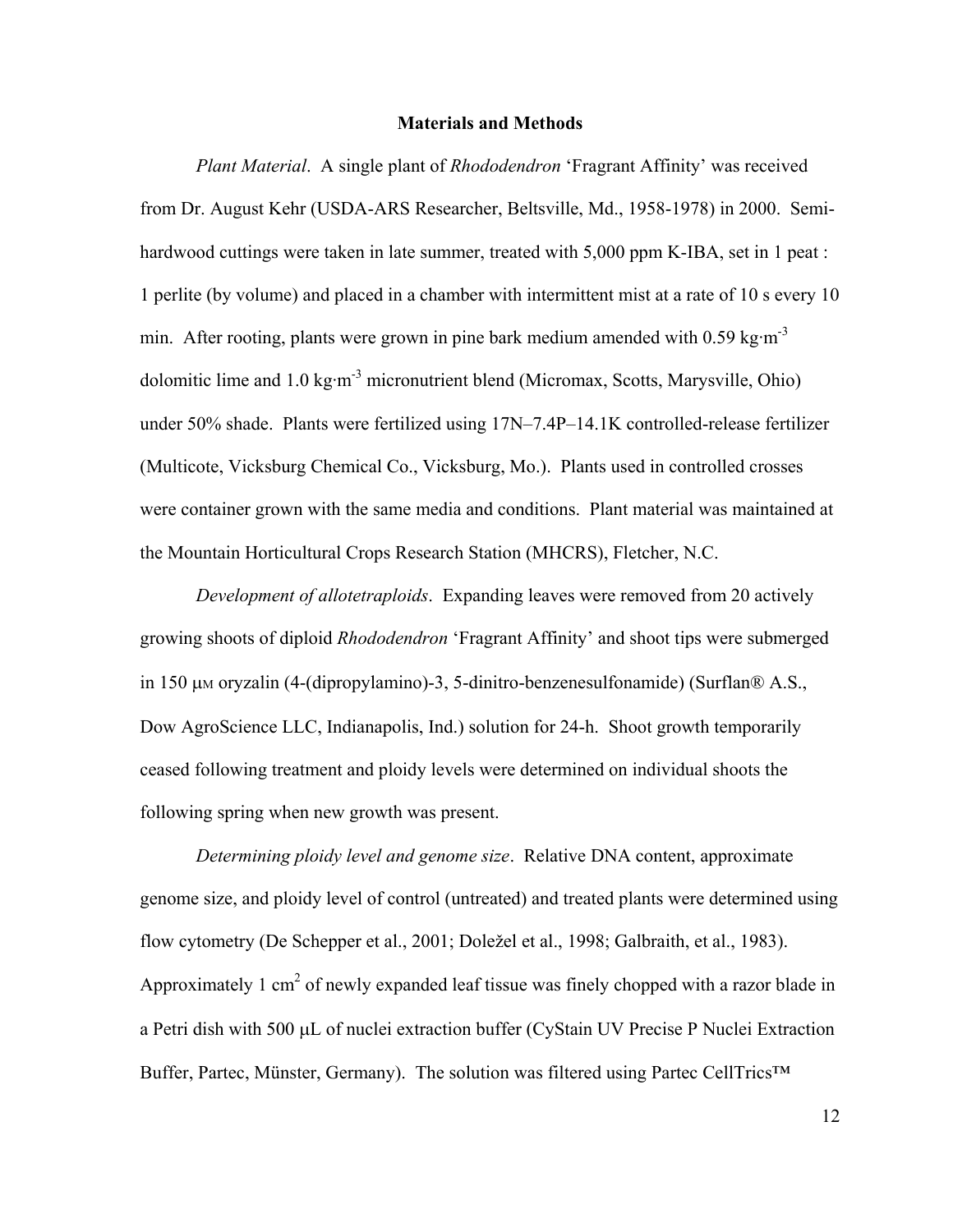#### **Materials and Methods**

 *Plant Material*.A single plant of *Rhododendron* 'Fragrant Affinity' was received from Dr. August Kehr (USDA-ARS Researcher, Beltsville, Md., 1958-1978) in 2000. Semihardwood cuttings were taken in late summer, treated with 5,000 ppm K-IBA, set in 1 peat : 1 perlite (by volume) and placed in a chamber with intermittent mist at a rate of 10 s every 10 min. After rooting, plants were grown in pine bark medium amended with  $0.59 \text{ kg} \cdot \text{m}^{-3}$ dolomitic lime and  $1.0 \text{ kg} \cdot \text{m}^3$  micronutrient blend (Micromax, Scotts, Marysville, Ohio) under 50% shade. Plants were fertilized using 17N–7.4P–14.1K controlled-release fertilizer (Multicote, Vicksburg Chemical Co., Vicksburg, Mo.). Plants used in controlled crosses were container grown with the same media and conditions. Plant material was maintained at the Mountain Horticultural Crops Research Station (MHCRS), Fletcher, N.C.

 *Development of allotetraploids*. Expanding leaves were removed from 20 actively growing shoots of diploid *Rhododendron* 'Fragrant Affinity' and shoot tips were submerged in 150 µM oryzalin (4-(dipropylamino)-3, 5-dinitro-benzenesulfonamide) (Surflan® A.S., Dow AgroScience LLC, Indianapolis, Ind.) solution for 24-h. Shoot growth temporarily ceased following treatment and ploidy levels were determined on individual shoots the following spring when new growth was present.

*Determining ploidy level and genome size*. Relative DNA content, approximate genome size, and ploidy level of control (untreated) and treated plants were determined using flow cytometry (De Schepper et al., 2001; Doležel et al., 1998; Galbraith, et al., 1983). Approximately 1 cm<sup>2</sup> of newly expanded leaf tissue was finely chopped with a razor blade in a Petri dish with 500 µL of nuclei extraction buffer (CyStain UV Precise P Nuclei Extraction Buffer, Partec, Münster, Germany). The solution was filtered using Partec CellTrics<sup>™</sup>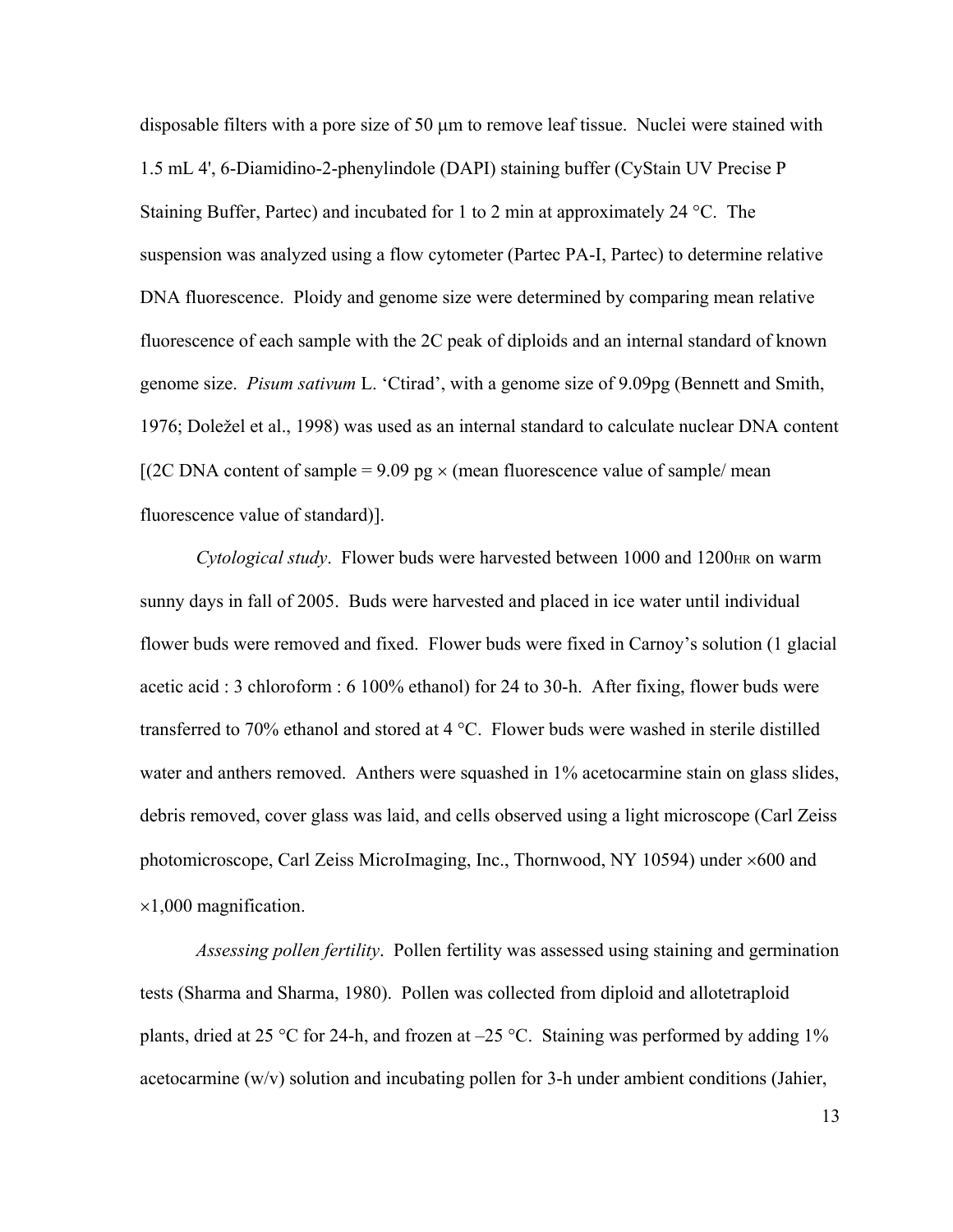disposable filters with a pore size of 50 µm to remove leaf tissue. Nuclei were stained with 1.5 mL 4', 6-Diamidino-2-phenylindole (DAPI) staining buffer (CyStain UV Precise P Staining Buffer, Partec) and incubated for 1 to 2 min at approximately 24 °C. The suspension was analyzed using a flow cytometer (Partec PA-I, Partec) to determine relative DNA fluorescence. Ploidy and genome size were determined by comparing mean relative fluorescence of each sample with the 2C peak of diploids and an internal standard of known genome size. *Pisum sativum* L. 'Ctirad', with a genome size of 9.09pg (Bennett and Smith, 1976; Doležel et al., 1998) was used as an internal standard to calculate nuclear DNA content  $[(2C \text{ DNA content of sample} = 9.09 \text{ pg} \times (\text{mean fluorescence value of sample/mean})]$ fluorescence value of standard)].

*Cytological study*. Flower buds were harvested between 1000 and 1200<sub>HR</sub> on warm sunny days in fall of 2005. Buds were harvested and placed in ice water until individual flower buds were removed and fixed. Flower buds were fixed in Carnoy's solution (1 glacial acetic acid : 3 chloroform : 6 100% ethanol) for 24 to 30-h. After fixing, flower buds were transferred to 70% ethanol and stored at 4 °C. Flower buds were washed in sterile distilled water and anthers removed. Anthers were squashed in 1% acetocarmine stain on glass slides, debris removed, cover glass was laid, and cells observed using a light microscope (Carl Zeiss photomicroscope, Carl Zeiss MicroImaging, Inc., Thornwood, NY 10594) under ×600 and  $\times1,000$  magnification.

 *Assessing pollen fertility*. Pollen fertility was assessed using staining and germination tests (Sharma and Sharma, 1980). Pollen was collected from diploid and allotetraploid plants, dried at 25 °C for 24-h, and frozen at  $-25$  °C. Staining was performed by adding 1% acetocarmine (w/v) solution and incubating pollen for 3-h under ambient conditions (Jahier,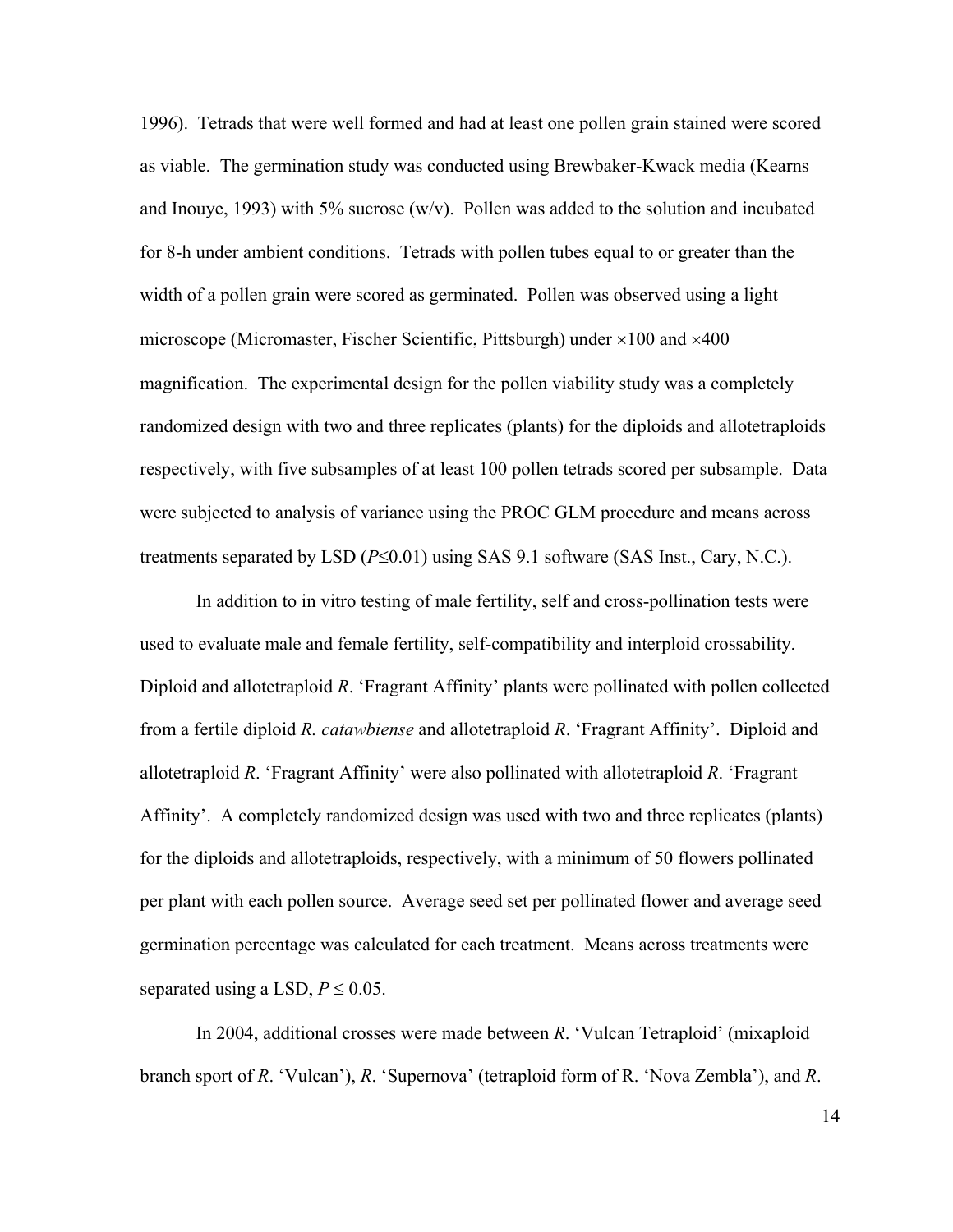1996). Tetrads that were well formed and had at least one pollen grain stained were scored as viable. The germination study was conducted using Brewbaker-Kwack media (Kearns and Inouve, 1993) with 5% sucrose  $(w/v)$ . Pollen was added to the solution and incubated for 8-h under ambient conditions. Tetrads with pollen tubes equal to or greater than the width of a pollen grain were scored as germinated. Pollen was observed using a light microscope (Micromaster, Fischer Scientific, Pittsburgh) under ×100 and ×400 magnification. The experimental design for the pollen viability study was a completely randomized design with two and three replicates (plants) for the diploids and allotetraploids respectively, with five subsamples of at least 100 pollen tetrads scored per subsample. Data were subjected to analysis of variance using the PROC GLM procedure and means across treatments separated by LSD (*P*≤0.01) using SAS 9.1 software (SAS Inst., Cary, N.C.).

 In addition to in vitro testing of male fertility, self and cross-pollination tests were used to evaluate male and female fertility, self-compatibility and interploid crossability. Diploid and allotetraploid *R*. 'Fragrant Affinity' plants were pollinated with pollen collected from a fertile diploid *R. catawbiense* and allotetraploid *R*. 'Fragrant Affinity'. Diploid and allotetraploid *R*. 'Fragrant Affinity' were also pollinated with allotetraploid *R*. 'Fragrant Affinity'. A completely randomized design was used with two and three replicates (plants) for the diploids and allotetraploids, respectively, with a minimum of 50 flowers pollinated per plant with each pollen source. Average seed set per pollinated flower and average seed germination percentage was calculated for each treatment. Means across treatments were separated using a LSD,  $P \le 0.05$ .

In 2004, additional crosses were made between *R*. 'Vulcan Tetraploid' (mixaploid branch sport of *R*. 'Vulcan'), *R*. 'Supernova' (tetraploid form of R. 'Nova Zembla'), and *R*.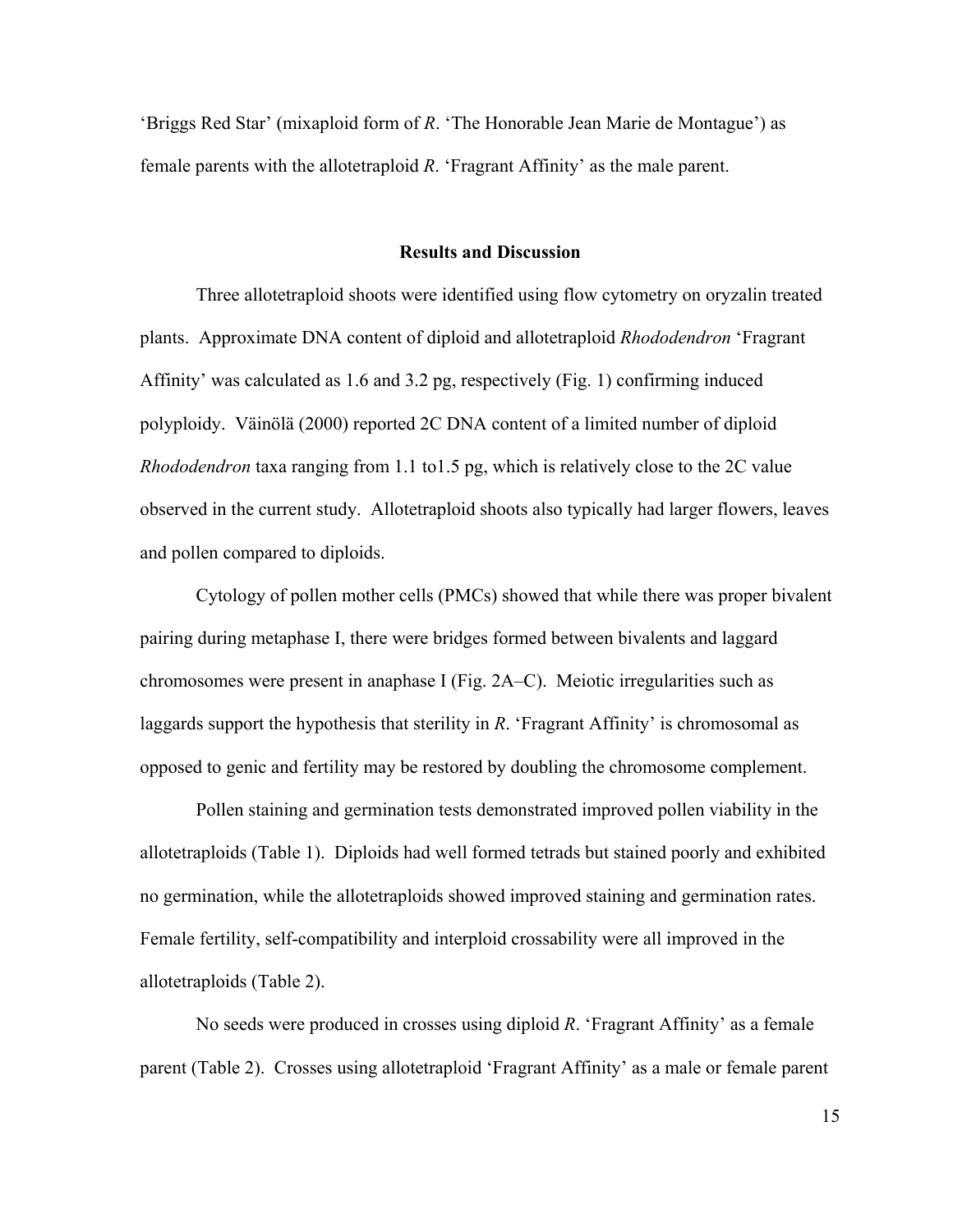'Briggs Red Star' (mixaploid form of *R*. 'The Honorable Jean Marie de Montague') as female parents with the allotetraploid *R*. 'Fragrant Affinity' as the male parent.

#### **Results and Discussion**

Three allotetraploid shoots were identified using flow cytometry on oryzalin treated plants. Approximate DNA content of diploid and allotetraploid *Rhododendron* 'Fragrant Affinity' was calculated as 1.6 and 3.2 pg, respectively (Fig. 1) confirming induced polyploidy. Väinölä (2000) reported 2C DNA content of a limited number of diploid *Rhododendron* taxa ranging from 1.1 to1.5 pg, which is relatively close to the 2C value observed in the current study. Allotetraploid shoots also typically had larger flowers, leaves and pollen compared to diploids.

 Cytology of pollen mother cells (PMCs) showed that while there was proper bivalent pairing during metaphase I, there were bridges formed between bivalents and laggard chromosomes were present in anaphase I (Fig. 2A–C). Meiotic irregularities such as laggards support the hypothesis that sterility in *R*. 'Fragrant Affinity' is chromosomal as opposed to genic and fertility may be restored by doubling the chromosome complement.

 Pollen staining and germination tests demonstrated improved pollen viability in the allotetraploids (Table 1). Diploids had well formed tetrads but stained poorly and exhibited no germination, while the allotetraploids showed improved staining and germination rates. Female fertility, self-compatibility and interploid crossability were all improved in the allotetraploids (Table 2).

 No seeds were produced in crosses using diploid *R*. 'Fragrant Affinity' as a female parent (Table 2). Crosses using allotetraploid 'Fragrant Affinity' as a male or female parent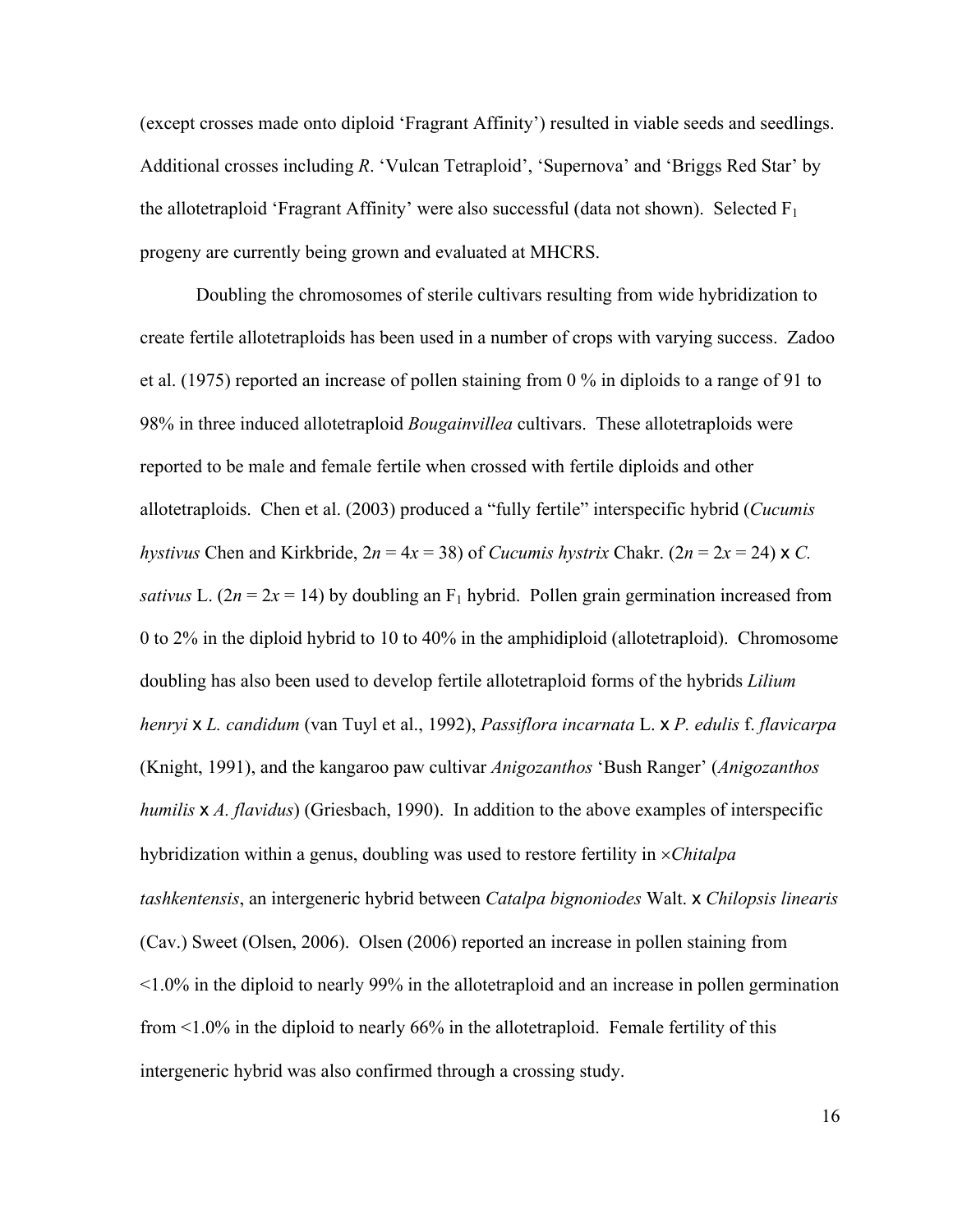(except crosses made onto diploid 'Fragrant Affinity') resulted in viable seeds and seedlings. Additional crosses including *R*. 'Vulcan Tetraploid', 'Supernova' and 'Briggs Red Star' by the allotetraploid 'Fragrant Affinity' were also successful (data not shown). Selected  $F_1$ progeny are currently being grown and evaluated at MHCRS.

 Doubling the chromosomes of sterile cultivars resulting from wide hybridization to create fertile allotetraploids has been used in a number of crops with varying success. Zadoo et al. (1975) reported an increase of pollen staining from 0 % in diploids to a range of 91 to 98% in three induced allotetraploid *Bougainvillea* cultivars. These allotetraploids were reported to be male and female fertile when crossed with fertile diploids and other allotetraploids. Chen et al. (2003) produced a "fully fertile" interspecific hybrid (*Cucumis hystivus* Chen and Kirkbride,  $2n = 4x = 38$ ) of *Cucumis hystrix* Chakr. ( $2n = 2x = 24$ ) x *C*. *sativus* L. ( $2n = 2x = 14$ ) by doubling an F<sub>1</sub> hybrid. Pollen grain germination increased from 0 to 2% in the diploid hybrid to 10 to 40% in the amphidiploid (allotetraploid). Chromosome doubling has also been used to develop fertile allotetraploid forms of the hybrids *Lilium henryi* x *L. candidum* (van Tuyl et al., 1992), *Passiflora incarnata* L. x *P. edulis* f. *flavicarpa* (Knight, 1991), and the kangaroo paw cultivar *Anigozanthos* 'Bush Ranger' (*Anigozanthos humilis* x *A. flavidus*) (Griesbach, 1990). In addition to the above examples of interspecific hybridization within a genus, doubling was used to restore fertility in ×*Chitalpa tashkentensis*, an intergeneric hybrid between *Catalpa bignoniodes* Walt. x *Chilopsis linearis* (Cav.) Sweet (Olsen, 2006). Olsen (2006) reported an increase in pollen staining from <1.0% in the diploid to nearly 99% in the allotetraploid and an increase in pollen germination from  $\leq 1.0\%$  in the diploid to nearly 66% in the allotetraploid. Female fertility of this intergeneric hybrid was also confirmed through a crossing study.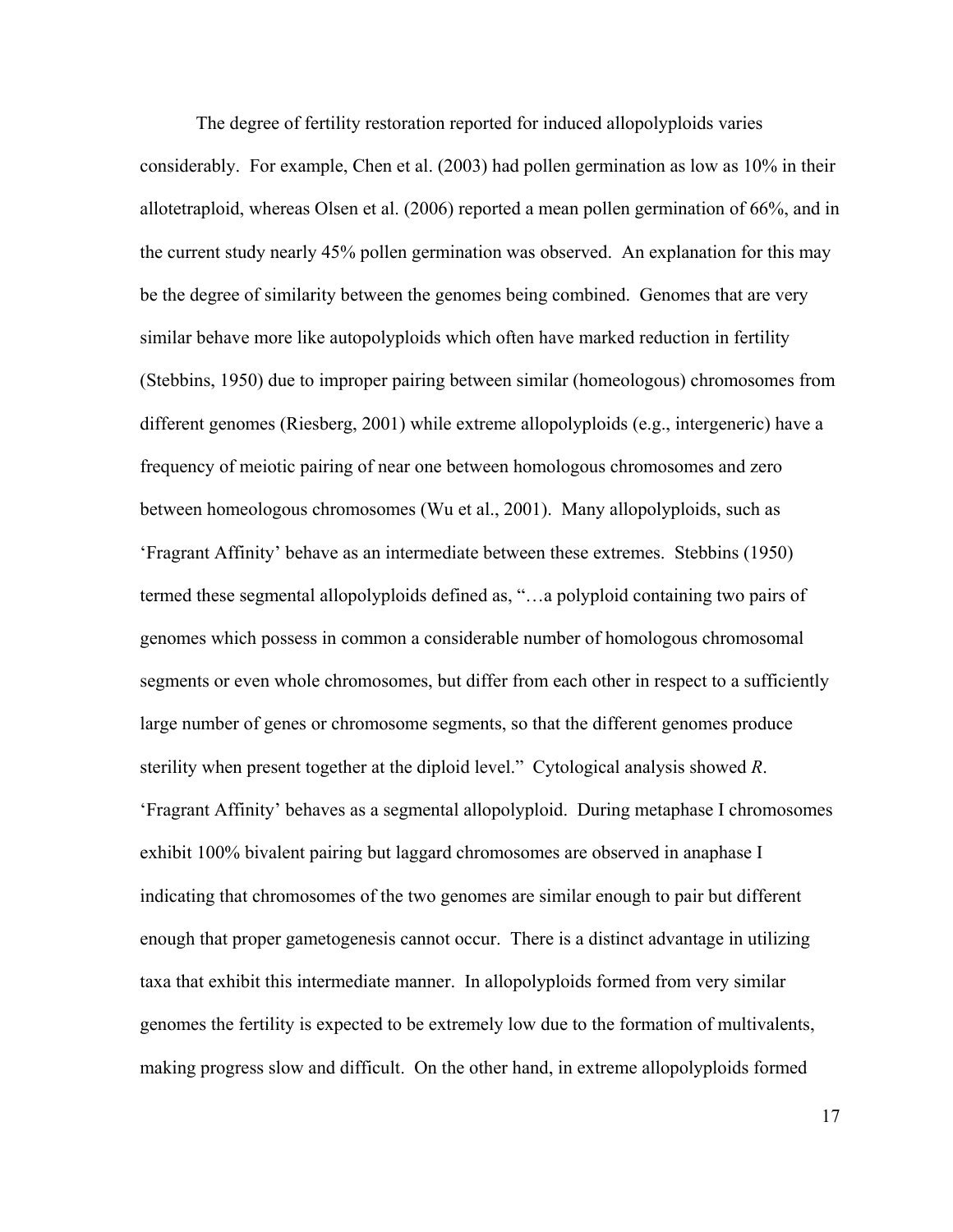The degree of fertility restoration reported for induced allopolyploids varies considerably. For example, Chen et al. (2003) had pollen germination as low as 10% in their allotetraploid, whereas Olsen et al. (2006) reported a mean pollen germination of 66%, and in the current study nearly 45% pollen germination was observed. An explanation for this may be the degree of similarity between the genomes being combined. Genomes that are very similar behave more like autopolyploids which often have marked reduction in fertility (Stebbins, 1950) due to improper pairing between similar (homeologous) chromosomes from different genomes (Riesberg, 2001) while extreme allopolyploids (e.g., intergeneric) have a frequency of meiotic pairing of near one between homologous chromosomes and zero between homeologous chromosomes (Wu et al., 2001). Many allopolyploids, such as 'Fragrant Affinity' behave as an intermediate between these extremes. Stebbins (1950) termed these segmental allopolyploids defined as, "…a polyploid containing two pairs of genomes which possess in common a considerable number of homologous chromosomal segments or even whole chromosomes, but differ from each other in respect to a sufficiently large number of genes or chromosome segments, so that the different genomes produce sterility when present together at the diploid level." Cytological analysis showed *R*. 'Fragrant Affinity' behaves as a segmental allopolyploid. During metaphase I chromosomes exhibit 100% bivalent pairing but laggard chromosomes are observed in anaphase I indicating that chromosomes of the two genomes are similar enough to pair but different enough that proper gametogenesis cannot occur. There is a distinct advantage in utilizing taxa that exhibit this intermediate manner. In allopolyploids formed from very similar genomes the fertility is expected to be extremely low due to the formation of multivalents, making progress slow and difficult. On the other hand, in extreme allopolyploids formed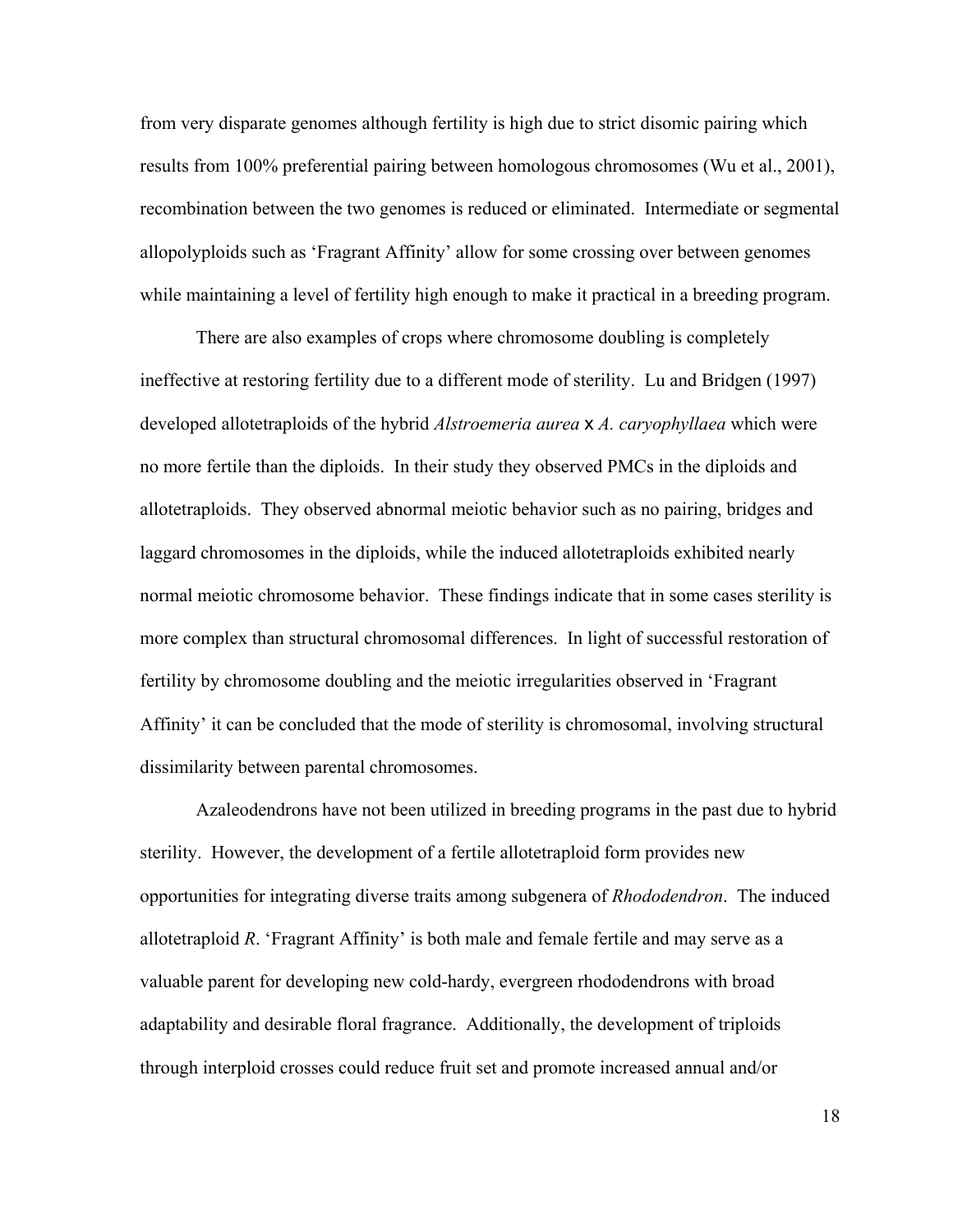from very disparate genomes although fertility is high due to strict disomic pairing which results from 100% preferential pairing between homologous chromosomes (Wu et al., 2001), recombination between the two genomes is reduced or eliminated. Intermediate or segmental allopolyploids such as 'Fragrant Affinity' allow for some crossing over between genomes while maintaining a level of fertility high enough to make it practical in a breeding program.

 There are also examples of crops where chromosome doubling is completely ineffective at restoring fertility due to a different mode of sterility. Lu and Bridgen (1997) developed allotetraploids of the hybrid *Alstroemeria aurea* x *A. caryophyllaea* which were no more fertile than the diploids. In their study they observed PMCs in the diploids and allotetraploids. They observed abnormal meiotic behavior such as no pairing, bridges and laggard chromosomes in the diploids, while the induced allotetraploids exhibited nearly normal meiotic chromosome behavior. These findings indicate that in some cases sterility is more complex than structural chromosomal differences. In light of successful restoration of fertility by chromosome doubling and the meiotic irregularities observed in 'Fragrant Affinity' it can be concluded that the mode of sterility is chromosomal, involving structural dissimilarity between parental chromosomes.

 Azaleodendrons have not been utilized in breeding programs in the past due to hybrid sterility. However, the development of a fertile allotetraploid form provides new opportunities for integrating diverse traits among subgenera of *Rhododendron*. The induced allotetraploid *R*. 'Fragrant Affinity' is both male and female fertile and may serve as a valuable parent for developing new cold-hardy, evergreen rhododendrons with broad adaptability and desirable floral fragrance. Additionally, the development of triploids through interploid crosses could reduce fruit set and promote increased annual and/or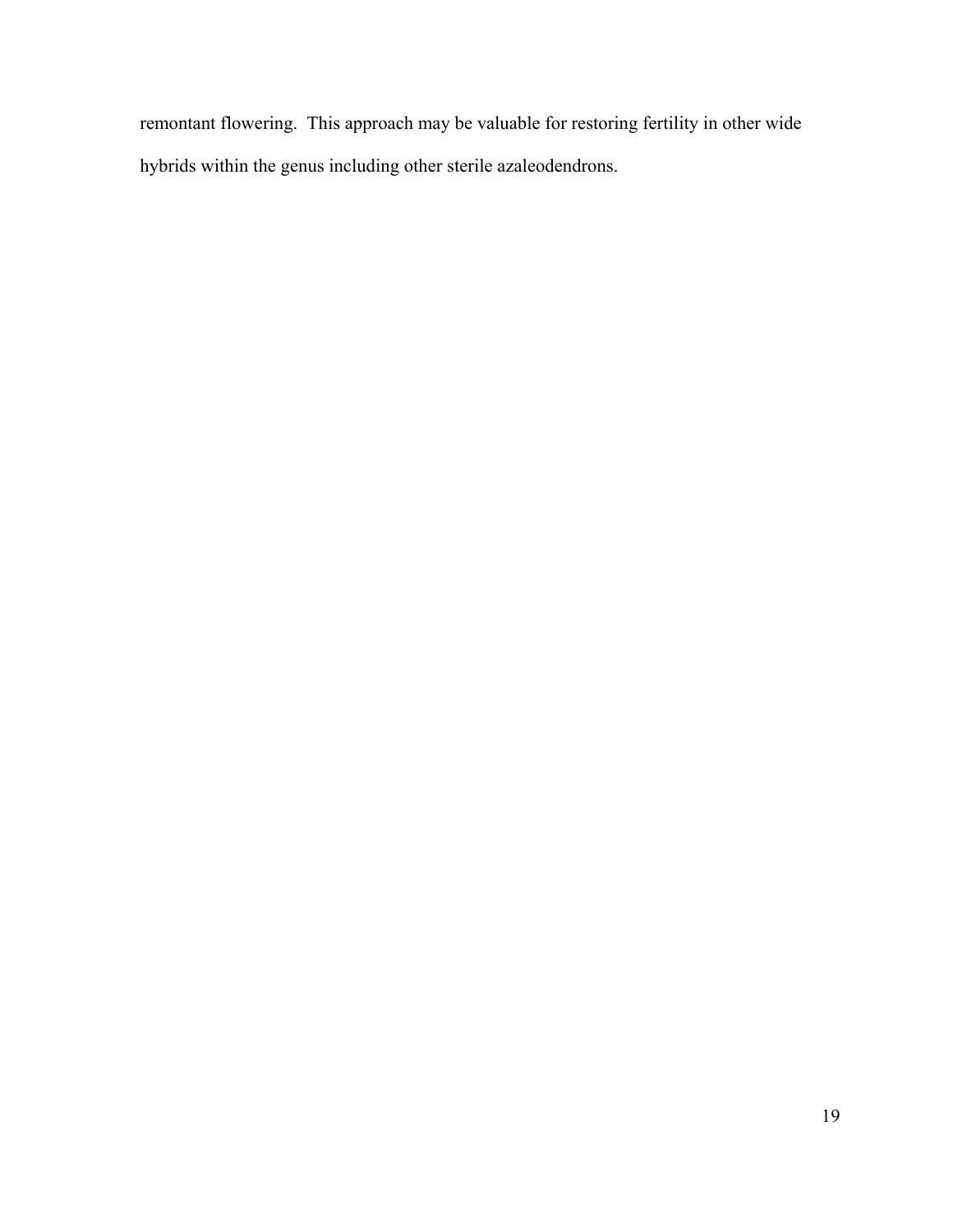remontant flowering. This approach may be valuable for restoring fertility in other wide hybrids within the genus including other sterile azaleodendrons.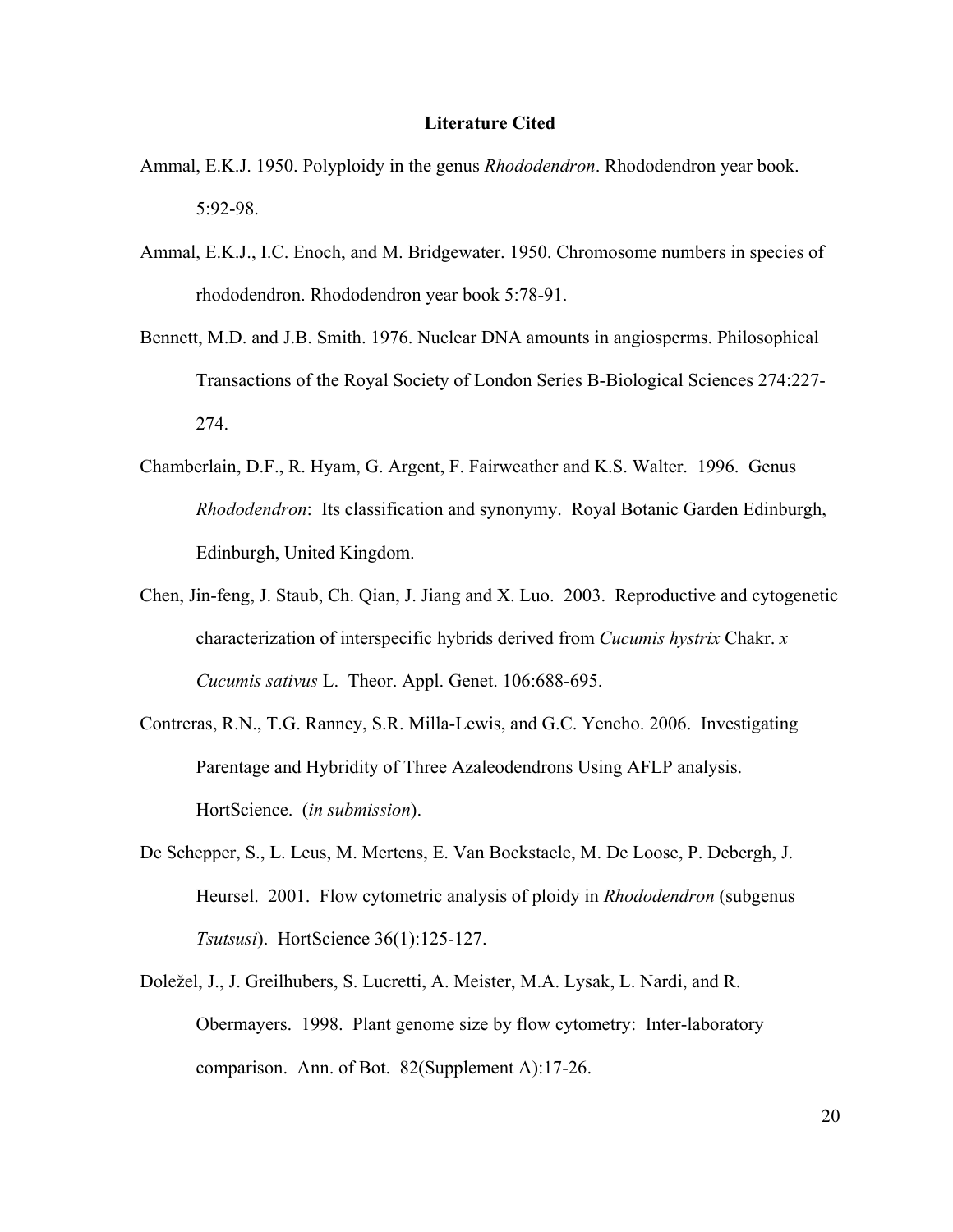#### **Literature Cited**

- Ammal, E.K.J. 1950. Polyploidy in the genus *Rhododendron*. Rhododendron year book. 5:92-98.
- Ammal, E.K.J., I.C. Enoch, and M. Bridgewater. 1950. Chromosome numbers in species of rhododendron. Rhododendron year book 5:78-91.
- Bennett, M.D. and J.B. Smith. 1976. Nuclear DNA amounts in angiosperms. Philosophical Transactions of the Royal Society of London Series B-Biological Sciences 274:227- 274.
- Chamberlain, D.F., R. Hyam, G. Argent, F. Fairweather and K.S. Walter. 1996. Genus *Rhododendron*: Its classification and synonymy. Royal Botanic Garden Edinburgh, Edinburgh, United Kingdom.
- Chen, Jin-feng, J. Staub, Ch. Qian, J. Jiang and X. Luo. 2003. Reproductive and cytogenetic characterization of interspecific hybrids derived from *Cucumis hystrix* Chakr. *x Cucumis sativus* L. Theor. Appl. Genet. 106:688-695.
- Contreras, R.N., T.G. Ranney, S.R. Milla-Lewis, and G.C. Yencho. 2006. Investigating Parentage and Hybridity of Three Azaleodendrons Using AFLP analysis. HortScience. (*in submission*).
- De Schepper, S., L. Leus, M. Mertens, E. Van Bockstaele, M. De Loose, P. Debergh, J. Heursel. 2001. Flow cytometric analysis of ploidy in *Rhododendron* (subgenus *Tsutsusi*). HortScience 36(1):125-127.
- Doležel, J., J. Greilhubers, S. Lucretti, A. Meister, M.A. Lysak, L. Nardi, and R. Obermayers. 1998. Plant genome size by flow cytometry: Inter-laboratory comparison. Ann. of Bot. 82(Supplement A):17-26.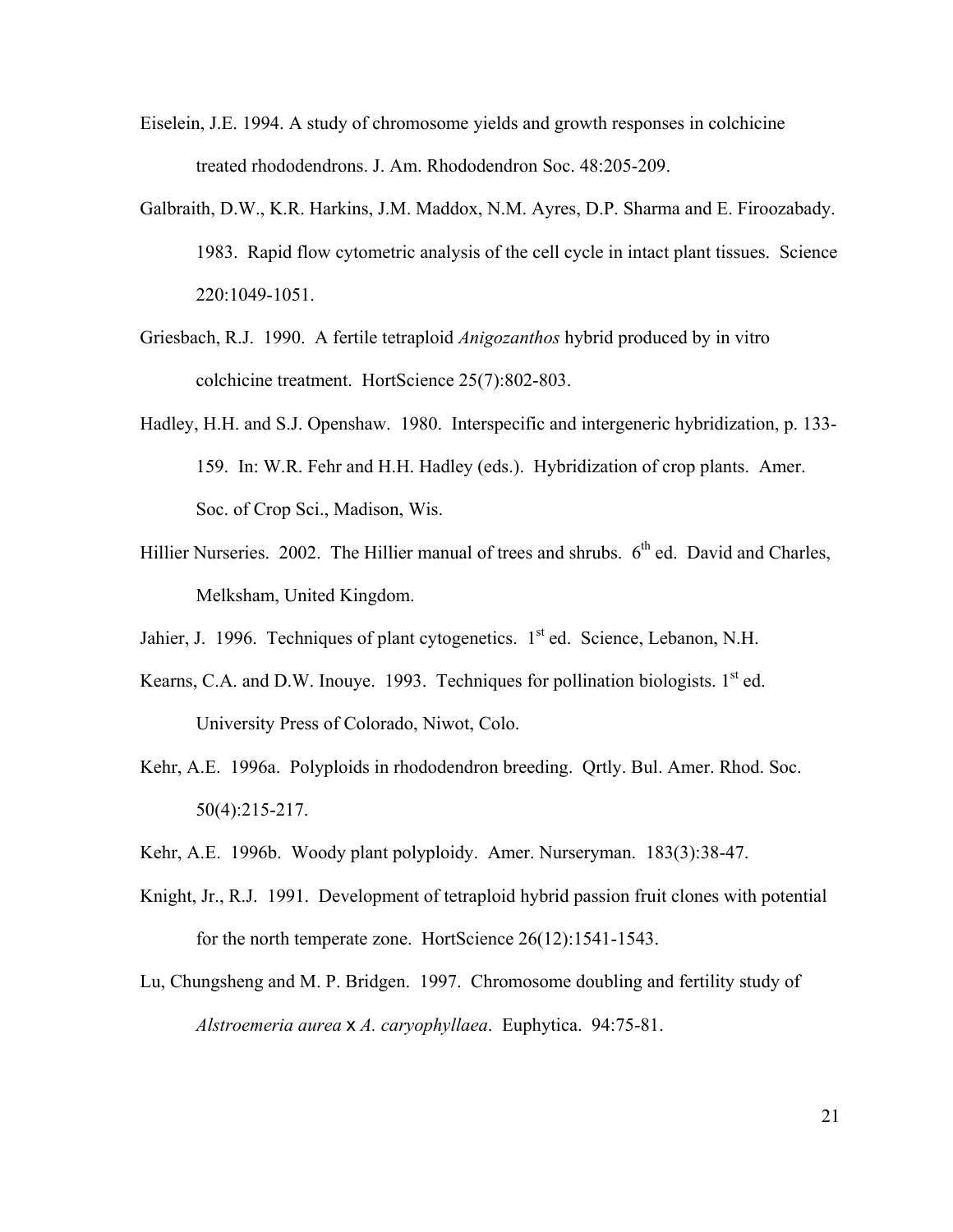- Eiselein, J.E. 1994. A study of chromosome yields and growth responses in colchicine treated rhododendrons. J. Am. Rhododendron Soc. 48:205-209.
- Galbraith, D.W., K.R. Harkins, J.M. Maddox, N.M. Ayres, D.P. Sharma and E. Firoozabady. 1983. Rapid flow cytometric analysis of the cell cycle in intact plant tissues. Science 220:1049-1051.
- Griesbach, R.J. 1990. A fertile tetraploid *Anigozanthos* hybrid produced by in vitro colchicine treatment. HortScience 25(7):802-803.
- Hadley, H.H. and S.J. Openshaw. 1980. Interspecific and intergeneric hybridization, p. 133- 159. In: W.R. Fehr and H.H. Hadley (eds.). Hybridization of crop plants. Amer. Soc. of Crop Sci., Madison, Wis.
- Hillier Nurseries. 2002. The Hillier manual of trees and shrubs.  $6<sup>th</sup>$  ed. David and Charles, Melksham, United Kingdom.
- Jahier, J. 1996. Techniques of plant cytogenetics.  $1<sup>st</sup>$  ed. Science, Lebanon, N.H.
- Kearns, C.A. and D.W. Inouye. 1993. Techniques for pollination biologists.  $1<sup>st</sup>$  ed. University Press of Colorado, Niwot, Colo.
- Kehr, A.E. 1996a. Polyploids in rhododendron breeding. Qrtly. Bul. Amer. Rhod. Soc. 50(4):215-217.
- Kehr, A.E. 1996b. Woody plant polyploidy. Amer. Nurseryman. 183(3):38-47.
- Knight, Jr., R.J. 1991. Development of tetraploid hybrid passion fruit clones with potential for the north temperate zone. HortScience 26(12):1541-1543.
- Lu, Chungsheng and M. P. Bridgen. 1997. Chromosome doubling and fertility study of *Alstroemeria aurea* x *A. caryophyllaea*. Euphytica. 94:75-81.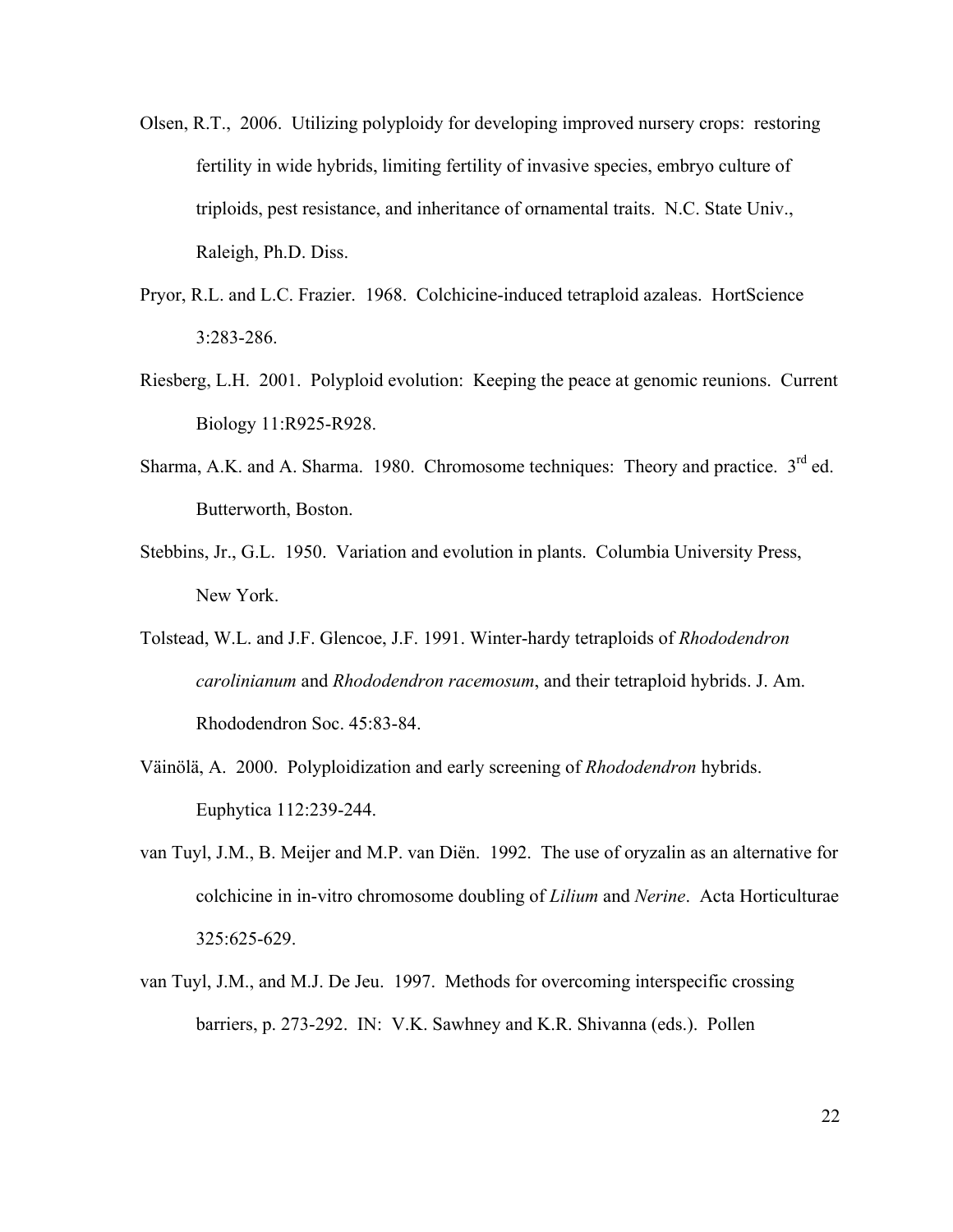- Olsen, R.T., 2006. Utilizing polyploidy for developing improved nursery crops: restoring fertility in wide hybrids, limiting fertility of invasive species, embryo culture of triploids, pest resistance, and inheritance of ornamental traits. N.C. State Univ., Raleigh, Ph.D. Diss.
- Pryor, R.L. and L.C. Frazier. 1968. Colchicine-induced tetraploid azaleas. HortScience 3:283-286.
- Riesberg, L.H. 2001. Polyploid evolution: Keeping the peace at genomic reunions. Current Biology 11:R925-R928.
- Sharma, A.K. and A. Sharma. 1980. Chromosome techniques: Theory and practice.  $3<sup>rd</sup>$  ed. Butterworth, Boston.
- Stebbins, Jr., G.L. 1950. Variation and evolution in plants. Columbia University Press, New York.
- Tolstead, W.L. and J.F. Glencoe, J.F. 1991. Winter-hardy tetraploids of *Rhododendron carolinianum* and *Rhododendron racemosum*, and their tetraploid hybrids. J. Am. Rhododendron Soc. 45:83-84.
- Väinölä, A. 2000. Polyploidization and early screening of *Rhododendron* hybrids. Euphytica 112:239-244.
- van Tuyl, J.M., B. Meijer and M.P. van Diën. 1992. The use of oryzalin as an alternative for colchicine in in-vitro chromosome doubling of *Lilium* and *Nerine*. Acta Horticulturae 325:625-629.
- van Tuyl, J.M., and M.J. De Jeu. 1997. Methods for overcoming interspecific crossing barriers, p. 273-292. IN: V.K. Sawhney and K.R. Shivanna (eds.). Pollen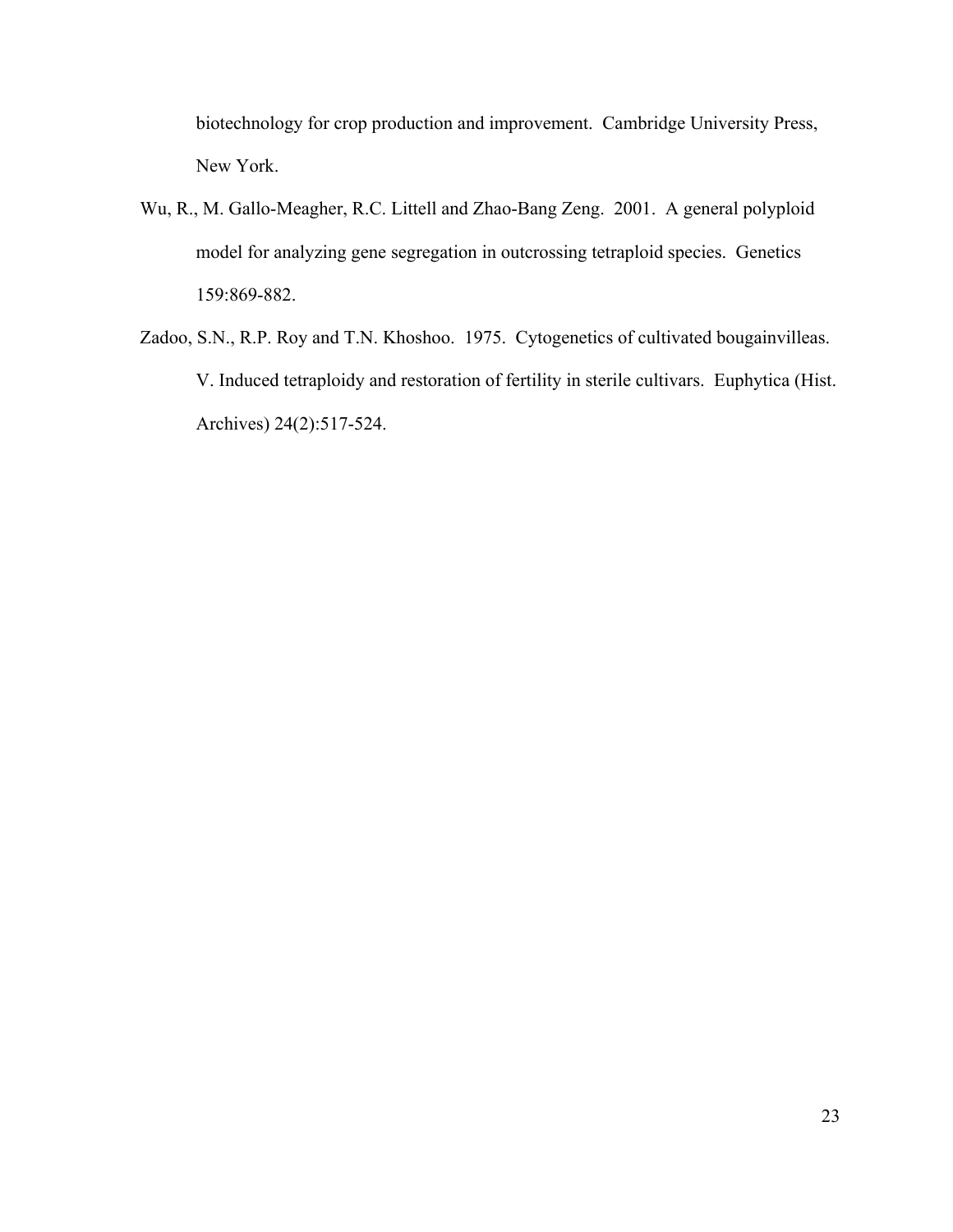biotechnology for crop production and improvement. Cambridge University Press, New York.

- Wu, R., M. Gallo-Meagher, R.C. Littell and Zhao-Bang Zeng. 2001. A general polyploid model for analyzing gene segregation in outcrossing tetraploid species. Genetics 159:869-882.
- Zadoo, S.N., R.P. Roy and T.N. Khoshoo. 1975. Cytogenetics of cultivated bougainvilleas. V. Induced tetraploidy and restoration of fertility in sterile cultivars. Euphytica (Hist. Archives) 24(2):517-524.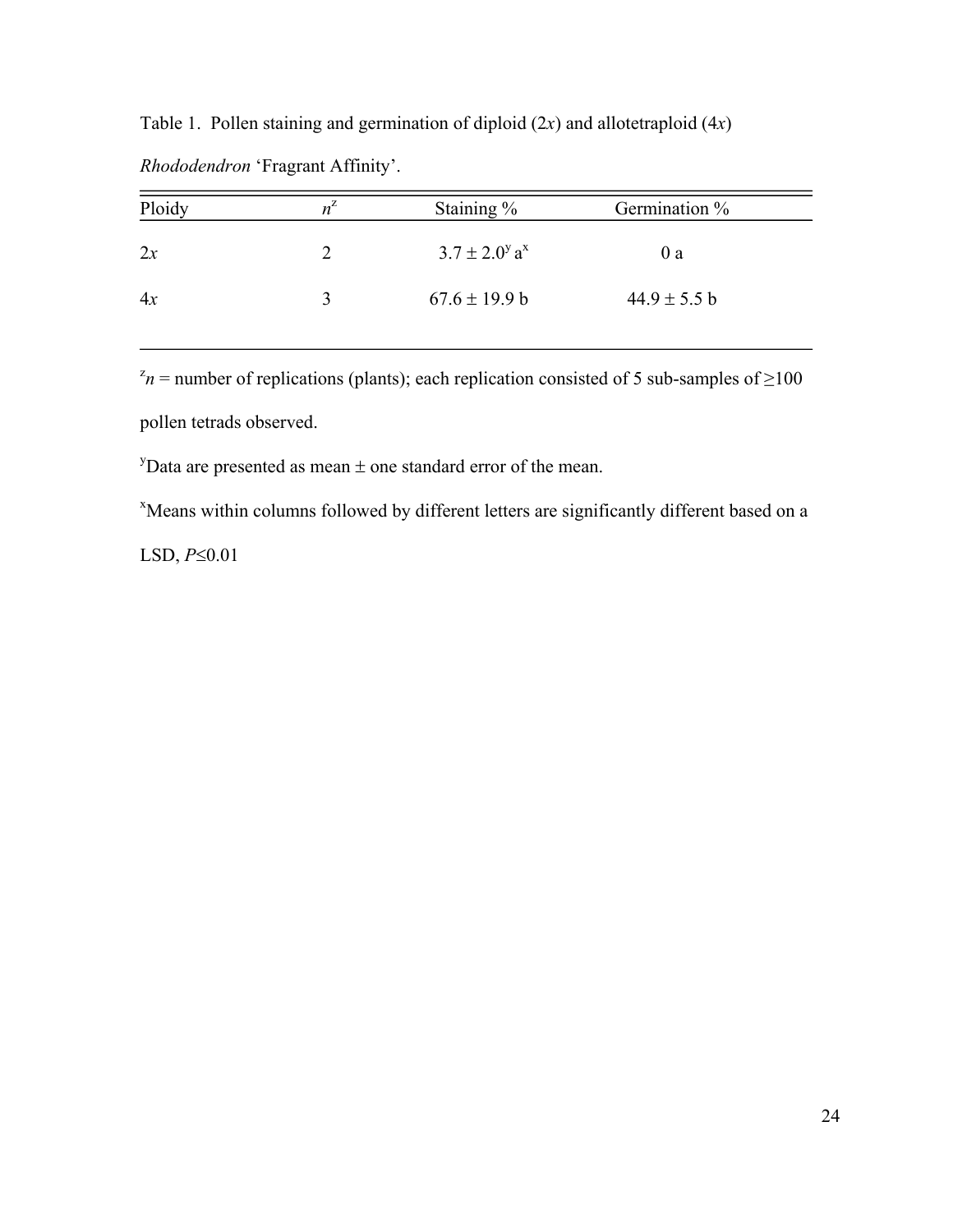Table 1. Pollen staining and germination of diploid (2*x*) and allotetraploid (4*x*)

| Ploidy | $n^{\mathcal{L}}$ | Staining $\%$                        | Germination %    |
|--------|-------------------|--------------------------------------|------------------|
| 2x     |                   | $3.7 \pm 2.0^{\circ}$ a <sup>x</sup> | 0a               |
| 4x     | 3                 | $67.6 \pm 19.9 b$                    | $44.9 \pm 5.5 b$ |

*Rhododendron* 'Fragrant Affinity'.

 $z_n$  = number of replications (plants); each replication consisted of 5 sub-samples of  $\geq 100$ pollen tetrads observed.

<sup>y</sup>Data are presented as mean  $\pm$  one standard error of the mean.

x Means within columns followed by different letters are significantly different based on a

LSD, *P*≤0.01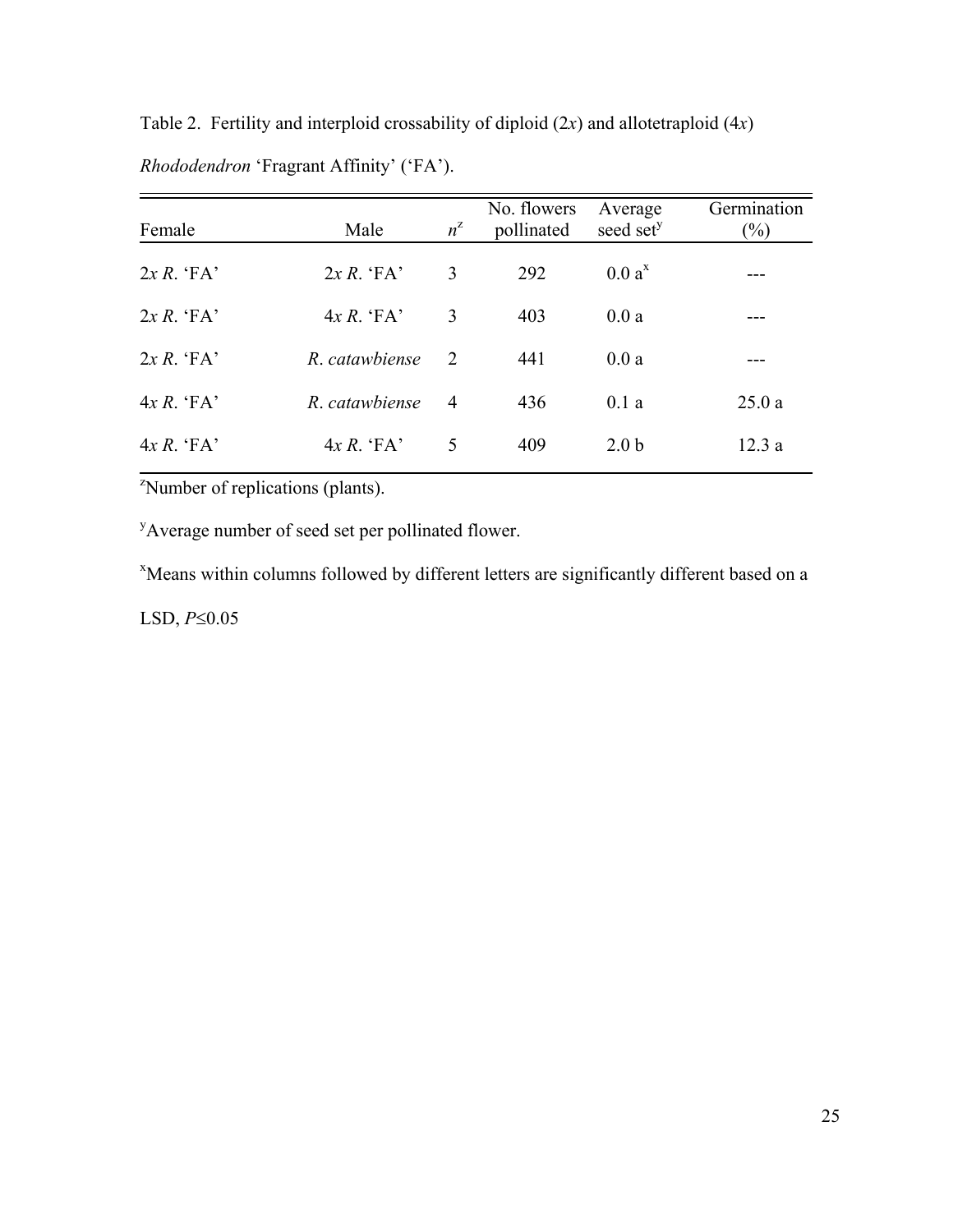| Female        | Male           | $n^z$          | No. flowers<br>pollinated | Average<br>seed set <sup>y</sup> | Germination<br>$(\%)$ |
|---------------|----------------|----------------|---------------------------|----------------------------------|-----------------------|
| $2x R$ . 'FA' | $2x R$ . 'FA'  | 3              | 292                       | $0.0a^x$                         |                       |
| $2x R$ . 'FA' | $4x R$ . 'FA'  | 3              | 403                       | 0.0a                             |                       |
| $2x R$ . 'FA' | R. catawbiense | 2              | 441                       | 0.0a                             |                       |
| $4x R$ . 'FA' | R. catawhiense | $\overline{4}$ | 436                       | 0.1a                             | 25.0a                 |
| $4x R$ . 'FA' | $4x R$ . $FA$  | 5              | 409                       | 2.0 <sub>b</sub>                 | 12.3a                 |

Table 2. Fertility and interploid crossability of diploid (2*x*) and allotetraploid (4*x*) *Rhododendron* 'Fragrant Affinity' ('FA').

<sup>2</sup>Number of replications (plants).

<sup>y</sup>Average number of seed set per pollinated flower.

x Means within columns followed by different letters are significantly different based on a

LSD, *P*≤0.05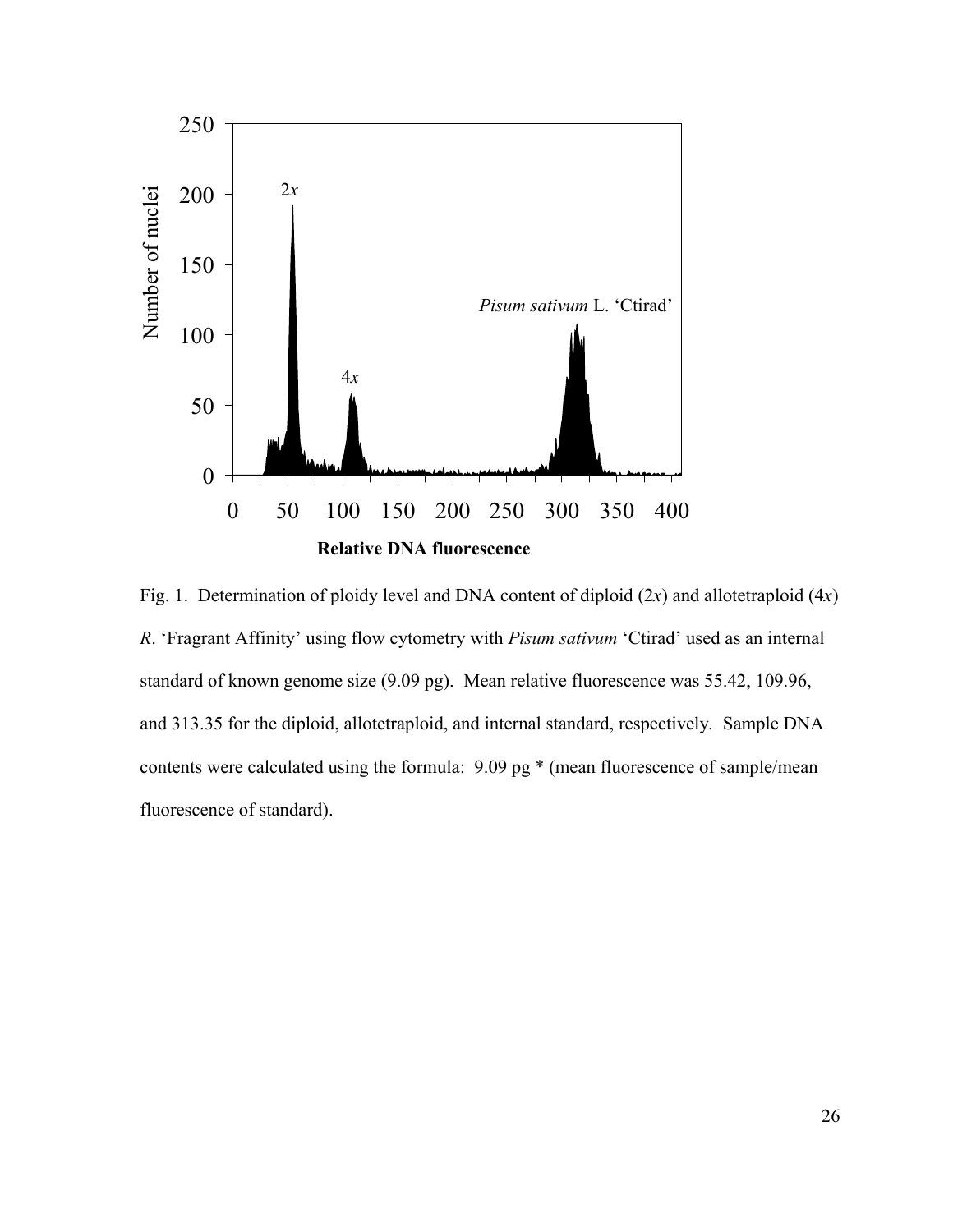

Fig. 1. Determination of ploidy level and DNA content of diploid (2*x*) and allotetraploid (4*x*) *R*. 'Fragrant Affinity' using flow cytometry with *Pisum sativum* 'Ctirad' used as an internal standard of known genome size (9.09 pg). Mean relative fluorescence was 55.42, 109.96, and 313.35 for the diploid, allotetraploid, and internal standard, respectively*.* Sample DNA contents were calculated using the formula: 9.09 pg \* (mean fluorescence of sample/mean fluorescence of standard).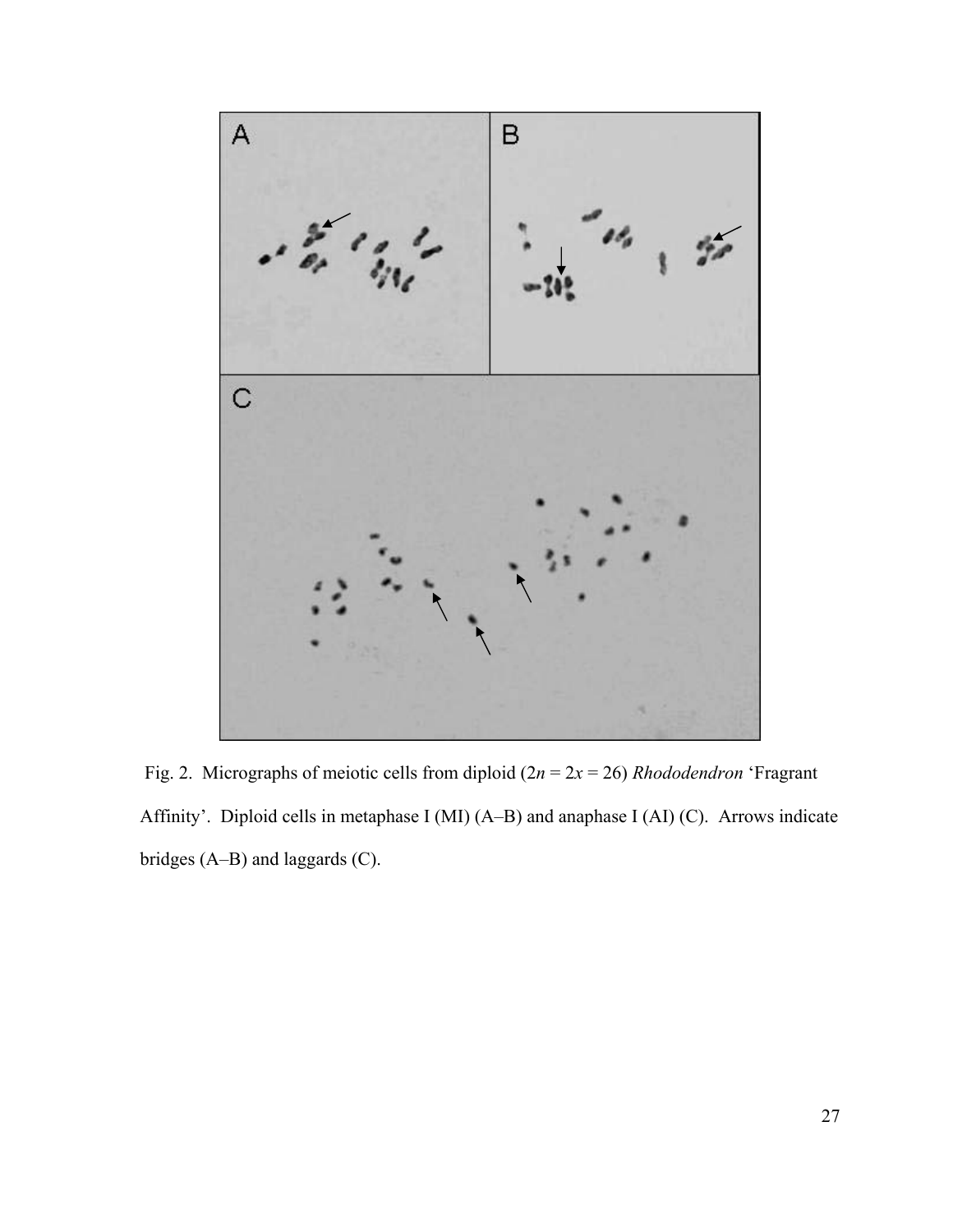![](_page_38_Figure_0.jpeg)

 Fig. 2. Micrographs of meiotic cells from diploid (2*n* = 2*x* = 26) *Rhododendron* 'Fragrant Affinity'. Diploid cells in metaphase I (MI) (A–B) and anaphase I (AI) (C). Arrows indicate bridges (A–B) and laggards (C).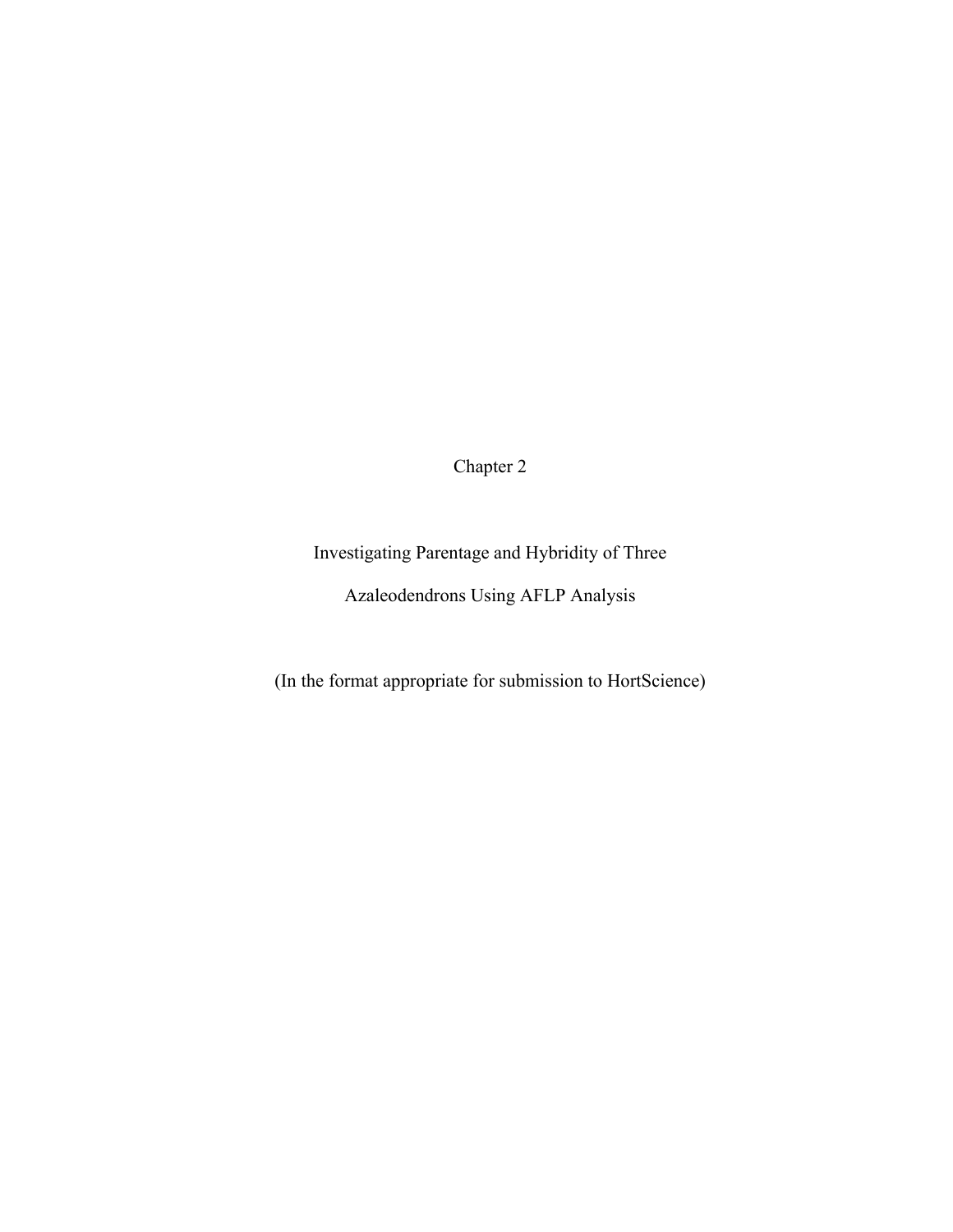Chapter 2

Investigating Parentage and Hybridity of Three

Azaleodendrons Using AFLP Analysis

(In the format appropriate for submission to HortScience)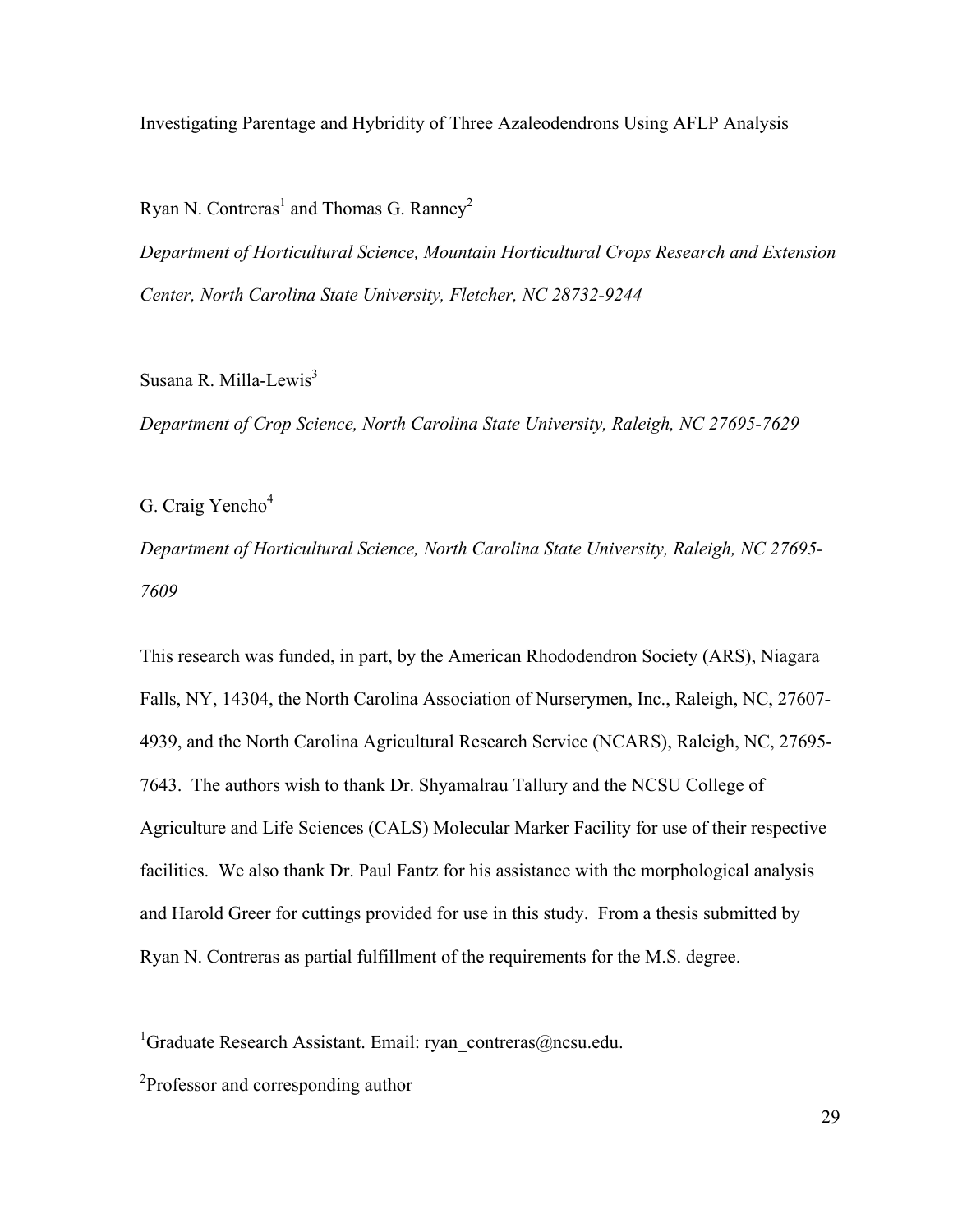Investigating Parentage and Hybridity of Three Azaleodendrons Using AFLP Analysis

Ryan N. Contreras<sup>1</sup> and Thomas G. Ranney<sup>2</sup>

*Department of Horticultural Science, Mountain Horticultural Crops Research and Extension Center, North Carolina State University, Fletcher, NC 28732-9244* 

Susana R. Milla-Lewis<sup>3</sup>

*Department of Crop Science, North Carolina State University, Raleigh, NC 27695-7629*

G. Craig Yencho $<sup>4</sup>$ </sup>

*Department of Horticultural Science, North Carolina State University, Raleigh, NC 27695- 7609*

This research was funded, in part, by the American Rhododendron Society (ARS), Niagara Falls, NY, 14304, the North Carolina Association of Nurserymen, Inc., Raleigh, NC, 27607- 4939, and the North Carolina Agricultural Research Service (NCARS), Raleigh, NC, 27695- 7643. The authors wish to thank Dr. Shyamalrau Tallury and the NCSU College of Agriculture and Life Sciences (CALS) Molecular Marker Facility for use of their respective facilities. We also thank Dr. Paul Fantz for his assistance with the morphological analysis and Harold Greer for cuttings provided for use in this study. From a thesis submitted by Ryan N. Contreras as partial fulfillment of the requirements for the M.S. degree.

<sup>1</sup>Graduate Research Assistant. Email: ryan\_contreras@ncsu.edu.

<sup>2</sup>Professor and corresponding author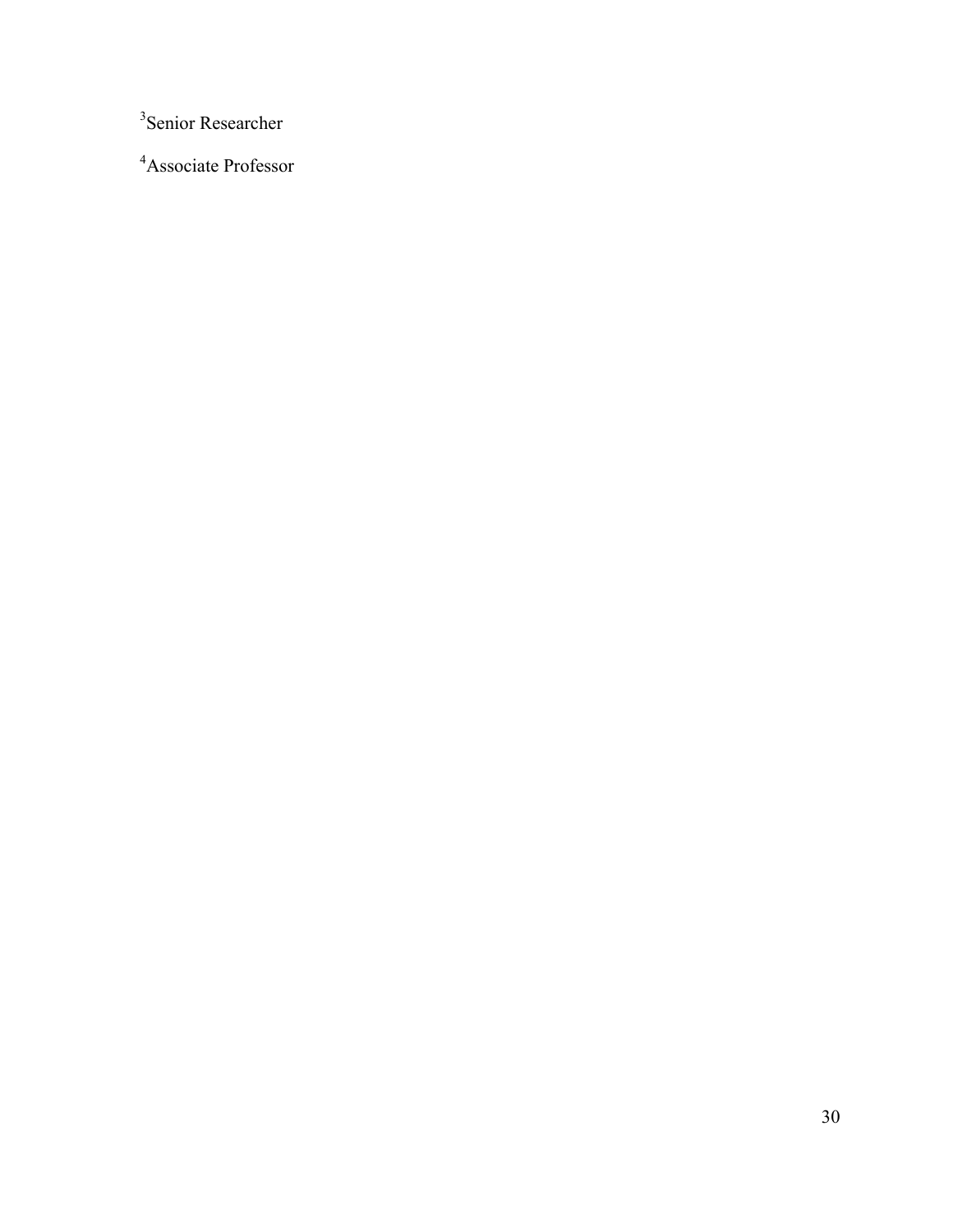Senior Researcher

Associate Professor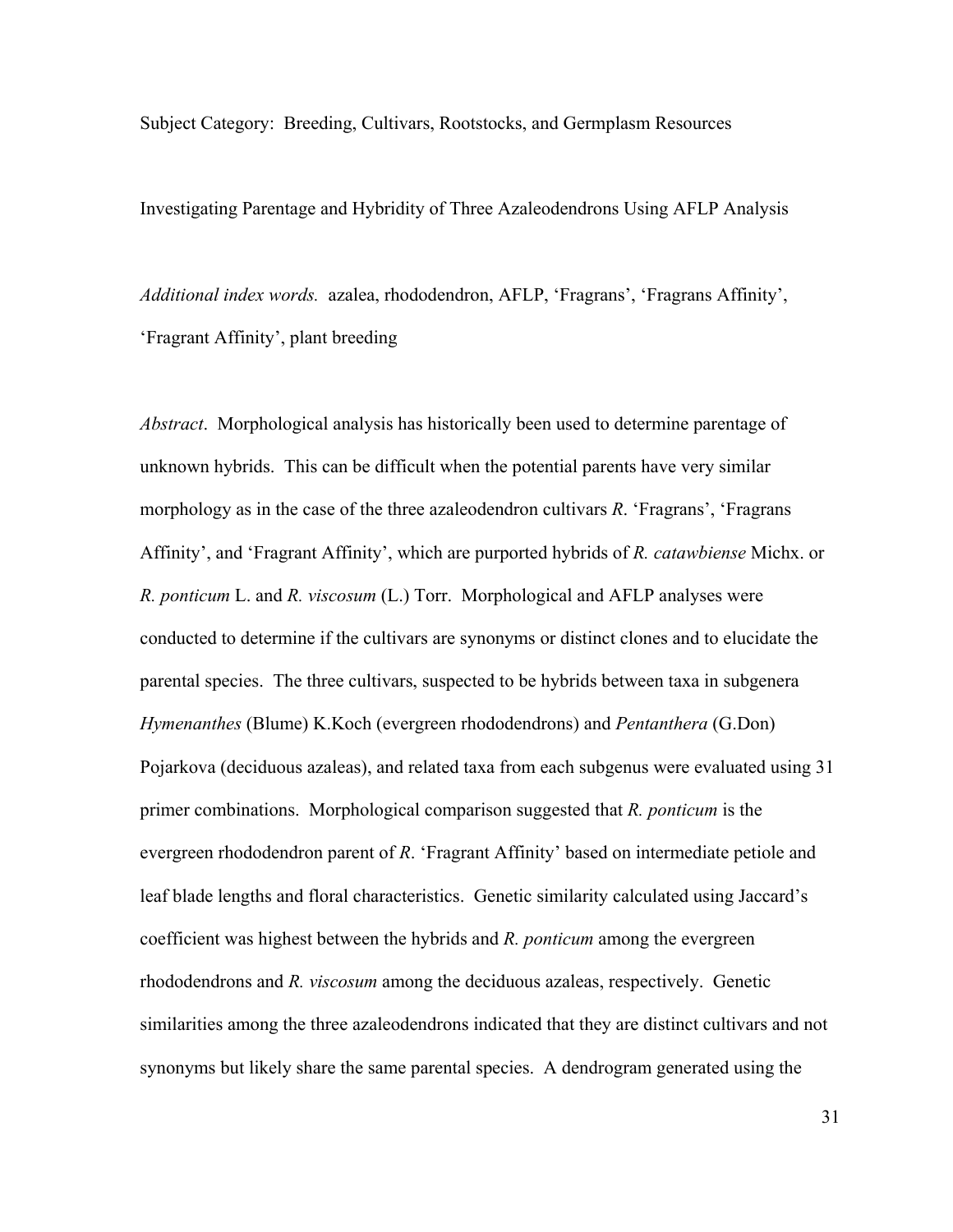Subject Category: Breeding, Cultivars, Rootstocks, and Germplasm Resources

Investigating Parentage and Hybridity of Three Azaleodendrons Using AFLP Analysis

*Additional index words.* azalea, rhododendron, AFLP, 'Fragrans', 'Fragrans Affinity', 'Fragrant Affinity', plant breeding

*Abstract*. Morphological analysis has historically been used to determine parentage of unknown hybrids. This can be difficult when the potential parents have very similar morphology as in the case of the three azaleodendron cultivars *R*. 'Fragrans', 'Fragrans Affinity', and 'Fragrant Affinity', which are purported hybrids of *R. catawbiense* Michx. or *R. ponticum* L. and *R. viscosum* (L.) Torr. Morphological and AFLP analyses were conducted to determine if the cultivars are synonyms or distinct clones and to elucidate the parental species. The three cultivars, suspected to be hybrids between taxa in subgenera *Hymenanthes* (Blume) K.Koch (evergreen rhododendrons) and *Pentanthera* (G.Don) Pojarkova (deciduous azaleas), and related taxa from each subgenus were evaluated using 31 primer combinations. Morphological comparison suggested that *R. ponticum* is the evergreen rhododendron parent of *R*. 'Fragrant Affinity' based on intermediate petiole and leaf blade lengths and floral characteristics. Genetic similarity calculated using Jaccard's coefficient was highest between the hybrids and *R. ponticum* among the evergreen rhododendrons and *R. viscosum* among the deciduous azaleas, respectively. Genetic similarities among the three azaleodendrons indicated that they are distinct cultivars and not synonyms but likely share the same parental species. A dendrogram generated using the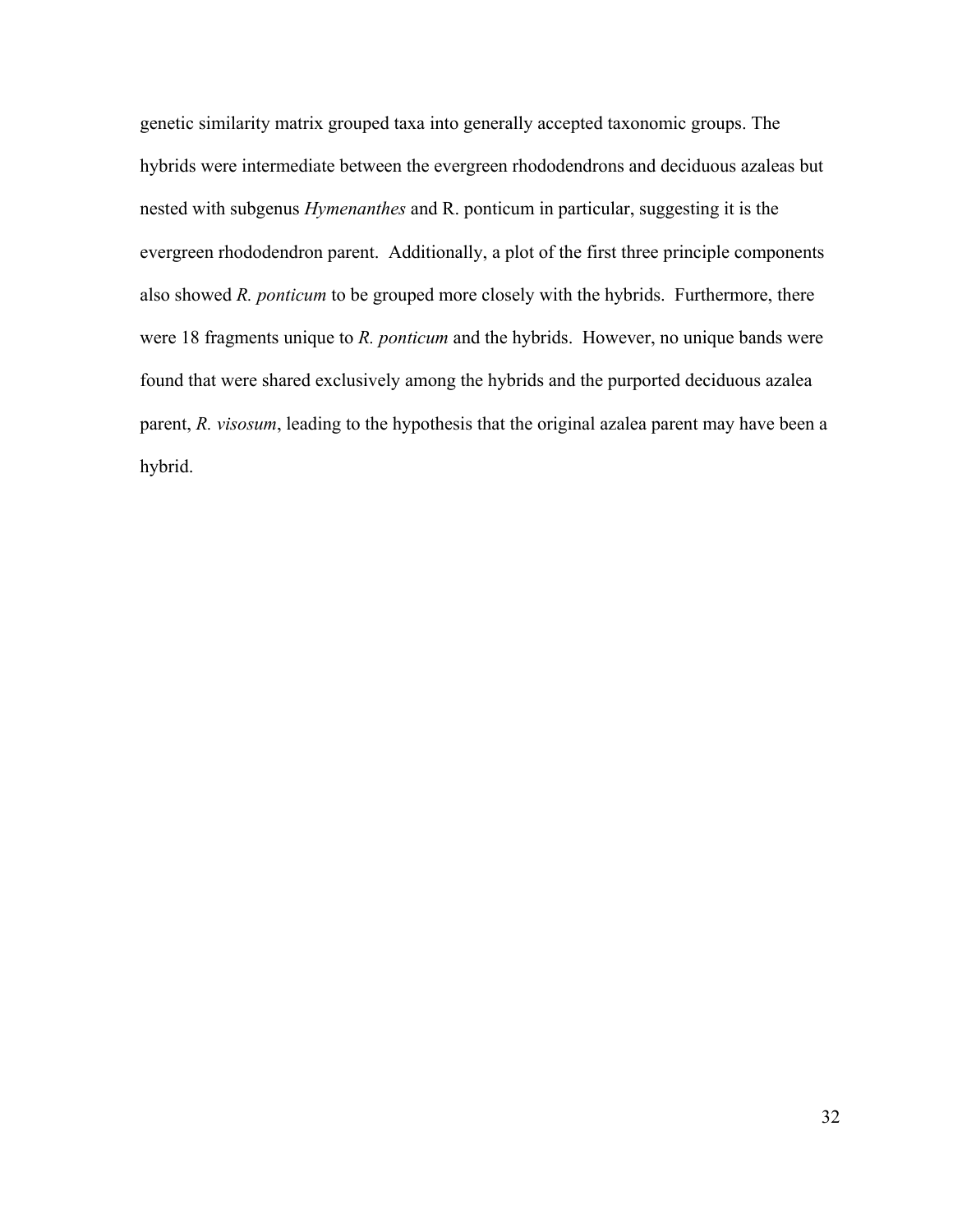genetic similarity matrix grouped taxa into generally accepted taxonomic groups. The hybrids were intermediate between the evergreen rhododendrons and deciduous azaleas but nested with subgenus *Hymenanthes* and R. ponticum in particular, suggesting it is the evergreen rhododendron parent. Additionally, a plot of the first three principle components also showed *R. ponticum* to be grouped more closely with the hybrids. Furthermore, there were 18 fragments unique to *R. ponticum* and the hybrids. However, no unique bands were found that were shared exclusively among the hybrids and the purported deciduous azalea parent, *R. visosum*, leading to the hypothesis that the original azalea parent may have been a hybrid.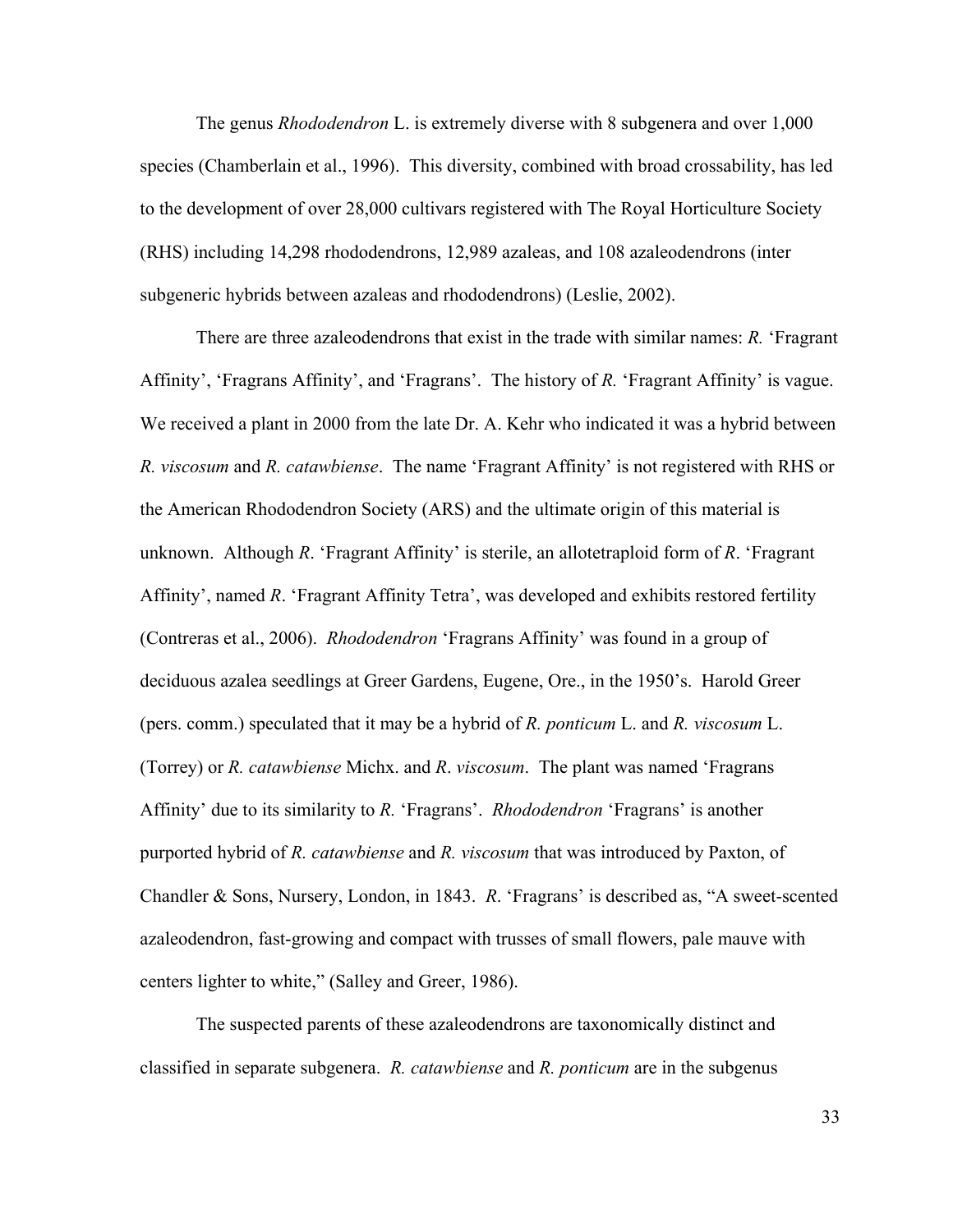The genus *Rhododendron* L. is extremely diverse with 8 subgenera and over 1,000 species (Chamberlain et al., 1996). This diversity, combined with broad crossability, has led to the development of over 28,000 cultivars registered with The Royal Horticulture Society (RHS) including 14,298 rhododendrons, 12,989 azaleas, and 108 azaleodendrons (inter subgeneric hybrids between azaleas and rhododendrons) (Leslie, 2002).

There are three azaleodendrons that exist in the trade with similar names: *R.* 'Fragrant Affinity', 'Fragrans Affinity', and 'Fragrans'. The history of *R.* 'Fragrant Affinity' is vague. We received a plant in 2000 from the late Dr. A. Kehr who indicated it was a hybrid between *R. viscosum* and *R. catawbiense*. The name 'Fragrant Affinity' is not registered with RHS or the American Rhododendron Society (ARS) and the ultimate origin of this material is unknown. Although *R*. 'Fragrant Affinity' is sterile, an allotetraploid form of *R*. 'Fragrant Affinity', named *R*. 'Fragrant Affinity Tetra', was developed and exhibits restored fertility (Contreras et al., 2006). *Rhododendron* 'Fragrans Affinity' was found in a group of deciduous azalea seedlings at Greer Gardens, Eugene, Ore., in the 1950's. Harold Greer (pers. comm.) speculated that it may be a hybrid of *R. ponticum* L. and *R. viscosum* L. (Torrey) or *R. catawbiense* Michx. and *R*. *viscosum*. The plant was named 'Fragrans Affinity' due to its similarity to *R.* 'Fragrans'. *Rhododendron* 'Fragrans' is another purported hybrid of *R. catawbiense* and *R. viscosum* that was introduced by Paxton, of Chandler & Sons, Nursery, London, in 1843. *R*. 'Fragrans' is described as, "A sweet-scented azaleodendron, fast-growing and compact with trusses of small flowers, pale mauve with centers lighter to white," (Salley and Greer, 1986).

 The suspected parents of these azaleodendrons are taxonomically distinct and classified in separate subgenera. *R. catawbiense* and *R. ponticum* are in the subgenus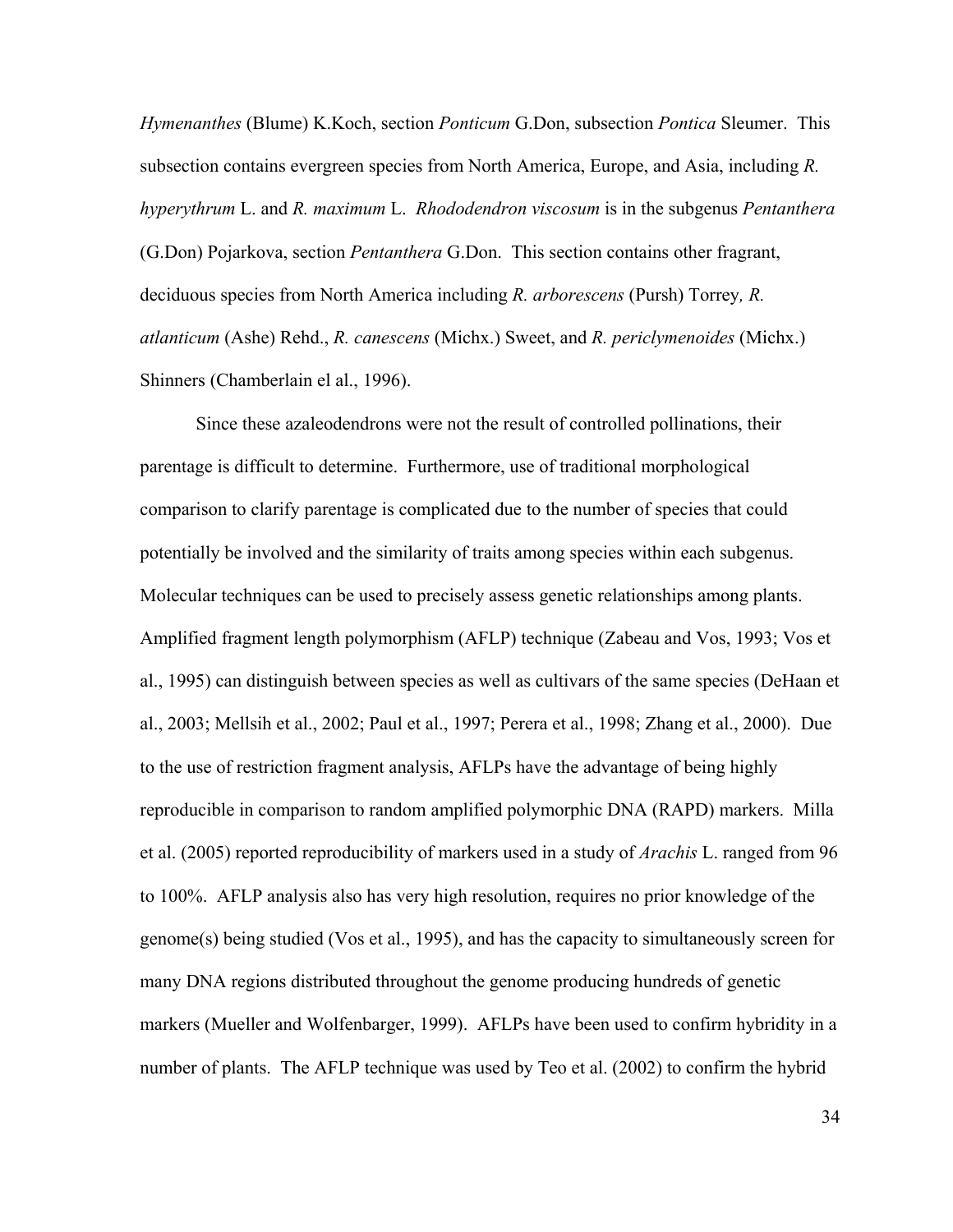*Hymenanthes* (Blume) K.Koch, section *Ponticum* G.Don, subsection *Pontica* Sleumer. This subsection contains evergreen species from North America, Europe, and Asia, including *R. hyperythrum* L. and *R. maximum* L. *Rhododendron viscosum* is in the subgenus *Pentanthera* (G.Don) Pojarkova, section *Pentanthera* G.Don. This section contains other fragrant, deciduous species from North America including *R. arborescens* (Pursh) Torrey*, R. atlanticum* (Ashe) Rehd., *R. canescens* (Michx.) Sweet, and *R. periclymenoides* (Michx.) Shinners (Chamberlain el al., 1996).

 Since these azaleodendrons were not the result of controlled pollinations, their parentage is difficult to determine. Furthermore, use of traditional morphological comparison to clarify parentage is complicated due to the number of species that could potentially be involved and the similarity of traits among species within each subgenus. Molecular techniques can be used to precisely assess genetic relationships among plants. Amplified fragment length polymorphism (AFLP) technique (Zabeau and Vos, 1993; Vos et al., 1995) can distinguish between species as well as cultivars of the same species (DeHaan et al., 2003; Mellsih et al., 2002; Paul et al., 1997; Perera et al., 1998; Zhang et al., 2000). Due to the use of restriction fragment analysis, AFLPs have the advantage of being highly reproducible in comparison to random amplified polymorphic DNA (RAPD) markers. Milla et al. (2005) reported reproducibility of markers used in a study of *Arachis* L. ranged from 96 to 100%. AFLP analysis also has very high resolution, requires no prior knowledge of the genome(s) being studied (Vos et al., 1995), and has the capacity to simultaneously screen for many DNA regions distributed throughout the genome producing hundreds of genetic markers (Mueller and Wolfenbarger, 1999). AFLPs have been used to confirm hybridity in a number of plants. The AFLP technique was used by Teo et al. (2002) to confirm the hybrid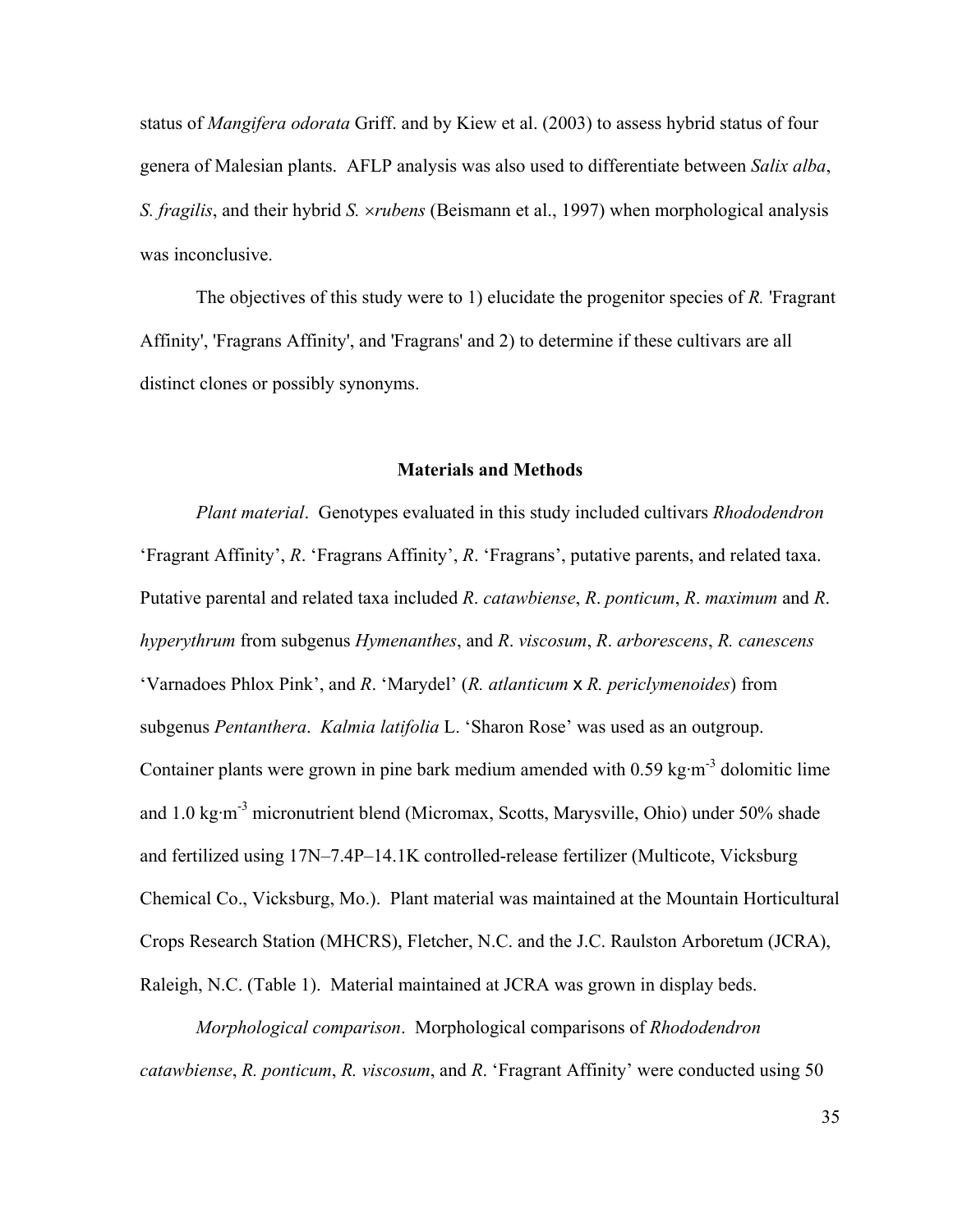status of *Mangifera odorata* Griff. and by Kiew et al. (2003) to assess hybrid status of four genera of Malesian plants. AFLP analysis was also used to differentiate between *Salix alba*, *S. fragilis*, and their hybrid *S.* ×*rubens* (Beismann et al., 1997) when morphological analysis was inconclusive.

The objectives of this study were to 1) elucidate the progenitor species of *R.* 'Fragrant Affinity', 'Fragrans Affinity', and 'Fragrans' and 2) to determine if these cultivars are all distinct clones or possibly synonyms.

#### **Materials and Methods**

 *Plant material*. Genotypes evaluated in this study included cultivars *Rhododendron* 'Fragrant Affinity', *R*. 'Fragrans Affinity', *R*. 'Fragrans', putative parents, and related taxa. Putative parental and related taxa included *R*. *catawbiense*, *R*. *ponticum*, *R*. *maximum* and *R*. *hyperythrum* from subgenus *Hymenanthes*, and *R*. *viscosum*, *R*. *arborescens*, *R. canescens* 'Varnadoes Phlox Pink', and *R*. 'Marydel' (*R. atlanticum* x *R. periclymenoides*) from subgenus *Pentanthera*. *Kalmia latifolia* L. 'Sharon Rose' was used as an outgroup. Container plants were grown in pine bark medium amended with  $0.59 \text{ kg} \cdot \text{m}^{-3}$  dolomitic lime and 1.0 kg·m-3 micronutrient blend (Micromax, Scotts, Marysville, Ohio) under 50% shade and fertilized using 17N–7.4P–14.1K controlled-release fertilizer (Multicote, Vicksburg Chemical Co., Vicksburg, Mo.). Plant material was maintained at the Mountain Horticultural Crops Research Station (MHCRS), Fletcher, N.C. and the J.C. Raulston Arboretum (JCRA), Raleigh, N.C. (Table 1). Material maintained at JCRA was grown in display beds.

 *Morphological comparison*. Morphological comparisons of *Rhododendron catawbiense*, *R. ponticum*, *R. viscosum*, and *R*. 'Fragrant Affinity' were conducted using 50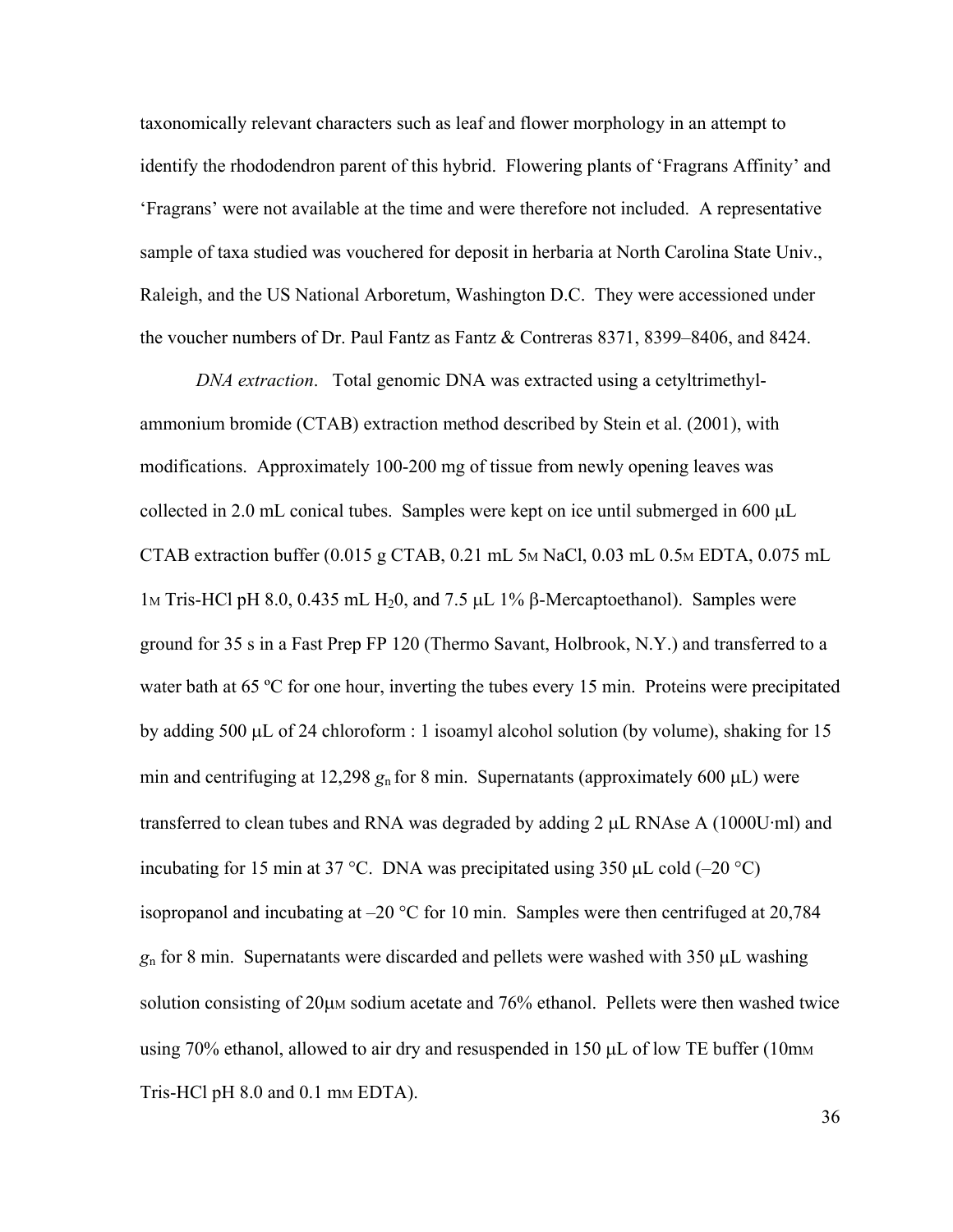taxonomically relevant characters such as leaf and flower morphology in an attempt to identify the rhododendron parent of this hybrid. Flowering plants of 'Fragrans Affinity' and 'Fragrans' were not available at the time and were therefore not included. A representative sample of taxa studied was vouchered for deposit in herbaria at North Carolina State Univ., Raleigh, and the US National Arboretum, Washington D.C. They were accessioned under the voucher numbers of Dr. Paul Fantz as Fantz & Contreras 8371, 8399–8406, and 8424.

 *DNA extraction*.Total genomic DNA was extracted using a cetyltrimethylammonium bromide (CTAB) extraction method described by Stein et al. (2001), with modifications. Approximately 100-200 mg of tissue from newly opening leaves was collected in 2.0 mL conical tubes. Samples were kept on ice until submerged in 600 µL CTAB extraction buffer  $(0.015 \text{ g CTAB}, 0.21 \text{ mL} 5 \text{m} \text{ NaCl}, 0.03 \text{ mL} 0.5 \text{m} \text{EDTA}, 0.075 \text{ mL}$ 1<sub>M</sub> Tris-HCl pH 8.0, 0.435 mL H<sub>2</sub>0, and 7.5 μL 1<sup>%</sup> β-Mercaptoethanol). Samples were ground for 35 s in a Fast Prep FP 120 (Thermo Savant, Holbrook, N.Y.) and transferred to a water bath at 65 °C for one hour, inverting the tubes every 15 min. Proteins were precipitated by adding 500 µL of 24 chloroform : 1 isoamyl alcohol solution (by volume), shaking for 15 min and centrifuging at 12,298  $g_n$  for 8 min. Supernatants (approximately 600  $\mu$ L) were transferred to clean tubes and RNA was degraded by adding 2 µL RNAse A (1000U·ml) and incubating for 15 min at 37 °C. DNA was precipitated using 350  $\mu$ L cold (–20 °C) isopropanol and incubating at –20 °C for 10 min. Samples were then centrifuged at 20,784 *g*n for 8 min. Supernatants were discarded and pellets were washed with 350 µL washing solution consisting of  $20\mu$ M sodium acetate and  $76\%$  ethanol. Pellets were then washed twice using  $70\%$  ethanol, allowed to air dry and resuspended in 150  $\mu$ L of low TE buffer (10mm Tris-HCl pH  $8.0$  and  $0.1$  mm EDTA).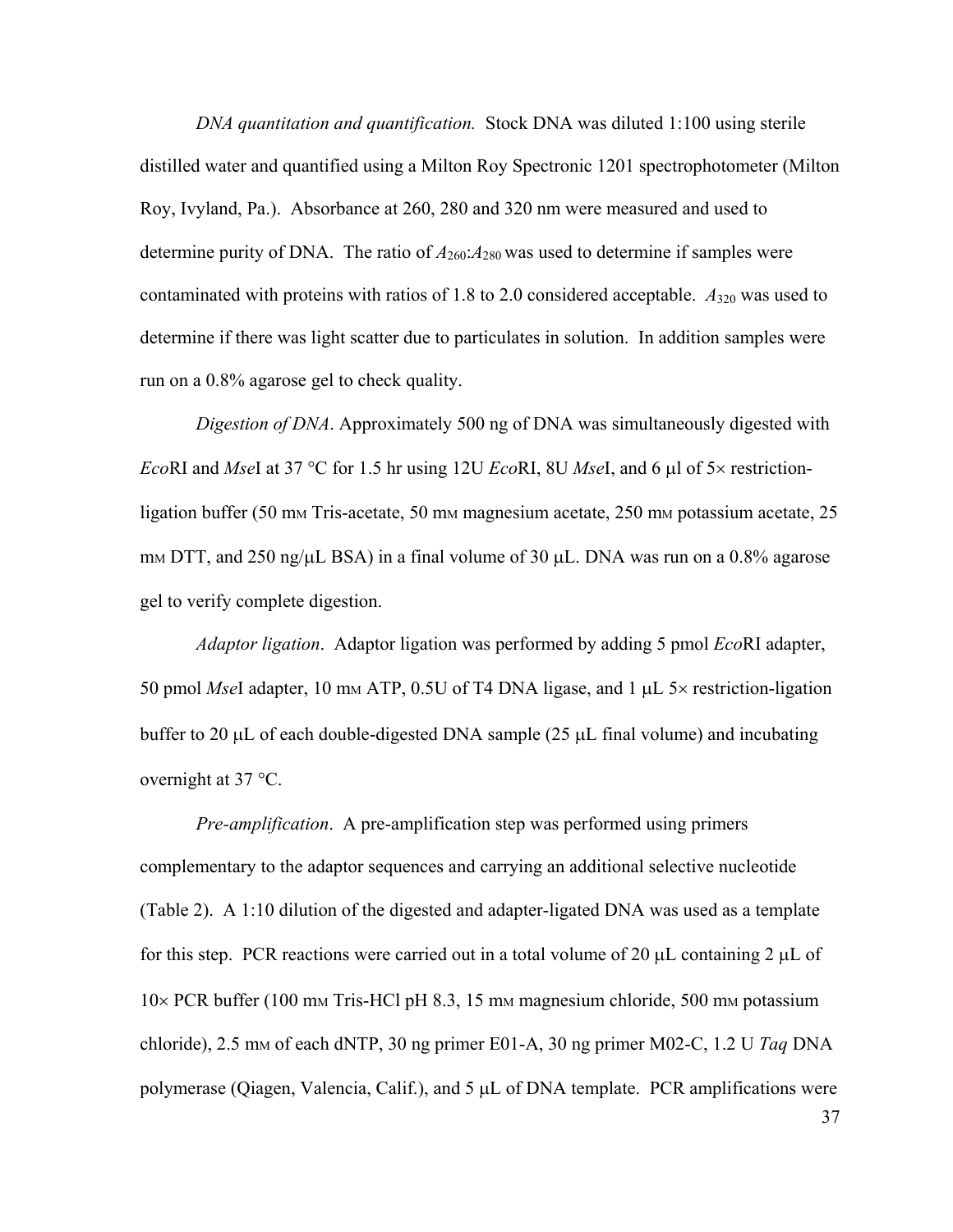*DNA quantitation and quantification.* Stock DNA was diluted 1:100 using sterile distilled water and quantified using a Milton Roy Spectronic 1201 spectrophotometer (Milton Roy, Ivyland, Pa.). Absorbance at 260, 280 and 320 nm were measured and used to determine purity of DNA. The ratio of  $A_{260}$ : $A_{280}$  was used to determine if samples were contaminated with proteins with ratios of 1.8 to 2.0 considered acceptable.  $A_{320}$  was used to determine if there was light scatter due to particulates in solution. In addition samples were run on a 0.8% agarose gel to check quality.

 *Digestion of DNA*. Approximately 500 ng of DNA was simultaneously digested with *Eco*RI and *Mse*I at 37 °C for 1.5 hr using 12U *Eco*RI, 8U *Mse*I, and 6 µl of 5× restrictionligation buffer (50 mm Tris-acetate, 50 mm magnesium acetate, 250 mm potassium acetate, 25 mm DTT, and 250 ng/ $\mu$ L BSA) in a final volume of 30  $\mu$ L. DNA was run on a 0.8% agarose gel to verify complete digestion.

 *Adaptor ligation*. Adaptor ligation was performed by adding 5 pmol *Eco*RI adapter, 50 pmol *Mse*I adapter, 10 mM ATP, 0.5U of T4 DNA ligase, and 1 µL 5× restriction-ligation buffer to 20 µL of each double-digested DNA sample (25 µL final volume) and incubating overnight at 37 °C.

 *Pre-amplification*.A pre-amplification step was performed using primers complementary to the adaptor sequences and carrying an additional selective nucleotide (Table 2). A 1:10 dilution of the digested and adapter-ligated DNA was used as a template for this step. PCR reactions were carried out in a total volume of 20  $\mu$ L containing 2  $\mu$ L of  $10\times$  PCR buffer (100 mm Tris-HCl pH 8.3, 15 mm magnesium chloride, 500 mm potassium chloride), 2.5 mM of each dNTP, 30 ng primer E01-A, 30 ng primer M02-C, 1.2 U *Taq* DNA polymerase (Qiagen, Valencia, Calif.), and 5 µL of DNA template. PCR amplifications were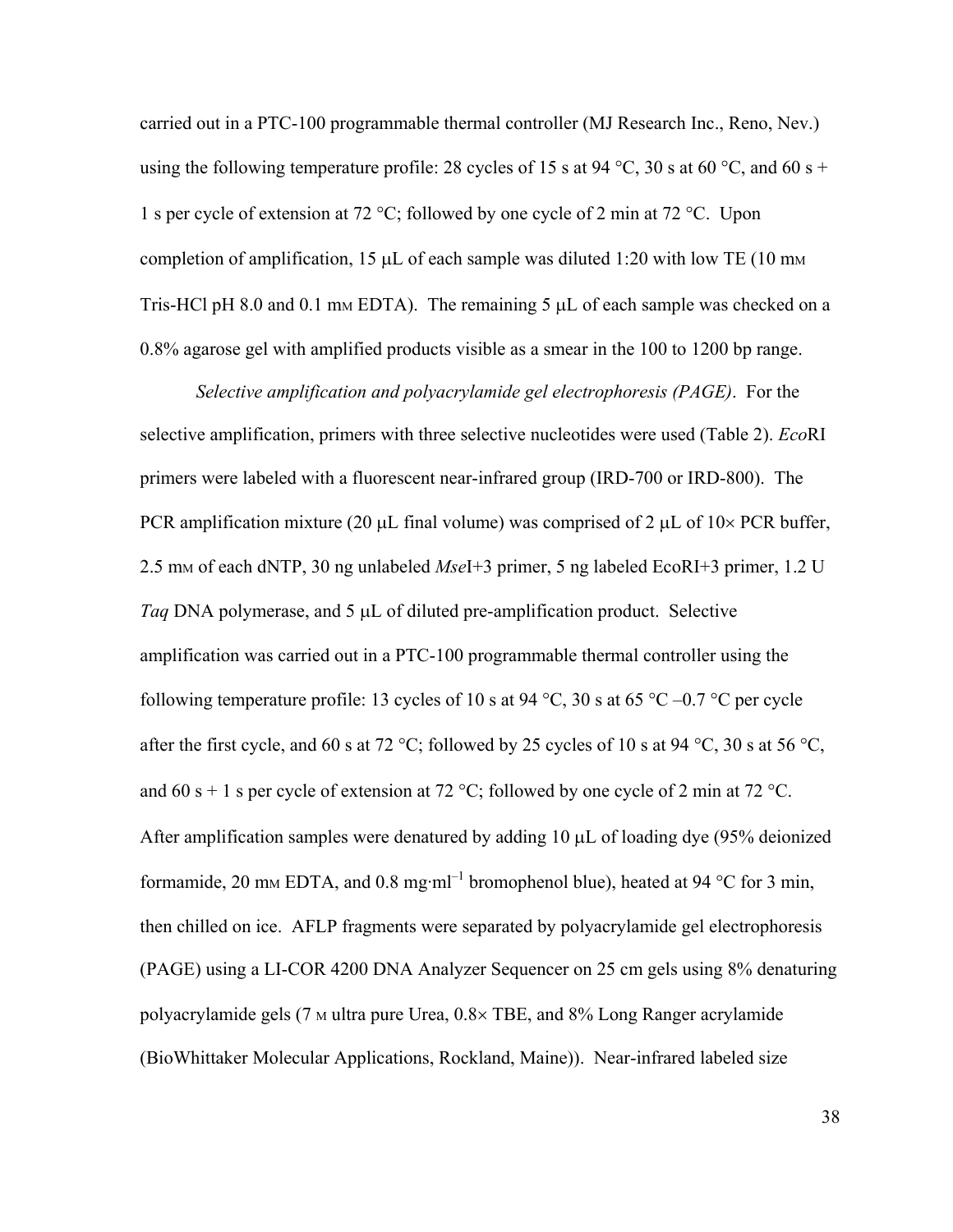carried out in a PTC-100 programmable thermal controller (MJ Research Inc., Reno, Nev.) using the following temperature profile: 28 cycles of 15 s at 94 °C, 30 s at 60 °C, and 60 s + 1 s per cycle of extension at 72 °C; followed by one cycle of 2 min at 72 °C. Upon completion of amplification, 15  $\mu$ L of each sample was diluted 1:20 with low TE (10 mm Tris-HCl pH 8.0 and 0.1 mm EDTA). The remaining 5  $\mu$ L of each sample was checked on a 0.8% agarose gel with amplified products visible as a smear in the 100 to 1200 bp range.

 *Selective amplification and polyacrylamide gel electrophoresis (PAGE)*.For the selective amplification, primers with three selective nucleotides were used (Table 2). *Eco*RI primers were labeled with a fluorescent near-infrared group (IRD-700 or IRD-800). The PCR amplification mixture (20  $\mu$ L final volume) was comprised of 2  $\mu$ L of 10× PCR buffer, 2.5 mM of each dNTP, 30 ng unlabeled *Mse*I+3 primer, 5 ng labeled EcoRI+3 primer, 1.2 U *Taq* DNA polymerase, and 5 µL of diluted pre-amplification product. Selective amplification was carried out in a PTC-100 programmable thermal controller using the following temperature profile: 13 cycles of 10 s at 94 °C, 30 s at 65 °C –0.7 °C per cycle after the first cycle, and 60 s at 72 °C; followed by 25 cycles of 10 s at 94 °C, 30 s at 56 °C, and 60 s + 1 s per cycle of extension at 72 °C; followed by one cycle of 2 min at 72 °C. After amplification samples were denatured by adding 10 µL of loading dye (95% deionized formamide, 20 mm EDTA, and 0.8 mg·ml<sup>-1</sup> bromophenol blue), heated at 94 °C for 3 min, then chilled on ice. AFLP fragments were separated by polyacrylamide gel electrophoresis (PAGE) using a LI-COR 4200 DNA Analyzer Sequencer on 25 cm gels using 8% denaturing polyacrylamide gels (7 M ultra pure Urea, 0.8× TBE, and 8% Long Ranger acrylamide (BioWhittaker Molecular Applications, Rockland, Maine)). Near-infrared labeled size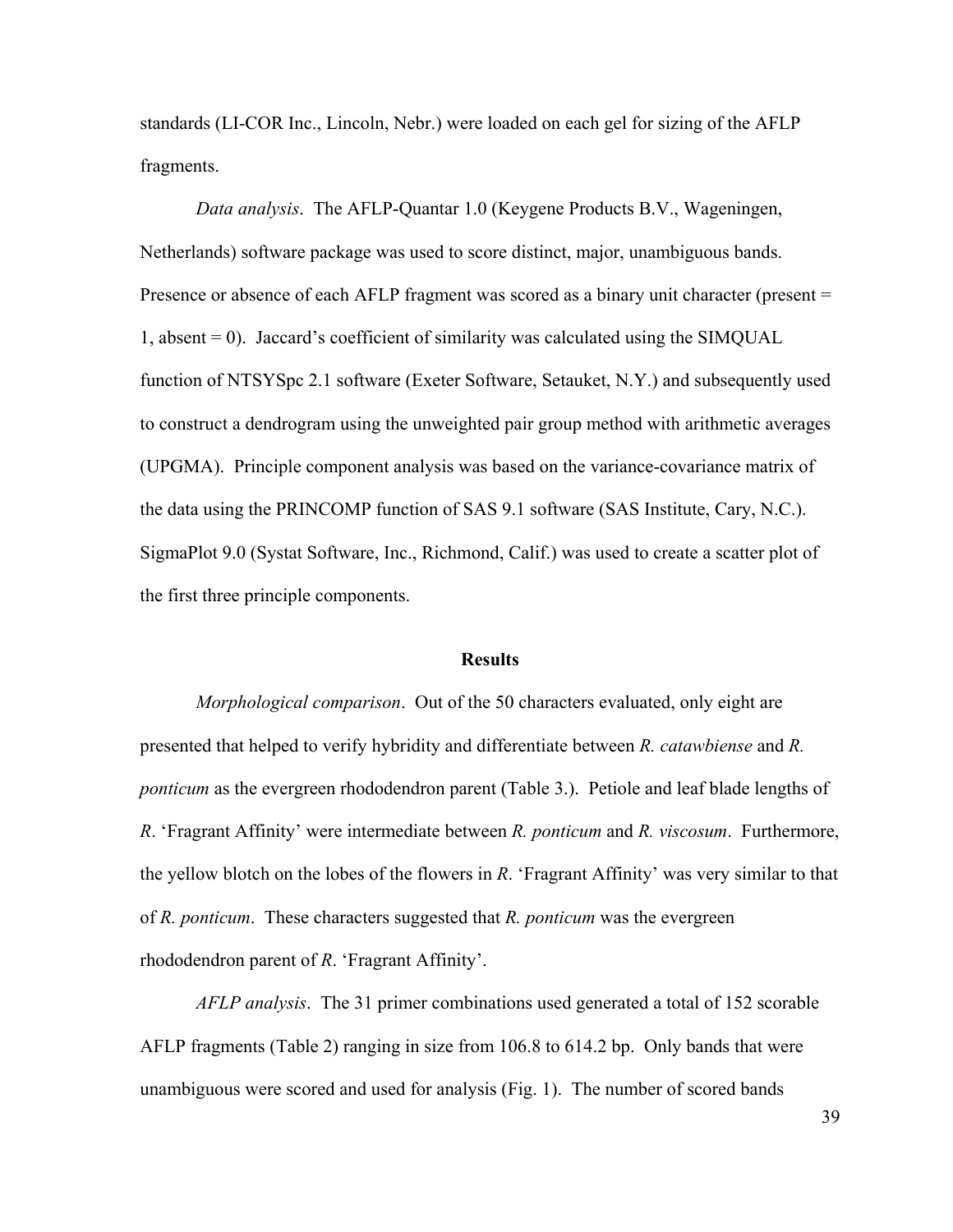standards (LI-COR Inc., Lincoln, Nebr.) were loaded on each gel for sizing of the AFLP fragments.

*Data analysis*.The AFLP-Quantar 1.0 (Keygene Products B.V., Wageningen, Netherlands) software package was used to score distinct, major, unambiguous bands. Presence or absence of each AFLP fragment was scored as a binary unit character (present = 1, absent = 0). Jaccard's coefficient of similarity was calculated using the SIMQUAL function of NTSYSpc 2.1 software (Exeter Software, Setauket, N.Y.) and subsequently used to construct a dendrogram using the unweighted pair group method with arithmetic averages (UPGMA). Principle component analysis was based on the variance-covariance matrix of the data using the PRINCOMP function of SAS 9.1 software (SAS Institute, Cary, N.C.). SigmaPlot 9.0 (Systat Software, Inc., Richmond, Calif.) was used to create a scatter plot of the first three principle components.

#### **Results**

 *Morphological comparison*. Out of the 50 characters evaluated, only eight are presented that helped to verify hybridity and differentiate between *R. catawbiense* and *R. ponticum* as the evergreen rhododendron parent (Table 3.). Petiole and leaf blade lengths of *R*. 'Fragrant Affinity' were intermediate between *R. ponticum* and *R. viscosum*. Furthermore, the yellow blotch on the lobes of the flowers in *R*. 'Fragrant Affinity' was very similar to that of *R. ponticum*. These characters suggested that *R. ponticum* was the evergreen rhododendron parent of *R*. 'Fragrant Affinity'.

 *AFLP analysis*. The 31 primer combinations used generated a total of 152 scorable AFLP fragments (Table 2) ranging in size from 106.8 to 614.2 bp. Only bands that were unambiguous were scored and used for analysis (Fig. 1). The number of scored bands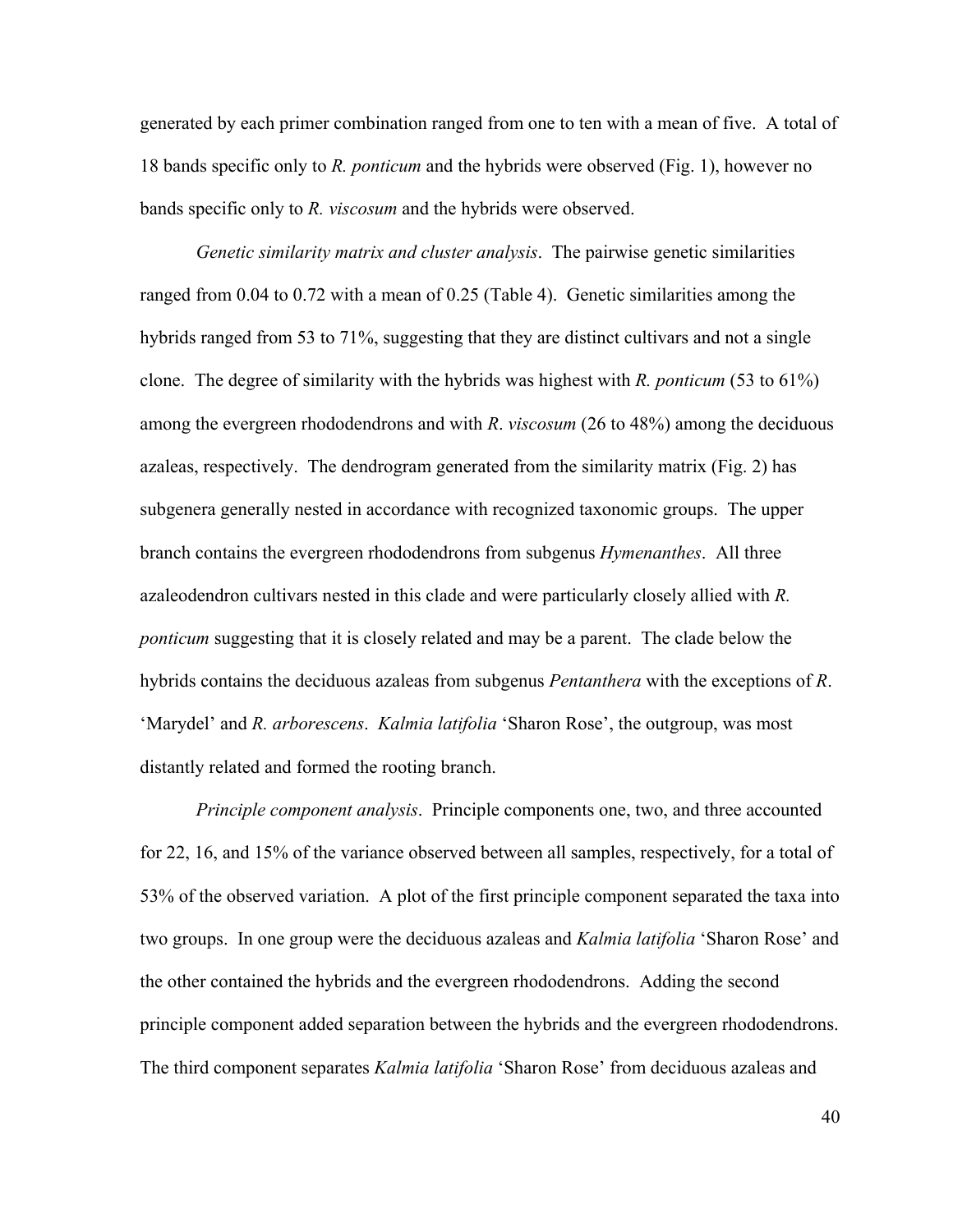generated by each primer combination ranged from one to ten with a mean of five. A total of 18 bands specific only to *R. ponticum* and the hybrids were observed (Fig. 1), however no bands specific only to *R. viscosum* and the hybrids were observed.

 *Genetic similarity matrix and cluster analysis*. The pairwise genetic similarities ranged from 0.04 to 0.72 with a mean of 0.25 (Table 4). Genetic similarities among the hybrids ranged from 53 to 71%, suggesting that they are distinct cultivars and not a single clone. The degree of similarity with the hybrids was highest with *R. ponticum* (53 to 61%) among the evergreen rhododendrons and with *R*. *viscosum* (26 to 48%) among the deciduous azaleas, respectively. The dendrogram generated from the similarity matrix (Fig. 2) has subgenera generally nested in accordance with recognized taxonomic groups. The upper branch contains the evergreen rhododendrons from subgenus *Hymenanthes*. All three azaleodendron cultivars nested in this clade and were particularly closely allied with *R. ponticum* suggesting that it is closely related and may be a parent. The clade below the hybrids contains the deciduous azaleas from subgenus *Pentanthera* with the exceptions of *R*. 'Marydel' and *R. arborescens*. *Kalmia latifolia* 'Sharon Rose', the outgroup, was most distantly related and formed the rooting branch.

*Principle component analysis*. Principle components one, two, and three accounted for 22, 16, and 15% of the variance observed between all samples, respectively, for a total of 53% of the observed variation. A plot of the first principle component separated the taxa into two groups. In one group were the deciduous azaleas and *Kalmia latifolia* 'Sharon Rose' and the other contained the hybrids and the evergreen rhododendrons. Adding the second principle component added separation between the hybrids and the evergreen rhododendrons. The third component separates *Kalmia latifolia* 'Sharon Rose' from deciduous azaleas and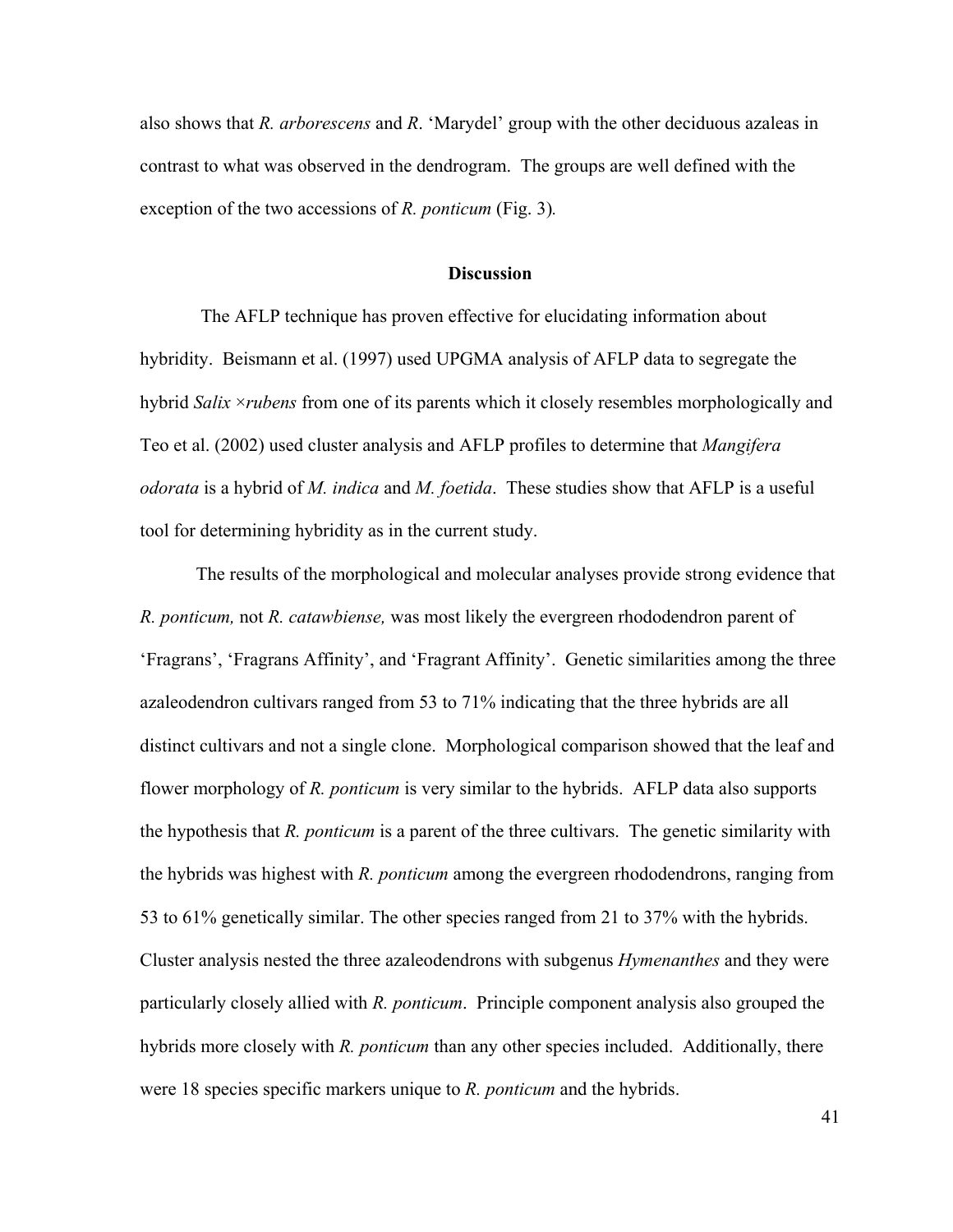also shows that *R. arborescens* and *R*. 'Marydel' group with the other deciduous azaleas in contrast to what was observed in the dendrogram. The groups are well defined with the exception of the two accessions of *R. ponticum* (Fig. 3)*.*

#### **Discussion**

 The AFLP technique has proven effective for elucidating information about hybridity. Beismann et al. (1997) used UPGMA analysis of AFLP data to segregate the hybrid *Salix* ×*rubens* from one of its parents which it closely resembles morphologically and Teo et al. (2002) used cluster analysis and AFLP profiles to determine that *Mangifera odorata* is a hybrid of *M. indica* and *M. foetida*. These studies show that AFLP is a useful tool for determining hybridity as in the current study.

 The results of the morphological and molecular analyses provide strong evidence that *R. ponticum,* not *R. catawbiense,* was most likely the evergreen rhododendron parent of 'Fragrans', 'Fragrans Affinity', and 'Fragrant Affinity'. Genetic similarities among the three azaleodendron cultivars ranged from 53 to 71% indicating that the three hybrids are all distinct cultivars and not a single clone. Morphological comparison showed that the leaf and flower morphology of *R. ponticum* is very similar to the hybrids. AFLP data also supports the hypothesis that *R. ponticum* is a parent of the three cultivars. The genetic similarity with the hybrids was highest with *R. ponticum* among the evergreen rhododendrons, ranging from 53 to 61% genetically similar. The other species ranged from 21 to 37% with the hybrids. Cluster analysis nested the three azaleodendrons with subgenus *Hymenanthes* and they were particularly closely allied with *R. ponticum*. Principle component analysis also grouped the hybrids more closely with *R. ponticum* than any other species included. Additionally, there were 18 species specific markers unique to *R. ponticum* and the hybrids.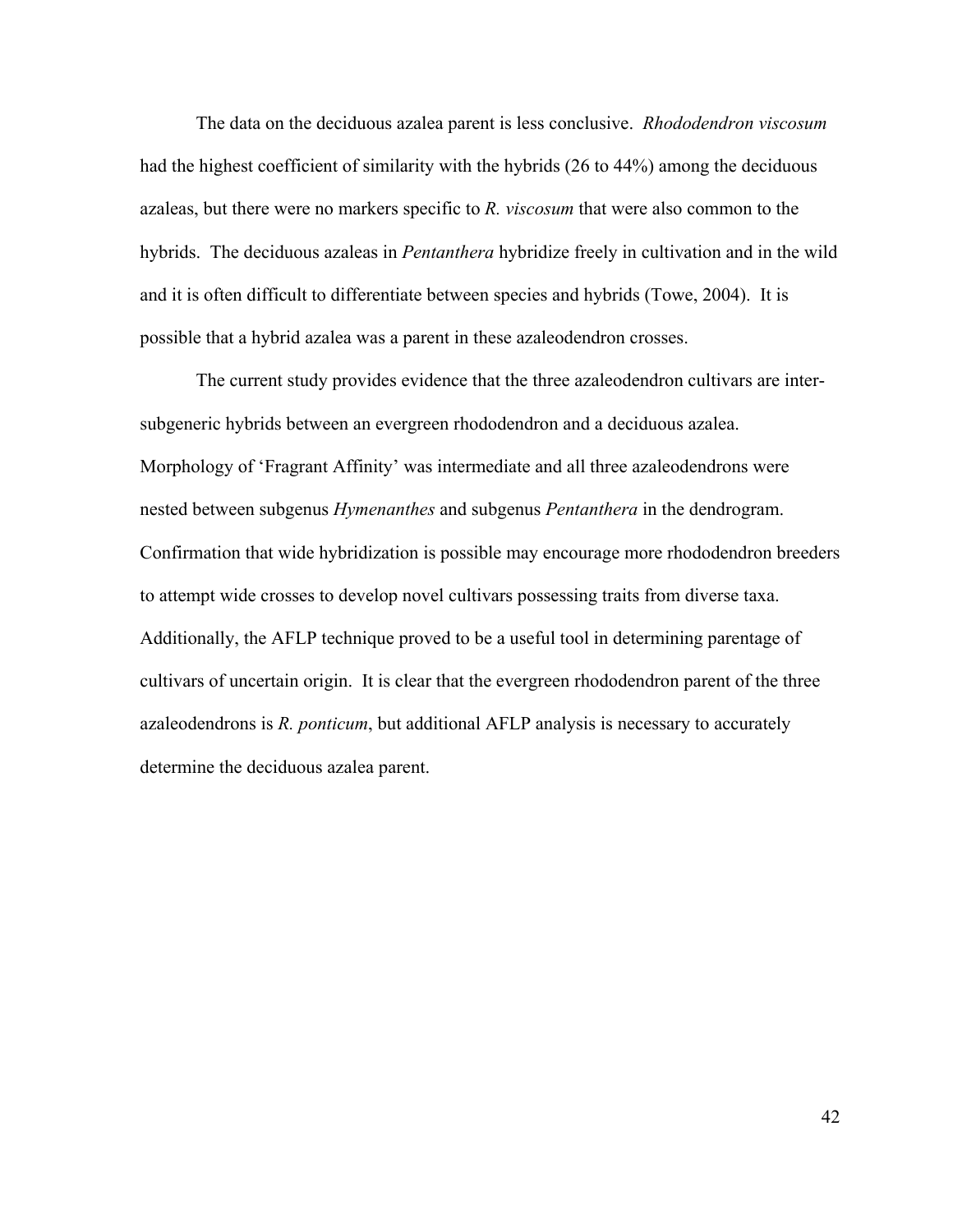The data on the deciduous azalea parent is less conclusive. *Rhododendron viscosum* had the highest coefficient of similarity with the hybrids (26 to 44%) among the deciduous azaleas, but there were no markers specific to *R. viscosum* that were also common to the hybrids. The deciduous azaleas in *Pentanthera* hybridize freely in cultivation and in the wild and it is often difficult to differentiate between species and hybrids (Towe, 2004). It is possible that a hybrid azalea was a parent in these azaleodendron crosses.

 The current study provides evidence that the three azaleodendron cultivars are intersubgeneric hybrids between an evergreen rhododendron and a deciduous azalea. Morphology of 'Fragrant Affinity' was intermediate and all three azaleodendrons were nested between subgenus *Hymenanthes* and subgenus *Pentanthera* in the dendrogram. Confirmation that wide hybridization is possible may encourage more rhododendron breeders to attempt wide crosses to develop novel cultivars possessing traits from diverse taxa. Additionally, the AFLP technique proved to be a useful tool in determining parentage of cultivars of uncertain origin. It is clear that the evergreen rhododendron parent of the three azaleodendrons is *R. ponticum*, but additional AFLP analysis is necessary to accurately determine the deciduous azalea parent.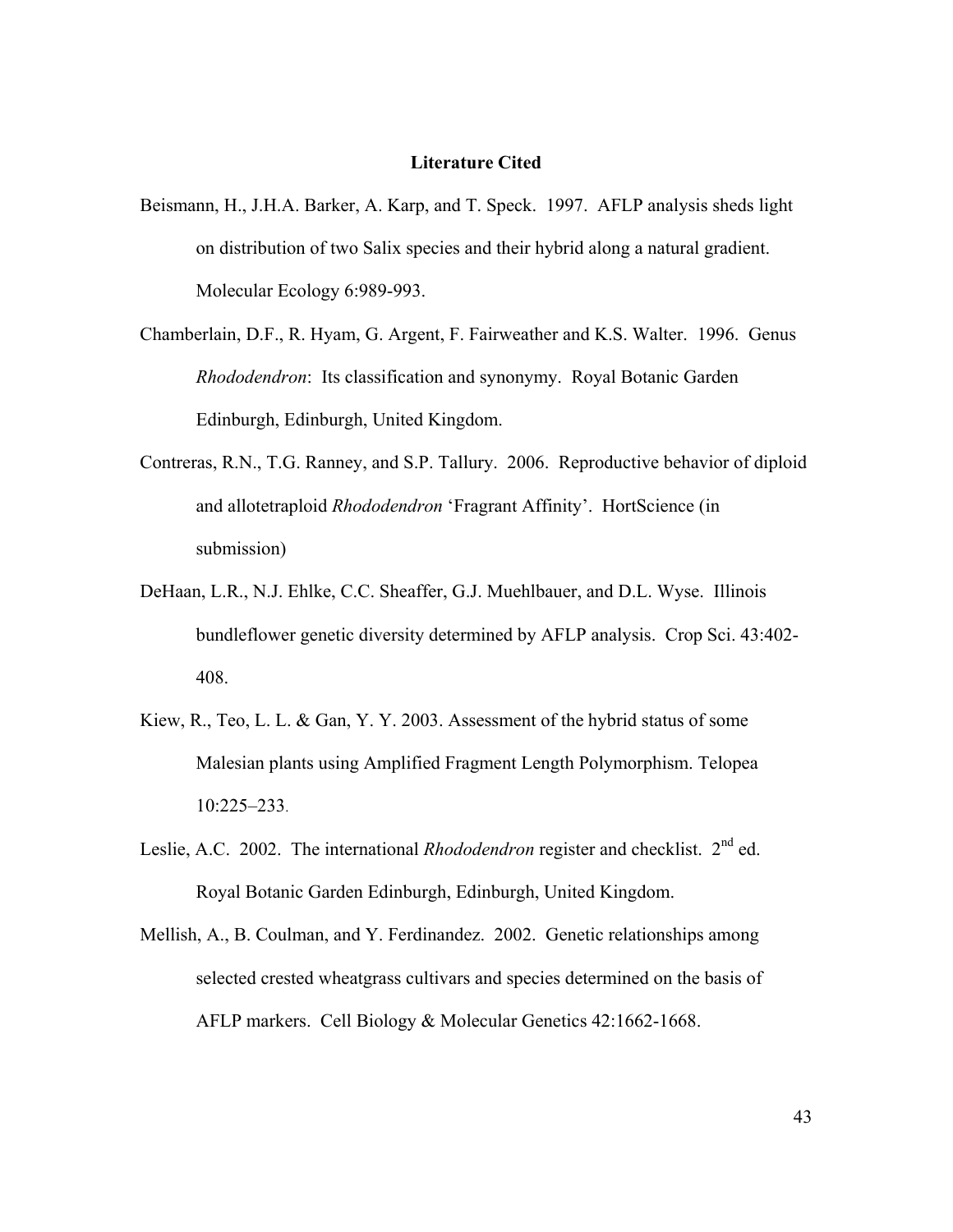#### **Literature Cited**

- Beismann, H., J.H.A. Barker, A. Karp, and T. Speck. 1997. AFLP analysis sheds light on distribution of two Salix species and their hybrid along a natural gradient. Molecular Ecology 6:989-993.
- Chamberlain, D.F., R. Hyam, G. Argent, F. Fairweather and K.S. Walter. 1996. Genus *Rhododendron*: Its classification and synonymy. Royal Botanic Garden Edinburgh, Edinburgh, United Kingdom.
- Contreras, R.N., T.G. Ranney, and S.P. Tallury. 2006. Reproductive behavior of diploid and allotetraploid *Rhododendron* 'Fragrant Affinity'. HortScience (in submission)
- DeHaan, L.R., N.J. Ehlke, C.C. Sheaffer, G.J. Muehlbauer, and D.L. Wyse. Illinois bundleflower genetic diversity determined by AFLP analysis. Crop Sci. 43:402- 408.
- Kiew, R., Teo, L. L. & Gan, Y. Y. 2003. Assessment of the hybrid status of some Malesian plants using Amplified Fragment Length Polymorphism. Telopea 10:225–233.
- Leslie, A.C. 2002. The international *Rhododendron* register and checklist. 2<sup>nd</sup> ed. Royal Botanic Garden Edinburgh, Edinburgh, United Kingdom.
- Mellish, A., B. Coulman, and Y. Ferdinandez. 2002. Genetic relationships among selected crested wheatgrass cultivars and species determined on the basis of AFLP markers. Cell Biology & Molecular Genetics 42:1662-1668.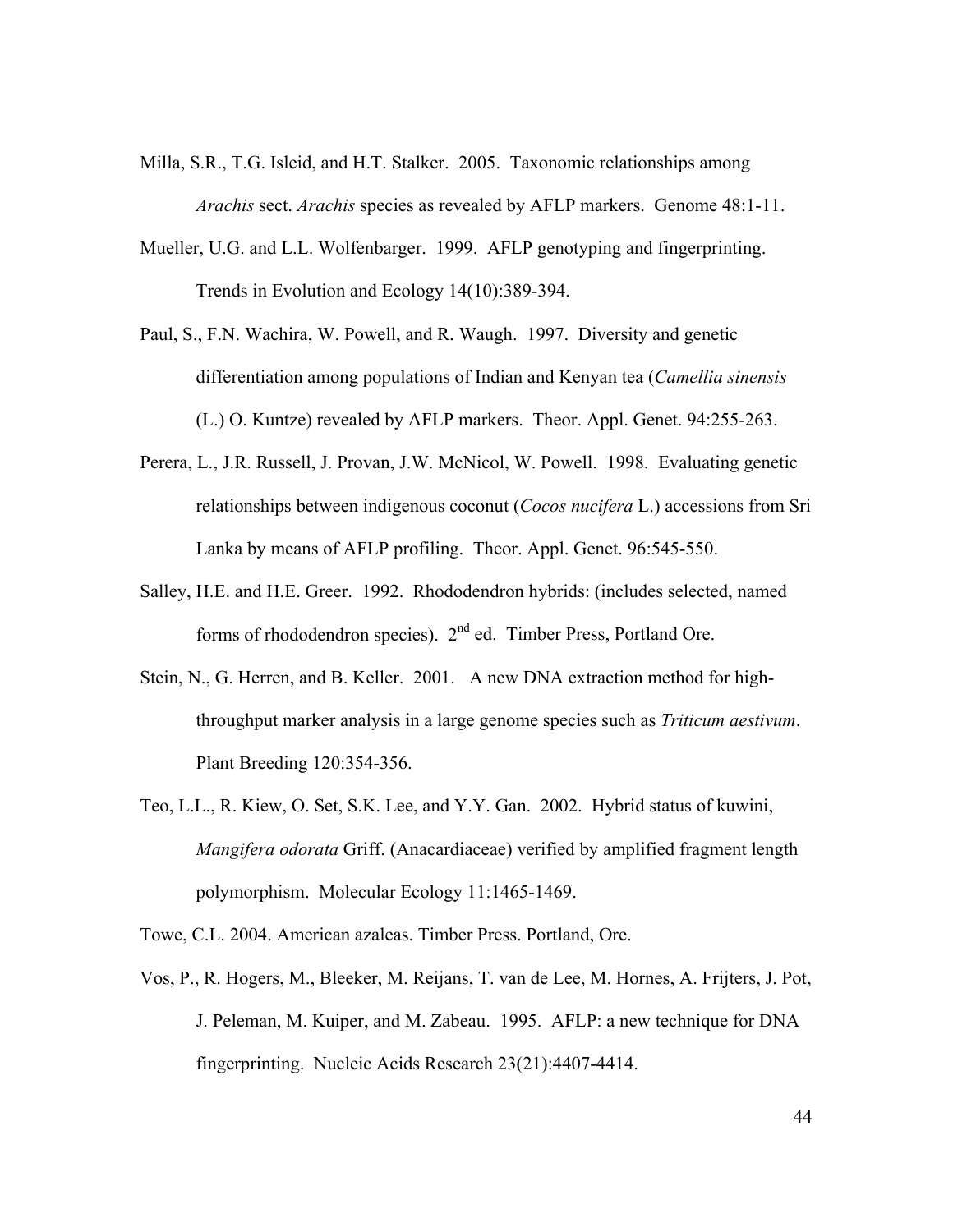- Milla, S.R., T.G. Isleid, and H.T. Stalker. 2005. Taxonomic relationships among *Arachis* sect. *Arachis* species as revealed by AFLP markers. Genome 48:1-11.
- Mueller, U.G. and L.L. Wolfenbarger. 1999. AFLP genotyping and fingerprinting. Trends in Evolution and Ecology 14(10):389-394.
- Paul, S., F.N. Wachira, W. Powell, and R. Waugh. 1997. Diversity and genetic differentiation among populations of Indian and Kenyan tea (*Camellia sinensis* (L.) O. Kuntze) revealed by AFLP markers. Theor. Appl. Genet. 94:255-263.
- Perera, L., J.R. Russell, J. Provan, J.W. McNicol, W. Powell. 1998. Evaluating genetic relationships between indigenous coconut (*Cocos nucifera* L.) accessions from Sri Lanka by means of AFLP profiling. Theor. Appl. Genet. 96:545-550.
- Salley, H.E. and H.E. Greer. 1992. Rhododendron hybrids: (includes selected, named forms of rhododendron species).  $2<sup>nd</sup>$  ed. Timber Press, Portland Ore.
- Stein, N., G. Herren, and B. Keller. 2001. A new DNA extraction method for highthroughput marker analysis in a large genome species such as *Triticum aestivum*. Plant Breeding 120:354-356.
- Teo, L.L., R. Kiew, O. Set, S.K. Lee, and Y.Y. Gan. 2002. Hybrid status of kuwini, *Mangifera odorata* Griff. (Anacardiaceae) verified by amplified fragment length polymorphism. Molecular Ecology 11:1465-1469.
- Towe, C.L. 2004. American azaleas. Timber Press. Portland, Ore.
- Vos, P., R. Hogers, M., Bleeker, M. Reijans, T. van de Lee, M. Hornes, A. Frijters, J. Pot, J. Peleman, M. Kuiper, and M. Zabeau. 1995. AFLP: a new technique for DNA fingerprinting. Nucleic Acids Research 23(21):4407-4414.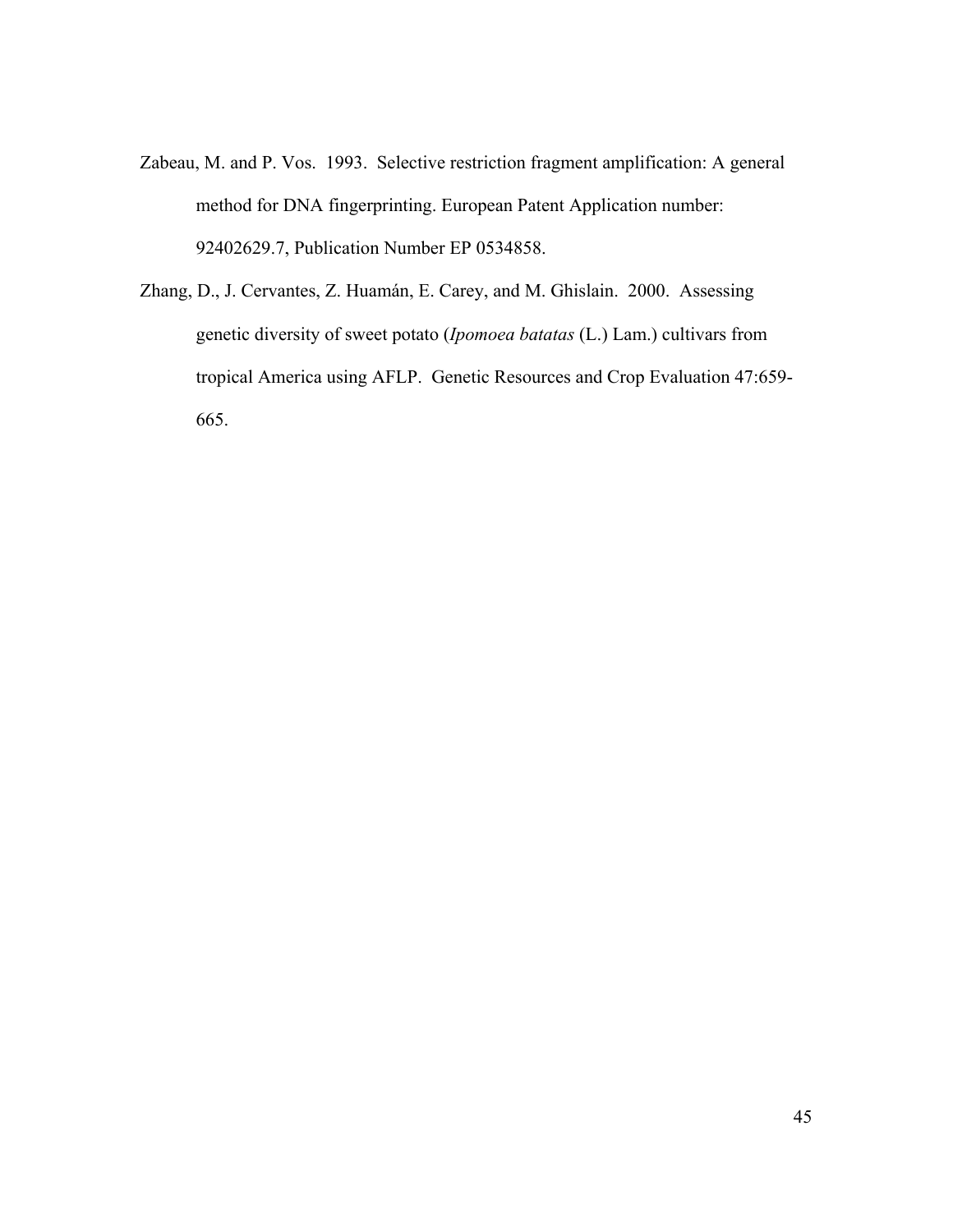- Zabeau, M. and P. Vos. 1993. Selective restriction fragment amplification: A general method for DNA fingerprinting. European Patent Application number: 92402629.7, Publication Number EP 0534858.
- Zhang, D., J. Cervantes, Z. Huamán, E. Carey, and M. Ghislain. 2000. Assessing genetic diversity of sweet potato (*Ipomoea batatas* (L.) Lam.) cultivars from tropical America using AFLP. Genetic Resources and Crop Evaluation 47:659- 665.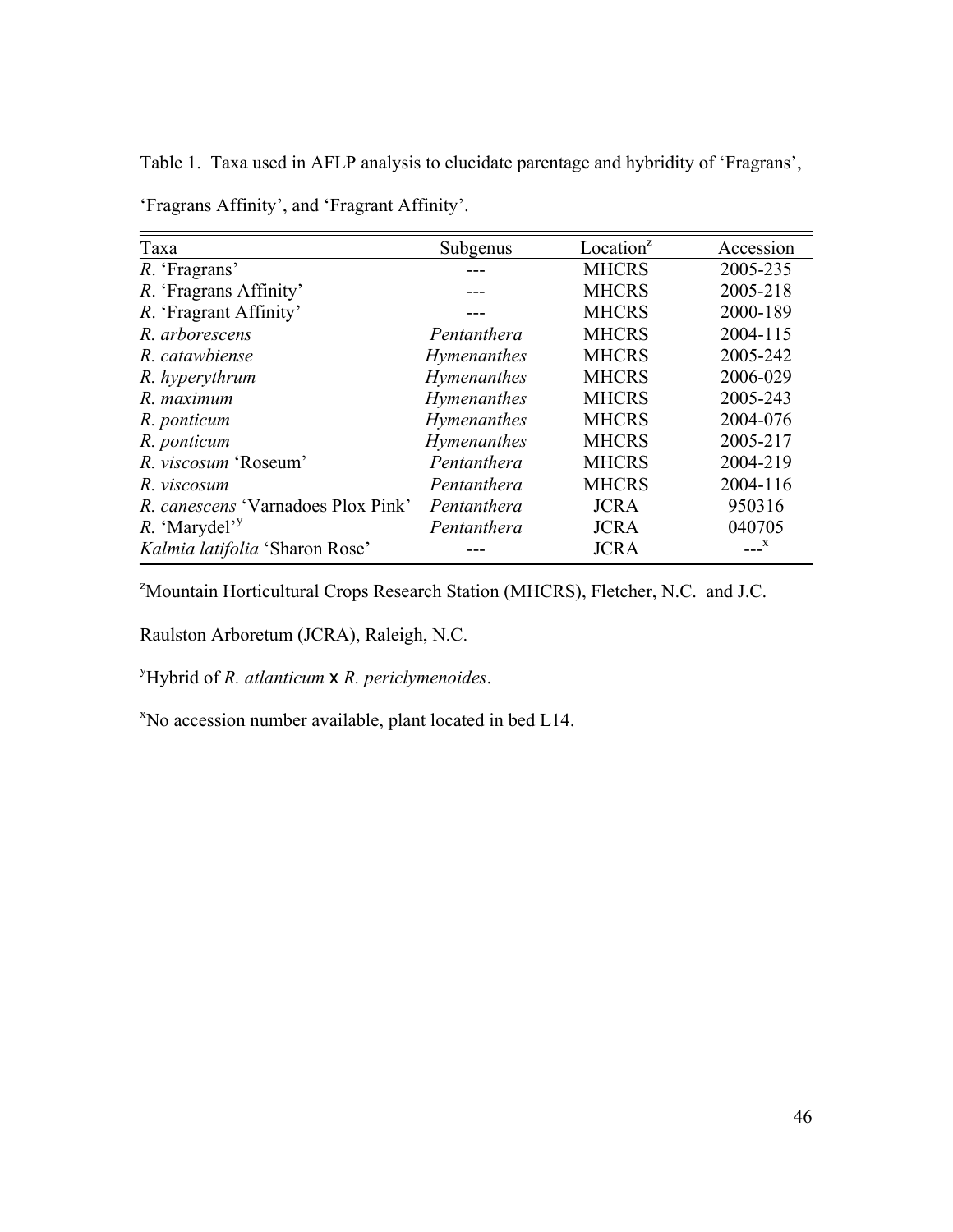Table 1. Taxa used in AFLP analysis to elucidate parentage and hybridity of 'Fragrans', 'Fragrans Affinity', and 'Fragrant Affinity'.

| Taxa                                      | Subgenus           | Location <sup><math>z</math></sup> | Accession |
|-------------------------------------------|--------------------|------------------------------------|-----------|
| R. 'Fragrans'                             |                    | <b>MHCRS</b>                       | 2005-235  |
| R. 'Fragrans Affinity'                    |                    | <b>MHCRS</b>                       | 2005-218  |
| R. 'Fragrant Affinity'                    |                    | <b>MHCRS</b>                       | 2000-189  |
| R. arborescens                            | Pentanthera        | <b>MHCRS</b>                       | 2004-115  |
| R. catawbiense                            | <b>Hymenanthes</b> | <b>MHCRS</b>                       | 2005-242  |
| R. hyperythrum                            | Hymenanthes        | <b>MHCRS</b>                       | 2006-029  |
| R. maximum                                | <b>Hymenanthes</b> | <b>MHCRS</b>                       | 2005-243  |
| R. ponticum                               | Hymenanthes        | <b>MHCRS</b>                       | 2004-076  |
| R. ponticum                               | Hymenanthes        | <b>MHCRS</b>                       | 2005-217  |
| R. viscosum 'Roseum'                      | Pentanthera        | <b>MHCRS</b>                       | 2004-219  |
| R. viscosum                               | Pentanthera        | <b>MHCRS</b>                       | 2004-116  |
| <i>R. canescens</i> 'Varnadoes Plox Pink' | Pentanthera        | <b>JCRA</b>                        | 950316    |
| R. 'Marydel' <sup>y</sup>                 | Pentanthera        | <b>JCRA</b>                        | 040705    |
| Kalmia latifolia 'Sharon Rose'            |                    | <b>JCRA</b>                        | X         |

<sup>2</sup>Mountain Horticultural Crops Research Station (MHCRS), Fletcher, N.C. and J.C.

Raulston Arboretum (JCRA), Raleigh, N.C.

y Hybrid of *R. atlanticum* x *R. periclymenoides*.

x No accession number available, plant located in bed L14.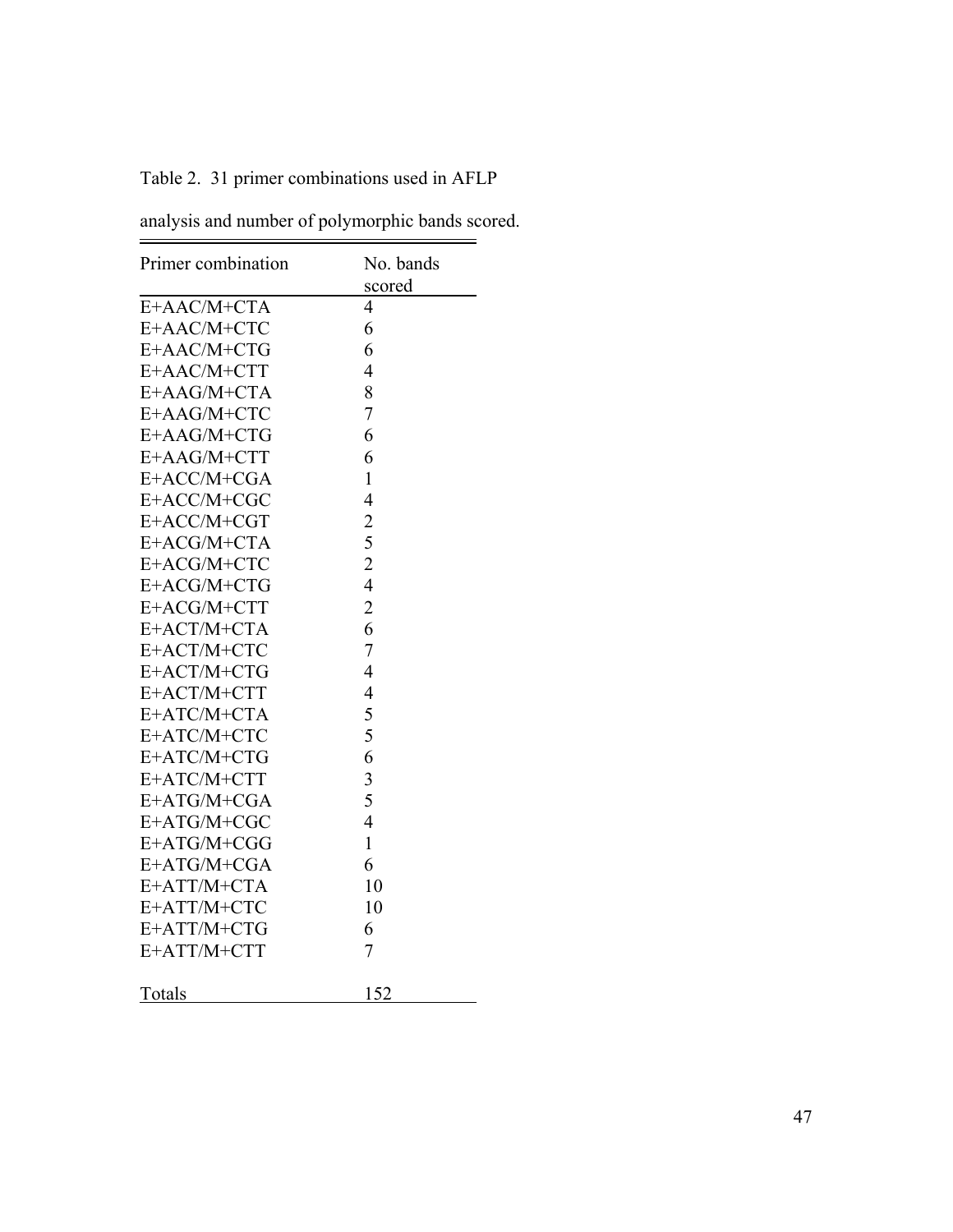|  |  |  | Table 2. 31 primer combinations used in AFLP |  |  |
|--|--|--|----------------------------------------------|--|--|
|--|--|--|----------------------------------------------|--|--|

| analysis and number of polymorphic bands scored. |  |
|--------------------------------------------------|--|

 $=$ 

| Primer combination | No. bands      |
|--------------------|----------------|
|                    | scored         |
| E+AAC/M+CTA        | 4              |
| E+AAC/M+CTC        | 6              |
| E+AAC/M+CTG        | 6              |
| E+AAC/M+CTT        | 4              |
| E+AAG/M+CTA        | 8              |
| E+AAG/M+CTC        | 7              |
| E+AAG/M+CTG        | 6              |
| E+AAG/M+CTT        | 6              |
| E+ACC/M+CGA        | $\mathbf{1}$   |
| E+ACC/M+CGC        | $\overline{4}$ |
| E+ACC/M+CGT        |                |
| E+ACG/M+CTA        | $\frac{2}{5}$  |
| E+ACG/M+CTC        | $\overline{c}$ |
| E+ACG/M+CTG        | $\overline{4}$ |
| $E + ACG/M + CTT$  | $\overline{c}$ |
| E+ACT/M+CTA        | 6              |
| E+ACT/M+CTC        | $\overline{7}$ |
| E+ACT/M+CTG        | $\overline{4}$ |
| E+ACT/M+CTT        | $\overline{4}$ |
| E+ATC/M+CTA        | 5              |
| E+ATC/M+CTC        | 5              |
| E+ATC/M+CTG        | 6              |
| E+ATC/M+CTT        | 3              |
| $E+ATG/M+CGA$      | 5              |
| E+ATG/M+CGC        | $\overline{4}$ |
| E+ATG/M+CGG        | $\mathbf{1}$   |
| E+ATG/M+CGA        | 6              |
| E+ATT/M+CTA        | 10             |
| E+ATT/M+CTC        | 10             |
| E+ATT/M+CTG        | 6              |
| E+ATT/M+CTT        | 7              |
| Totals             | 152            |
|                    |                |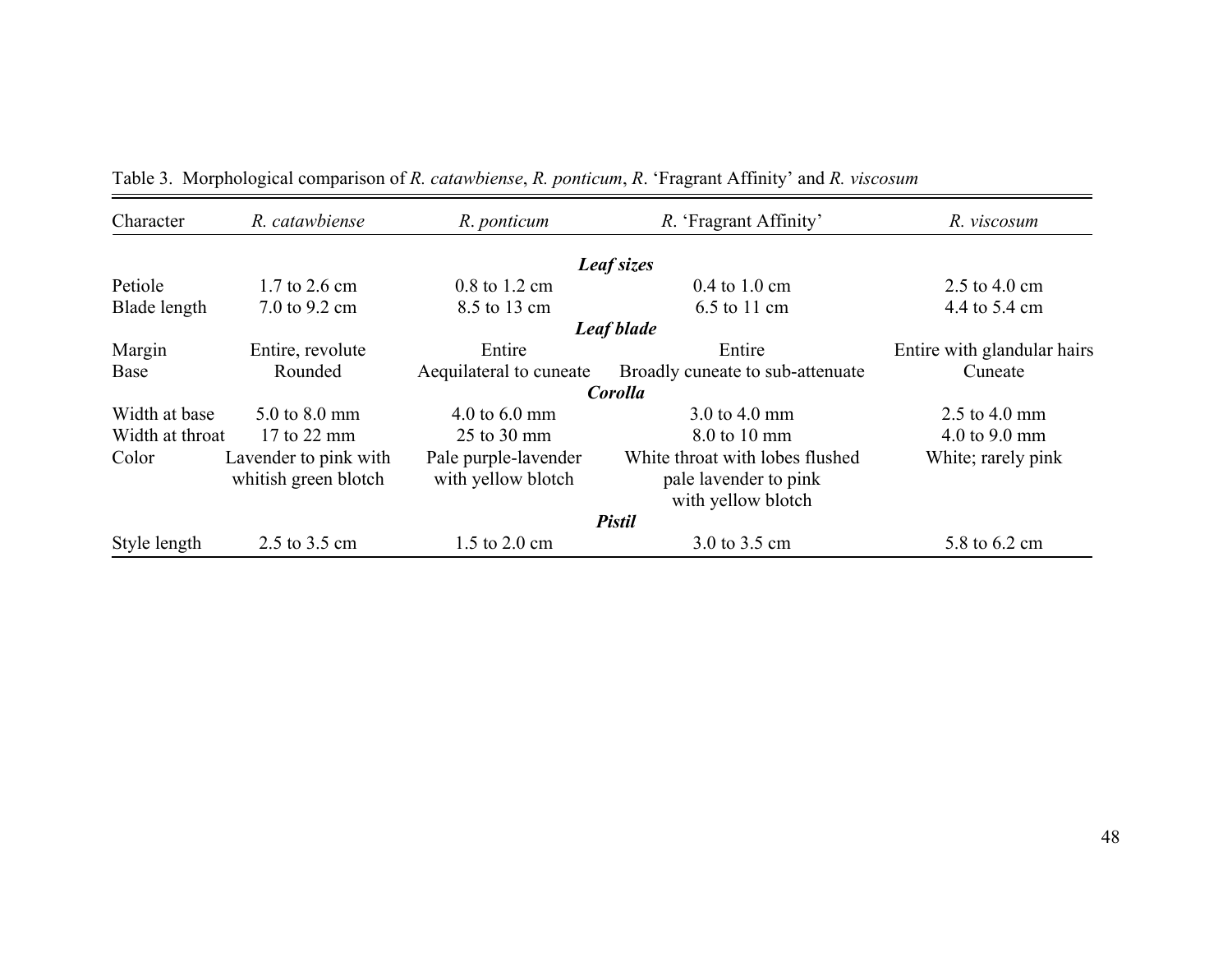| Character<br>R. catawbiense |                                               | R. ponticum                                | R. 'Fragrant Affinity'                                                         | R. viscosum                 |  |  |
|-----------------------------|-----------------------------------------------|--------------------------------------------|--------------------------------------------------------------------------------|-----------------------------|--|--|
|                             |                                               |                                            | Leaf sizes                                                                     |                             |  |  |
| Petiole                     | $1.7 \text{ to } 2.6 \text{ cm}$              | $0.8$ to $1.2$ cm                          | $0.4$ to $1.0$ cm                                                              | 2.5 to 4.0 cm               |  |  |
| Blade length                | 7.0 to 9.2 cm                                 | 8.5 to 13 cm                               | 6.5 to 11 cm                                                                   | 4.4 to 5.4 cm               |  |  |
|                             |                                               |                                            | Leaf blade                                                                     |                             |  |  |
| Margin                      | Entire, revolute                              | Entire                                     | Entire                                                                         | Entire with glandular hairs |  |  |
| Rounded<br>Base             |                                               | Aequilateral to cuneate                    | Broadly cuneate to sub-attenuate                                               | Cuneate                     |  |  |
|                             |                                               |                                            | Corolla                                                                        |                             |  |  |
| Width at base               | 5.0 to 8.0 mm                                 | 4.0 to $6.0 \text{ mm}$                    | 3.0 to 4.0 mm                                                                  | 2.5 to 4.0 mm               |  |  |
| Width at throat             | 17 to 22 mm                                   | 25 to 30 mm                                | 8.0 to 10 mm                                                                   | 4.0 to 9.0 mm               |  |  |
| Color                       | Lavender to pink with<br>whitish green blotch | Pale purple-lavender<br>with yellow blotch | White throat with lobes flushed<br>pale lavender to pink<br>with yellow blotch | White; rarely pink          |  |  |
|                             |                                               |                                            | <b>Pistil</b>                                                                  |                             |  |  |
| Style length                | 2.5 to 3.5 cm                                 | 1.5 to 2.0 cm                              | 3.0 to 3.5 cm                                                                  | 5.8 to 6.2 cm               |  |  |

Table 3. Morphological comparison of *R. catawbiense*, *R. ponticum*, *R*. 'Fragrant Affinity' and *R. viscosum*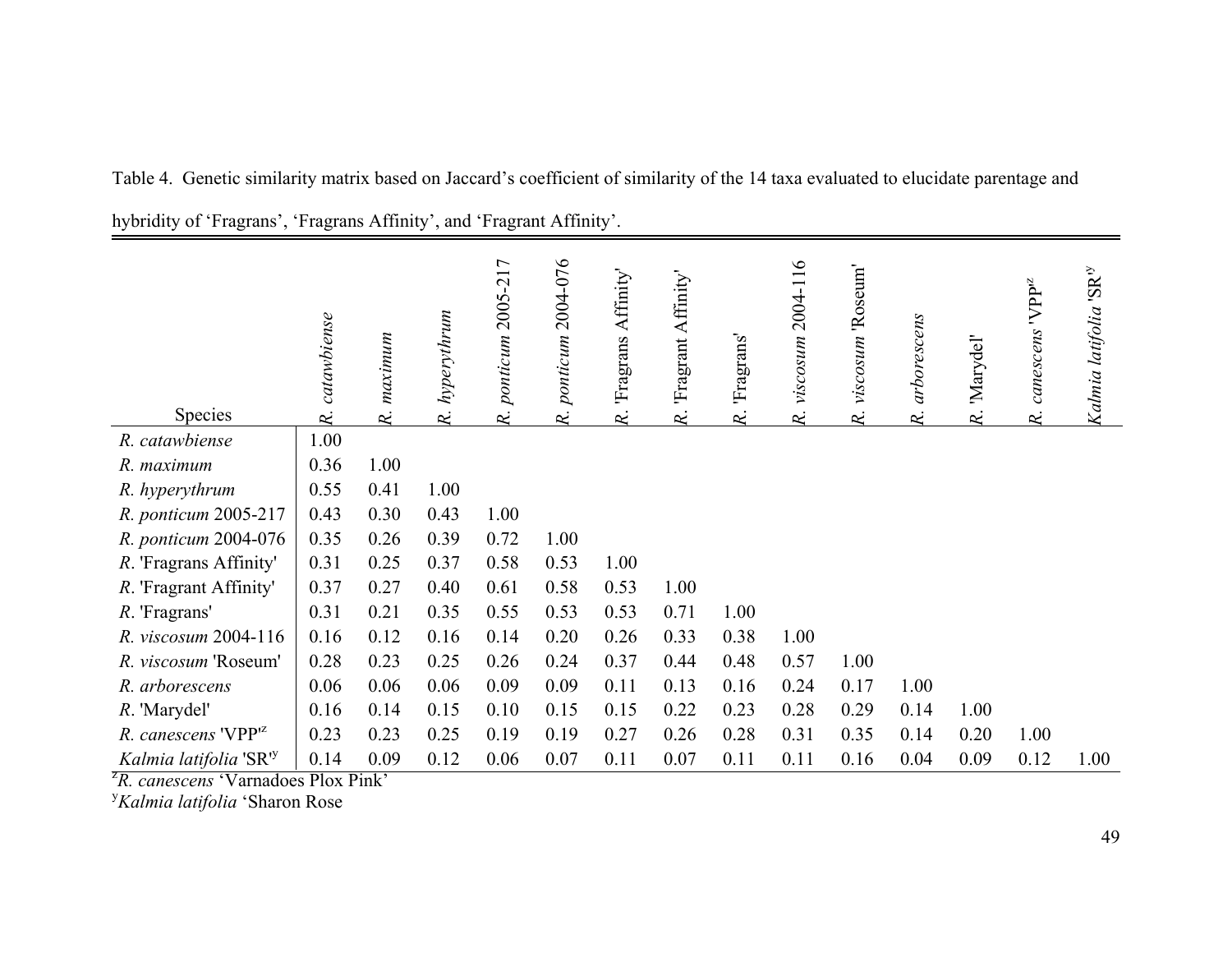|                                    | catawbiense | maximum | hyperythrum | 2005-217<br>ponticum | 2004-076<br>ponticum | Affinity'<br>Fragrans | 'Fragrant Affinity' | 'Fragrans' | 2004-116<br>viscosum | 'Roseum'<br>viscosum | arborescens | 'Marydel' | $VPP^{12}$<br>canescens | Kalmia latifolia 'SR <sup>iy</sup> |
|------------------------------------|-------------|---------|-------------|----------------------|----------------------|-----------------------|---------------------|------------|----------------------|----------------------|-------------|-----------|-------------------------|------------------------------------|
| Species                            | R.          | R.      | R.          | R.                   | R.                   | R.                    | $\approx$           | R.         | R.                   | R.                   | R.          | $\kappa$  | $\approx$               |                                    |
| R. catawbiense                     | 1.00        |         |             |                      |                      |                       |                     |            |                      |                      |             |           |                         |                                    |
| R. maximum                         | 0.36        | 1.00    |             |                      |                      |                       |                     |            |                      |                      |             |           |                         |                                    |
| R. hyperythrum                     | 0.55        | 0.41    | 1.00        |                      |                      |                       |                     |            |                      |                      |             |           |                         |                                    |
| R. ponticum 2005-217               | 0.43        | 0.30    | 0.43        | 1.00                 |                      |                       |                     |            |                      |                      |             |           |                         |                                    |
| R. ponticum 2004-076               | 0.35        | 0.26    | 0.39        | 0.72                 | 1.00                 |                       |                     |            |                      |                      |             |           |                         |                                    |
| R. 'Fragrans Affinity'             | 0.31        | 0.25    | 0.37        | 0.58                 | 0.53                 | 1.00                  |                     |            |                      |                      |             |           |                         |                                    |
| R. 'Fragrant Affinity'             | 0.37        | 0.27    | 0.40        | 0.61                 | 0.58                 | 0.53                  | 1.00                |            |                      |                      |             |           |                         |                                    |
| R. 'Fragrans'                      | 0.31        | 0.21    | 0.35        | 0.55                 | 0.53                 | 0.53                  | 0.71                | 1.00       |                      |                      |             |           |                         |                                    |
| R. viscosum 2004-116               | 0.16        | 0.12    | 0.16        | 0.14                 | 0.20                 | 0.26                  | 0.33                | 0.38       | 1.00                 |                      |             |           |                         |                                    |
| R. viscosum 'Roseum'               | 0.28        | 0.23    | 0.25        | 0.26                 | 0.24                 | 0.37                  | 0.44                | 0.48       | 0.57                 | 1.00                 |             |           |                         |                                    |
| R. arborescens                     | 0.06        | 0.06    | 0.06        | 0.09                 | 0.09                 | 0.11                  | 0.13                | 0.16       | 0.24                 | 0.17                 | 1.00        |           |                         |                                    |
| R. 'Marydel'                       | 0.16        | 0.14    | 0.15        | 0.10                 | 0.15                 | 0.15                  | 0.22                | 0.23       | 0.28                 | 0.29                 | 0.14        | 1.00      |                         |                                    |
| R. canescens 'VPP <sup>12</sup>    | 0.23        | 0.23    | 0.25        | 0.19                 | 0.19                 | 0.27                  | 0.26                | 0.28       | 0.31                 | 0.35                 | 0.14        | 0.20      | 1.00                    |                                    |
| Kalmia latifolia 'SR' <sup>y</sup> | 0.14        | 0.09    | 0.12        | 0.06                 | 0.07                 | 0.11                  | 0.07                | 0.11       | 0.11                 | 0.16                 | 0.04        | 0.09      | 0.12                    | 1.00                               |

Table 4. Genetic similarity matrix based on Jaccard's coefficient of similarity of the 14 taxa evaluated to elucidate parentage and hybridity of 'Fragrans', 'Fragrans Affinity', and 'Fragrant Affinity'.

<sup>z</sup>*R. canescens* 'Varnadoes Plox Pink'

<sup>y</sup>*Kalmia latifolia* 'Sharon Rose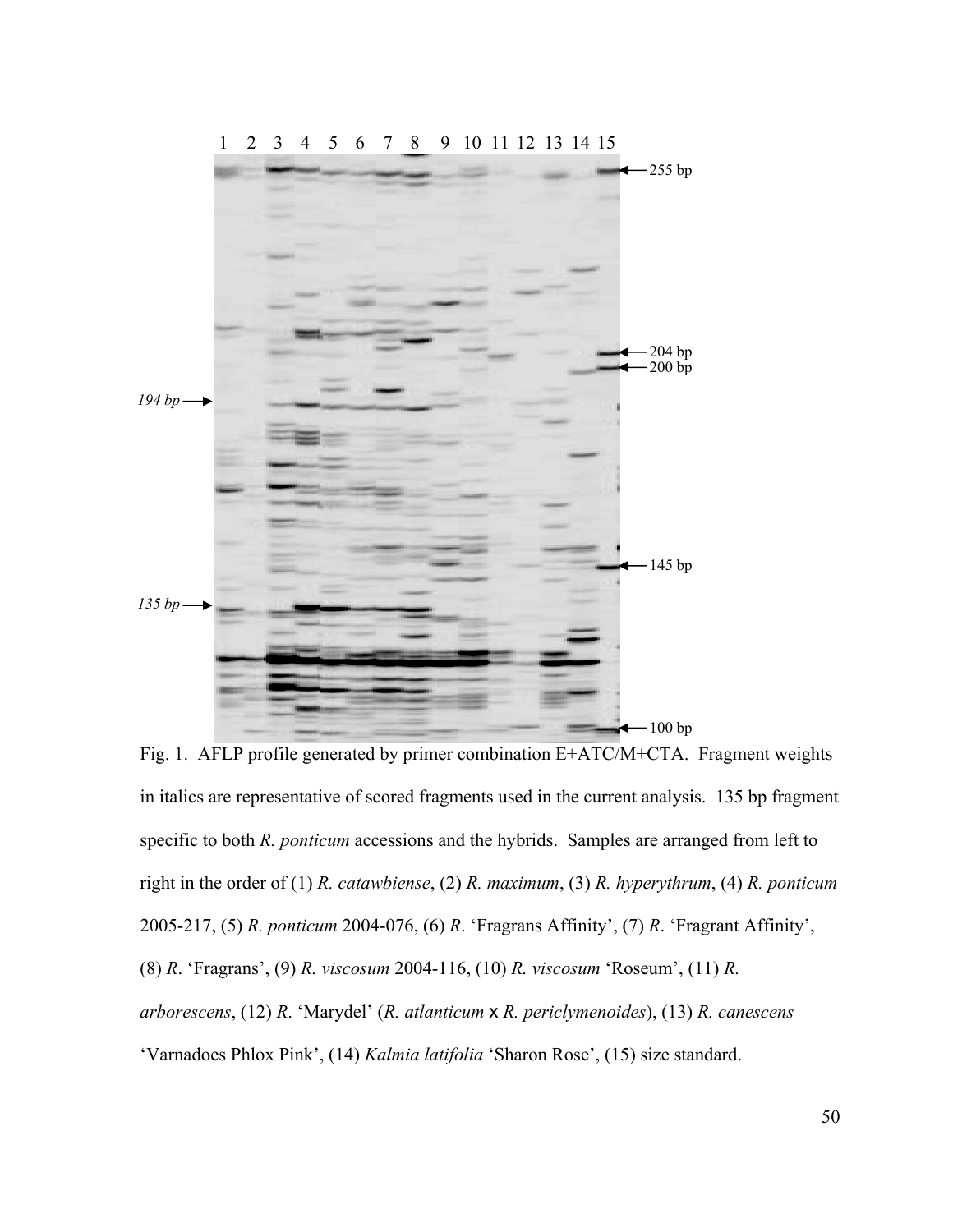![](_page_61_Figure_0.jpeg)

Fig. 1. AFLP profile generated by primer combination E+ATC/M+CTA. Fragment weights in italics are representative of scored fragments used in the current analysis. 135 bp fragment specific to both *R. ponticum* accessions and the hybrids. Samples are arranged from left to right in the order of (1) *R. catawbiense*, (2) *R. maximum*, (3) *R. hyperythrum*, (4) *R. ponticum* 2005-217, (5) *R. ponticum* 2004-076, (6) *R*. 'Fragrans Affinity', (7) *R*. 'Fragrant Affinity', (8) *R*. 'Fragrans', (9) *R. viscosum* 2004-116, (10) *R. viscosum* 'Roseum', (11) *R. arborescens*, (12) *R*. 'Marydel' (*R. atlanticum* x *R. periclymenoides*), (13) *R. canescens* 'Varnadoes Phlox Pink', (14) *Kalmia latifolia* 'Sharon Rose', (15) size standard.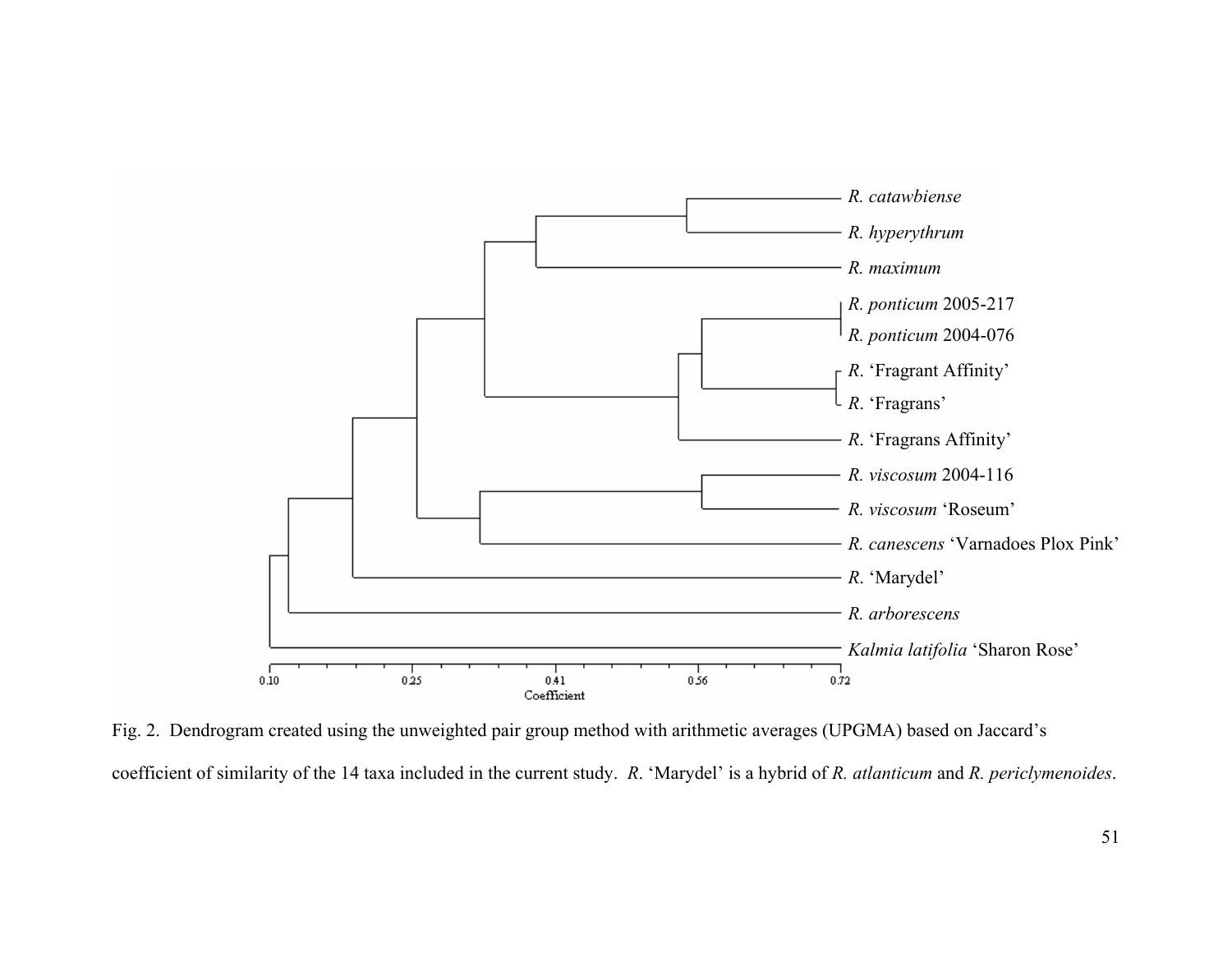![](_page_62_Figure_0.jpeg)

Fig. 2. Dendrogram created using the unweighted pair group method with arithmetic averages (UPGMA) based on Jaccard's coefficient of similarity of the 14 taxa included in the current study. *R*. 'Marydel' is a hybrid of *R. atlanticum* and *R. periclymenoides*.